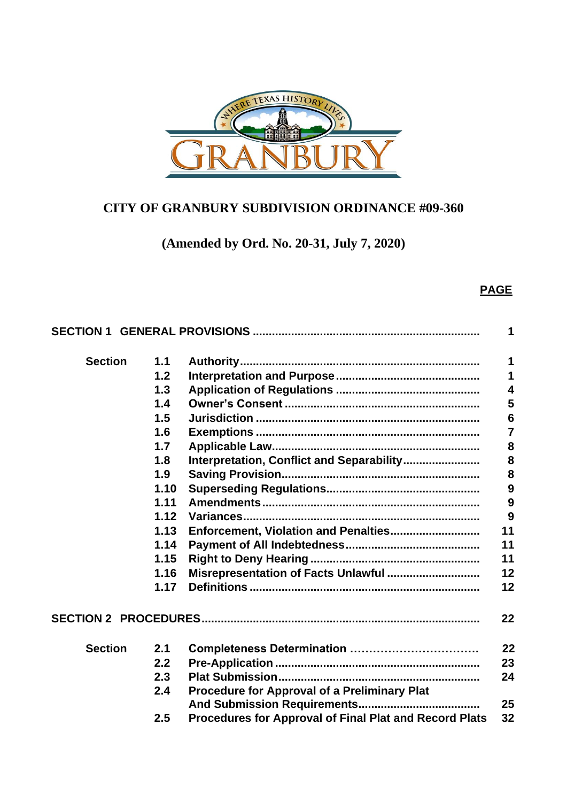

# **CITY OF GRANBURY SUBDIVISION ORDINANCE #09-360**

**(Amended by Ord. No. 20-31, July 7, 2020)**

## **PAGE**

|                |      |                                                        | 1                       |
|----------------|------|--------------------------------------------------------|-------------------------|
| <b>Section</b> | 1.1  |                                                        | 1                       |
|                | 1.2  |                                                        | 1                       |
|                | 1.3  |                                                        | $\overline{\mathbf{4}}$ |
|                | 1.4  |                                                        | 5                       |
|                | 1.5  |                                                        | 6                       |
|                | 1.6  |                                                        | $\overline{7}$          |
|                | 1.7  |                                                        | 8                       |
|                | 1.8  | Interpretation, Conflict and Separability              | 8                       |
|                | 1.9  |                                                        | 8                       |
|                | 1.10 |                                                        | 9                       |
|                | 1.11 |                                                        | 9                       |
|                | 1.12 |                                                        | 9                       |
|                | 1.13 |                                                        | 11                      |
|                | 1.14 |                                                        | 11                      |
|                | 1.15 |                                                        | 11                      |
|                | 1.16 | Misrepresentation of Facts Unlawful                    | 12                      |
|                | 1.17 |                                                        | 12                      |
|                |      |                                                        | 22                      |
| <b>Section</b> | 2.1  |                                                        | 22                      |
|                | 2.2  |                                                        | 23                      |
|                | 2.3  |                                                        | 24                      |
|                | 2.4  | <b>Procedure for Approval of a Preliminary Plat</b>    |                         |
|                |      |                                                        | 25                      |
|                | 2.5  | Procedures for Approval of Final Plat and Record Plats | 32                      |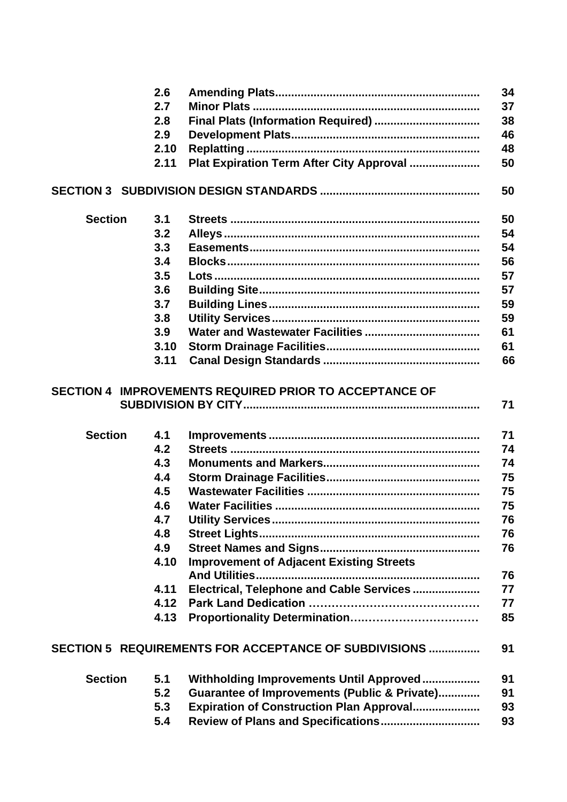|                | 2.6  |                                                        | 34 |
|----------------|------|--------------------------------------------------------|----|
|                | 2.7  |                                                        | 37 |
|                | 2.8  | Final Plats (Information Required)                     | 38 |
|                | 2.9  |                                                        | 46 |
|                | 2.10 |                                                        | 48 |
|                | 2.11 | Plat Expiration Term After City Approval               | 50 |
|                |      |                                                        | 50 |
|                |      |                                                        |    |
| <b>Section</b> | 3.1  |                                                        | 50 |
|                | 3.2  |                                                        | 54 |
|                | 3.3  |                                                        | 54 |
|                | 3.4  |                                                        | 56 |
|                | 3.5  |                                                        | 57 |
|                | 3.6  |                                                        | 57 |
|                | 3.7  |                                                        | 59 |
|                | 3.8  |                                                        | 59 |
|                | 3.9  |                                                        | 61 |
|                | 3.10 |                                                        | 61 |
|                | 3.11 |                                                        | 66 |
|                |      |                                                        |    |
|                |      | SECTION 4 IMPROVEMENTS REQUIRED PRIOR TO ACCEPTANCE OF |    |
|                |      |                                                        | 71 |
|                |      |                                                        |    |
| <b>Section</b> | 4.1  |                                                        | 71 |
|                | 4.2  |                                                        | 74 |
|                | 4.3  |                                                        | 74 |
|                | 4.4  |                                                        | 75 |
|                | 4.5  |                                                        | 75 |
|                | 4.6  |                                                        | 75 |
|                | 4.7  |                                                        | 76 |
|                | 4.8  |                                                        | 76 |
|                | 4.9  |                                                        | 76 |
|                | 4.10 |                                                        |    |
|                |      | <b>Improvement of Adjacent Existing Streets</b>        | 76 |
|                | 4.11 |                                                        | 77 |
|                |      | Electrical, Telephone and Cable Services               |    |
|                | 4.12 |                                                        | 77 |
|                | 4.13 |                                                        | 85 |
|                |      | SECTION 5 REQUIREMENTS FOR ACCEPTANCE OF SUBDIVISIONS  | 91 |
|                |      |                                                        |    |
| <b>Section</b> | 5.1  | Withholding Improvements Until Approved                | 91 |
|                | 5.2  | Guarantee of Improvements (Public & Private)           | 91 |
|                | 5.3  | <b>Expiration of Construction Plan Approval</b>        | 93 |
|                | 5.4  | Review of Plans and Specifications                     | 93 |
|                |      |                                                        |    |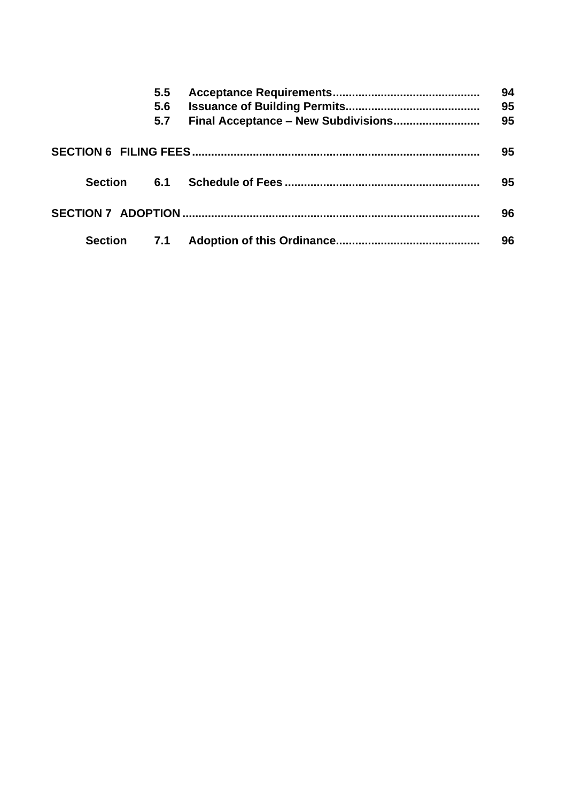|  |             | $5.5^{\circ}$ |  | 94       |
|--|-------------|---------------|--|----------|
|  |             | 5.6<br>5.7    |  | 95<br>95 |
|  |             |               |  |          |
|  |             |               |  | 95       |
|  | Section 6.1 |               |  | 95       |
|  |             |               |  |          |
|  |             |               |  | 96       |
|  | Section     | 7.1           |  | 96       |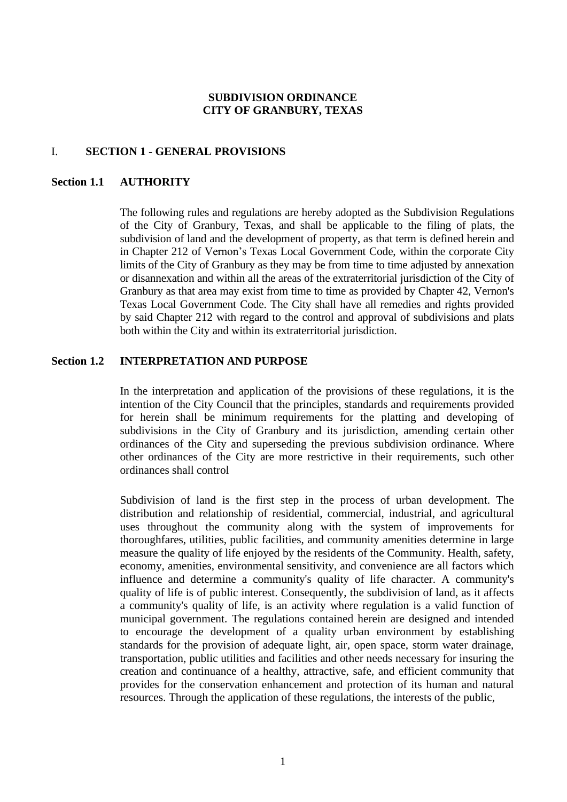## **SUBDIVISION ORDINANCE CITY OF GRANBURY, TEXAS**

## I. **SECTION 1 - GENERAL PROVISIONS**

## **Section 1.1 AUTHORITY**

The following rules and regulations are hereby adopted as the Subdivision Regulations of the City of Granbury, Texas, and shall be applicable to the filing of plats, the subdivision of land and the development of property, as that term is defined herein and in Chapter 212 of Vernon's Texas Local Government Code, within the corporate City limits of the City of Granbury as they may be from time to time adjusted by annexation or disannexation and within all the areas of the extraterritorial jurisdiction of the City of Granbury as that area may exist from time to time as provided by Chapter 42, Vernon's Texas Local Government Code. The City shall have all remedies and rights provided by said Chapter 212 with regard to the control and approval of subdivisions and plats both within the City and within its extraterritorial jurisdiction.

## **Section 1.2 INTERPRETATION AND PURPOSE**

In the interpretation and application of the provisions of these regulations, it is the intention of the City Council that the principles, standards and requirements provided for herein shall be minimum requirements for the platting and developing of subdivisions in the City of Granbury and its jurisdiction, amending certain other ordinances of the City and superseding the previous subdivision ordinance. Where other ordinances of the City are more restrictive in their requirements, such other ordinances shall control

Subdivision of land is the first step in the process of urban development. The distribution and relationship of residential, commercial, industrial, and agricultural uses throughout the community along with the system of improvements for thoroughfares, utilities, public facilities, and community amenities determine in large measure the quality of life enjoyed by the residents of the Community. Health, safety, economy, amenities, environmental sensitivity, and convenience are all factors which influence and determine a community's quality of life character. A community's quality of life is of public interest. Consequently, the subdivision of land, as it affects a community's quality of life, is an activity where regulation is a valid function of municipal government. The regulations contained herein are designed and intended to encourage the development of a quality urban environment by establishing standards for the provision of adequate light, air, open space, storm water drainage, transportation, public utilities and facilities and other needs necessary for insuring the creation and continuance of a healthy, attractive, safe, and efficient community that provides for the conservation enhancement and protection of its human and natural resources. Through the application of these regulations, the interests of the public,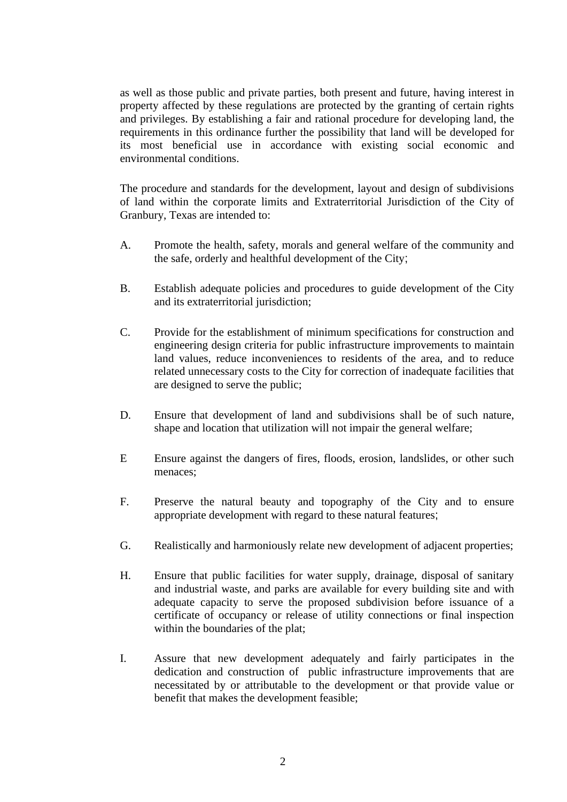as well as those public and private parties, both present and future, having interest in property affected by these regulations are protected by the granting of certain rights and privileges. By establishing a fair and rational procedure for developing land, the requirements in this ordinance further the possibility that land will be developed for its most beneficial use in accordance with existing social economic and environmental conditions.

The procedure and standards for the development, layout and design of subdivisions of land within the corporate limits and Extraterritorial Jurisdiction of the City of Granbury, Texas are intended to:

- A. Promote the health, safety, morals and general welfare of the community and the safe, orderly and healthful development of the City;
- B. Establish adequate policies and procedures to guide development of the City and its extraterritorial jurisdiction;
- C. Provide for the establishment of minimum specifications for construction and engineering design criteria for public infrastructure improvements to maintain land values, reduce inconveniences to residents of the area, and to reduce related unnecessary costs to the City for correction of inadequate facilities that are designed to serve the public;
- D. Ensure that development of land and subdivisions shall be of such nature, shape and location that utilization will not impair the general welfare;
- E Ensure against the dangers of fires, floods, erosion, landslides, or other such menaces;
- F. Preserve the natural beauty and topography of the City and to ensure appropriate development with regard to these natural features;
- G. Realistically and harmoniously relate new development of adjacent properties;
- H. Ensure that public facilities for water supply, drainage, disposal of sanitary and industrial waste, and parks are available for every building site and with adequate capacity to serve the proposed subdivision before issuance of a certificate of occupancy or release of utility connections or final inspection within the boundaries of the plat;
- I. Assure that new development adequately and fairly participates in the dedication and construction of public infrastructure improvements that are necessitated by or attributable to the development or that provide value or benefit that makes the development feasible;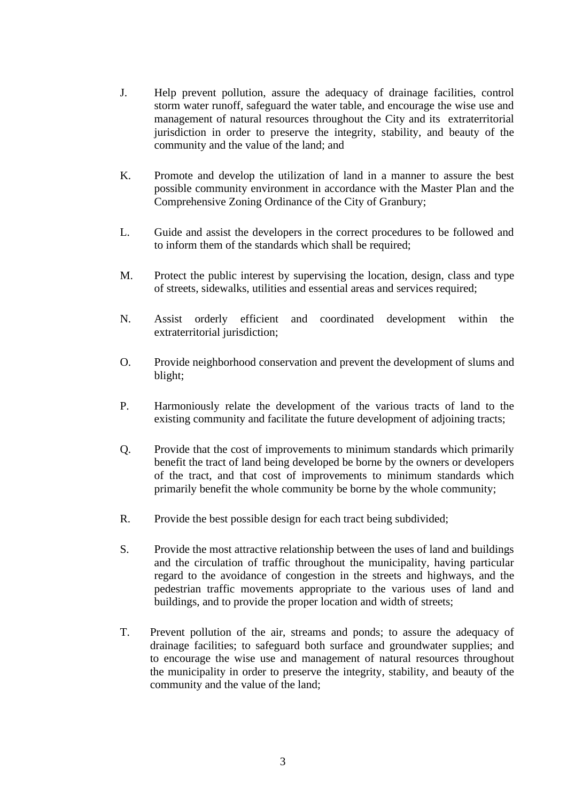- J. Help prevent pollution, assure the adequacy of drainage facilities, control storm water runoff, safeguard the water table, and encourage the wise use and management of natural resources throughout the City and its extraterritorial jurisdiction in order to preserve the integrity, stability, and beauty of the community and the value of the land; and
- K. Promote and develop the utilization of land in a manner to assure the best possible community environment in accordance with the Master Plan and the Comprehensive Zoning Ordinance of the City of Granbury;
- L. Guide and assist the developers in the correct procedures to be followed and to inform them of the standards which shall be required;
- M. Protect the public interest by supervising the location, design, class and type of streets, sidewalks, utilities and essential areas and services required;
- N. Assist orderly efficient and coordinated development within the extraterritorial jurisdiction;
- O. Provide neighborhood conservation and prevent the development of slums and blight;
- P. Harmoniously relate the development of the various tracts of land to the existing community and facilitate the future development of adjoining tracts;
- Q. Provide that the cost of improvements to minimum standards which primarily benefit the tract of land being developed be borne by the owners or developers of the tract, and that cost of improvements to minimum standards which primarily benefit the whole community be borne by the whole community;
- R. Provide the best possible design for each tract being subdivided;
- S. Provide the most attractive relationship between the uses of land and buildings and the circulation of traffic throughout the municipality, having particular regard to the avoidance of congestion in the streets and highways, and the pedestrian traffic movements appropriate to the various uses of land and buildings, and to provide the proper location and width of streets;
- T. Prevent pollution of the air, streams and ponds; to assure the adequacy of drainage facilities; to safeguard both surface and groundwater supplies; and to encourage the wise use and management of natural resources throughout the municipality in order to preserve the integrity, stability, and beauty of the community and the value of the land;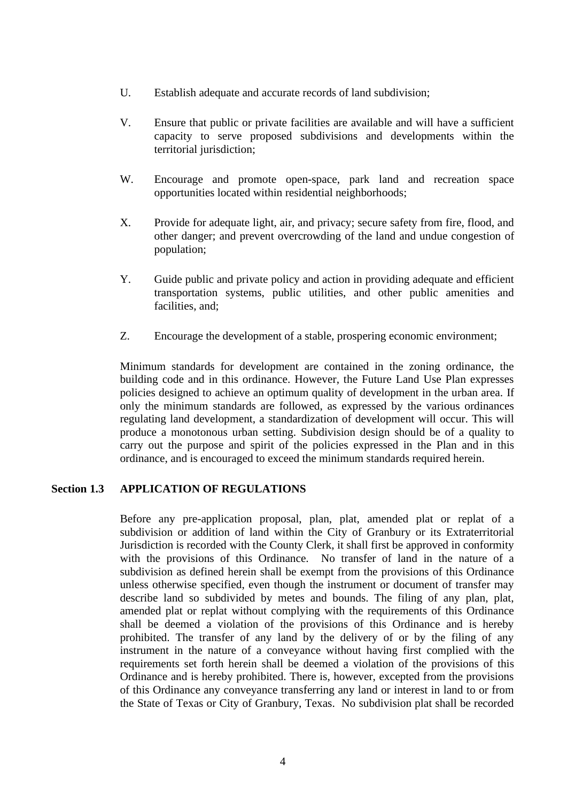- U. Establish adequate and accurate records of land subdivision;
- V. Ensure that public or private facilities are available and will have a sufficient capacity to serve proposed subdivisions and developments within the territorial jurisdiction;
- W. Encourage and promote open-space, park land and recreation space opportunities located within residential neighborhoods;
- X. Provide for adequate light, air, and privacy; secure safety from fire, flood, and other danger; and prevent overcrowding of the land and undue congestion of population;
- Y. Guide public and private policy and action in providing adequate and efficient transportation systems, public utilities, and other public amenities and facilities, and;
- Z. Encourage the development of a stable, prospering economic environment;

Minimum standards for development are contained in the zoning ordinance, the building code and in this ordinance. However, the Future Land Use Plan expresses policies designed to achieve an optimum quality of development in the urban area. If only the minimum standards are followed, as expressed by the various ordinances regulating land development, a standardization of development will occur. This will produce a monotonous urban setting. Subdivision design should be of a quality to carry out the purpose and spirit of the policies expressed in the Plan and in this ordinance, and is encouraged to exceed the minimum standards required herein.

## **Section 1.3 APPLICATION OF REGULATIONS**

Before any pre-application proposal, plan, plat, amended plat or replat of a subdivision or addition of land within the City of Granbury or its Extraterritorial Jurisdiction is recorded with the County Clerk, it shall first be approved in conformity with the provisions of this Ordinance. No transfer of land in the nature of a subdivision as defined herein shall be exempt from the provisions of this Ordinance unless otherwise specified, even though the instrument or document of transfer may describe land so subdivided by metes and bounds. The filing of any plan, plat, amended plat or replat without complying with the requirements of this Ordinance shall be deemed a violation of the provisions of this Ordinance and is hereby prohibited. The transfer of any land by the delivery of or by the filing of any instrument in the nature of a conveyance without having first complied with the requirements set forth herein shall be deemed a violation of the provisions of this Ordinance and is hereby prohibited. There is, however, excepted from the provisions of this Ordinance any conveyance transferring any land or interest in land to or from the State of Texas or City of Granbury, Texas. No subdivision plat shall be recorded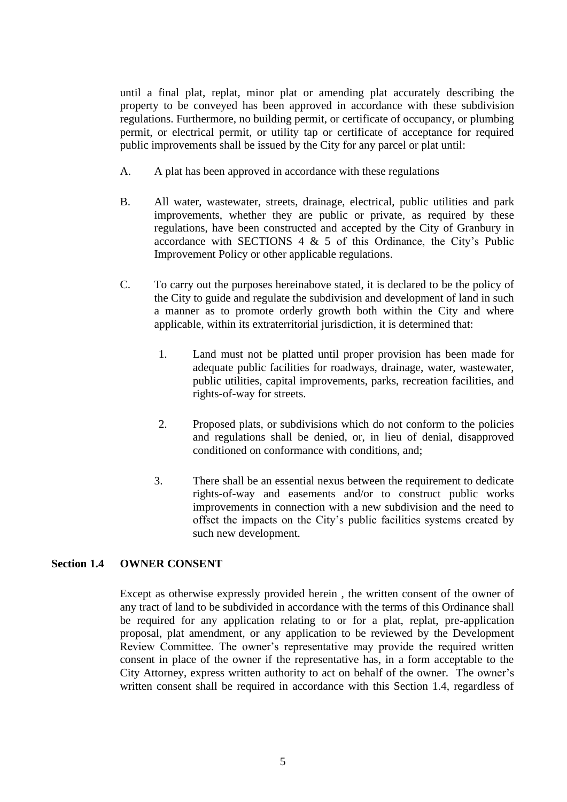until a final plat, replat, minor plat or amending plat accurately describing the property to be conveyed has been approved in accordance with these subdivision regulations. Furthermore, no building permit, or certificate of occupancy, or plumbing permit, or electrical permit, or utility tap or certificate of acceptance for required public improvements shall be issued by the City for any parcel or plat until:

- A. A plat has been approved in accordance with these regulations
- B. All water, wastewater, streets, drainage, electrical, public utilities and park improvements, whether they are public or private, as required by these regulations, have been constructed and accepted by the City of Granbury in accordance with SECTIONS 4  $& 5$  of this Ordinance, the City's Public Improvement Policy or other applicable regulations.
- C. To carry out the purposes hereinabove stated, it is declared to be the policy of the City to guide and regulate the subdivision and development of land in such a manner as to promote orderly growth both within the City and where applicable, within its extraterritorial jurisdiction, it is determined that:
	- 1. Land must not be platted until proper provision has been made for adequate public facilities for roadways, drainage, water, wastewater, public utilities, capital improvements, parks, recreation facilities, and rights-of-way for streets.
	- 2. Proposed plats, or subdivisions which do not conform to the policies and regulations shall be denied, or, in lieu of denial, disapproved conditioned on conformance with conditions, and;
	- 3. There shall be an essential nexus between the requirement to dedicate rights-of-way and easements and/or to construct public works improvements in connection with a new subdivision and the need to offset the impacts on the City's public facilities systems created by such new development.

#### **Section 1.4 OWNER CONSENT**

Except as otherwise expressly provided herein , the written consent of the owner of any tract of land to be subdivided in accordance with the terms of this Ordinance shall be required for any application relating to or for a plat, replat, pre-application proposal, plat amendment, or any application to be reviewed by the Development Review Committee. The owner's representative may provide the required written consent in place of the owner if the representative has, in a form acceptable to the City Attorney, express written authority to act on behalf of the owner. The owner's written consent shall be required in accordance with this Section 1.4, regardless of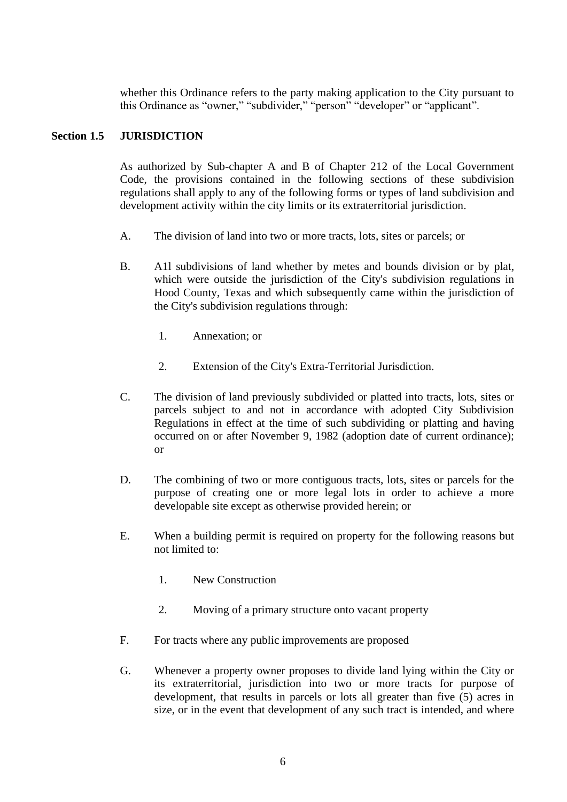whether this Ordinance refers to the party making application to the City pursuant to this Ordinance as "owner," "subdivider," "person" "developer" or "applicant".

## **Section 1.5 JURISDICTION**

As authorized by Sub-chapter A and B of Chapter 212 of the Local Government Code, the provisions contained in the following sections of these subdivision regulations shall apply to any of the following forms or types of land subdivision and development activity within the city limits or its extraterritorial jurisdiction.

- A. The division of land into two or more tracts, lots, sites or parcels; or
- B. A1l subdivisions of land whether by metes and bounds division or by plat, which were outside the jurisdiction of the City's subdivision regulations in Hood County, Texas and which subsequently came within the jurisdiction of the City's subdivision regulations through:
	- 1. Annexation; or
	- 2. Extension of the City's Extra-Territorial Jurisdiction.
- C. The division of land previously subdivided or platted into tracts, lots, sites or parcels subject to and not in accordance with adopted City Subdivision Regulations in effect at the time of such subdividing or platting and having occurred on or after November 9, 1982 (adoption date of current ordinance); or
- D. The combining of two or more contiguous tracts, lots, sites or parcels for the purpose of creating one or more legal lots in order to achieve a more developable site except as otherwise provided herein; or
- E. When a building permit is required on property for the following reasons but not limited to:
	- 1. New Construction
	- 2. Moving of a primary structure onto vacant property
- F. For tracts where any public improvements are proposed
- G. Whenever a property owner proposes to divide land lying within the City or its extraterritorial, jurisdiction into two or more tracts for purpose of development, that results in parcels or lots all greater than five (5) acres in size, or in the event that development of any such tract is intended, and where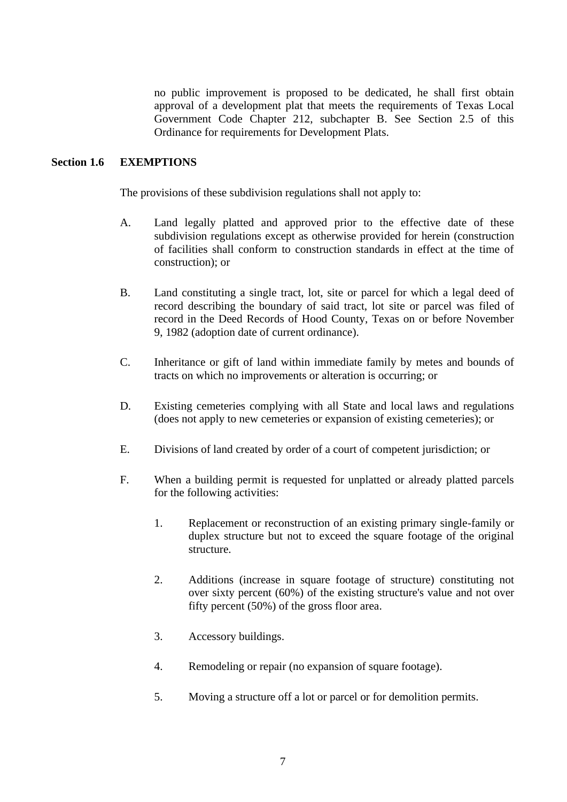no public improvement is proposed to be dedicated, he shall first obtain approval of a development plat that meets the requirements of Texas Local Government Code Chapter 212, subchapter B. See Section 2.5 of this Ordinance for requirements for Development Plats.

## **Section 1.6 EXEMPTIONS**

The provisions of these subdivision regulations shall not apply to:

- A. Land legally platted and approved prior to the effective date of these subdivision regulations except as otherwise provided for herein (construction of facilities shall conform to construction standards in effect at the time of construction); or
- B. Land constituting a single tract, lot, site or parcel for which a legal deed of record describing the boundary of said tract, lot site or parcel was filed of record in the Deed Records of Hood County, Texas on or before November 9, 1982 (adoption date of current ordinance).
- C. Inheritance or gift of land within immediate family by metes and bounds of tracts on which no improvements or alteration is occurring; or
- D. Existing cemeteries complying with all State and local laws and regulations (does not apply to new cemeteries or expansion of existing cemeteries); or
- E. Divisions of land created by order of a court of competent jurisdiction; or
- F. When a building permit is requested for unplatted or already platted parcels for the following activities:
	- 1. Replacement or reconstruction of an existing primary single-family or duplex structure but not to exceed the square footage of the original structure.
	- 2. Additions (increase in square footage of structure) constituting not over sixty percent (60%) of the existing structure's value and not over fifty percent (50%) of the gross floor area.
	- 3. Accessory buildings.
	- 4. Remodeling or repair (no expansion of square footage).
	- 5. Moving a structure off a lot or parcel or for demolition permits.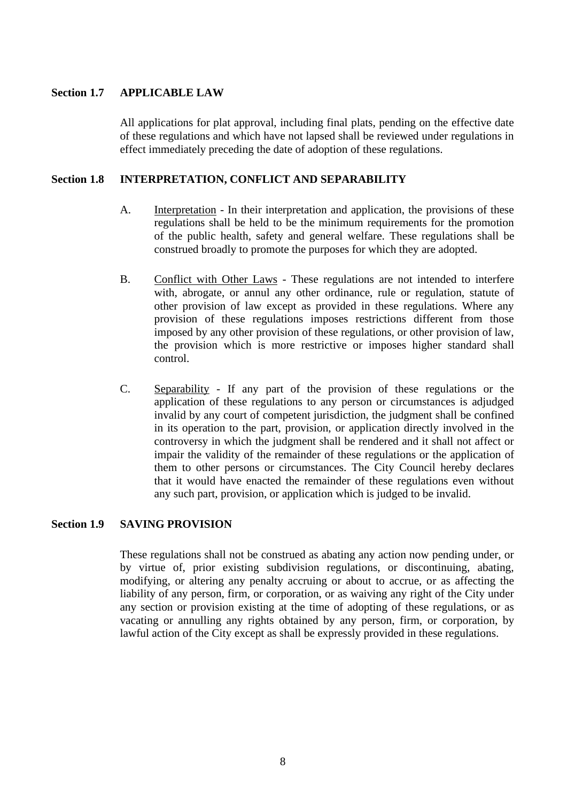## **Section 1.7 APPLICABLE LAW**

All applications for plat approval, including final plats, pending on the effective date of these regulations and which have not lapsed shall be reviewed under regulations in effect immediately preceding the date of adoption of these regulations.

## **Section 1.8 INTERPRETATION, CONFLICT AND SEPARABILITY**

- A. Interpretation In their interpretation and application, the provisions of these regulations shall be held to be the minimum requirements for the promotion of the public health, safety and general welfare. These regulations shall be construed broadly to promote the purposes for which they are adopted.
- B. Conflict with Other Laws These regulations are not intended to interfere with, abrogate, or annul any other ordinance, rule or regulation, statute of other provision of law except as provided in these regulations. Where any provision of these regulations imposes restrictions different from those imposed by any other provision of these regulations, or other provision of law, the provision which is more restrictive or imposes higher standard shall control.
- C. Separability If any part of the provision of these regulations or the application of these regulations to any person or circumstances is adjudged invalid by any court of competent jurisdiction, the judgment shall be confined in its operation to the part, provision, or application directly involved in the controversy in which the judgment shall be rendered and it shall not affect or impair the validity of the remainder of these regulations or the application of them to other persons or circumstances. The City Council hereby declares that it would have enacted the remainder of these regulations even without any such part, provision, or application which is judged to be invalid.

#### **Section 1.9 SAVING PROVISION**

These regulations shall not be construed as abating any action now pending under, or by virtue of, prior existing subdivision regulations, or discontinuing, abating, modifying, or altering any penalty accruing or about to accrue, or as affecting the liability of any person, firm, or corporation, or as waiving any right of the City under any section or provision existing at the time of adopting of these regulations, or as vacating or annulling any rights obtained by any person, firm, or corporation, by lawful action of the City except as shall be expressly provided in these regulations.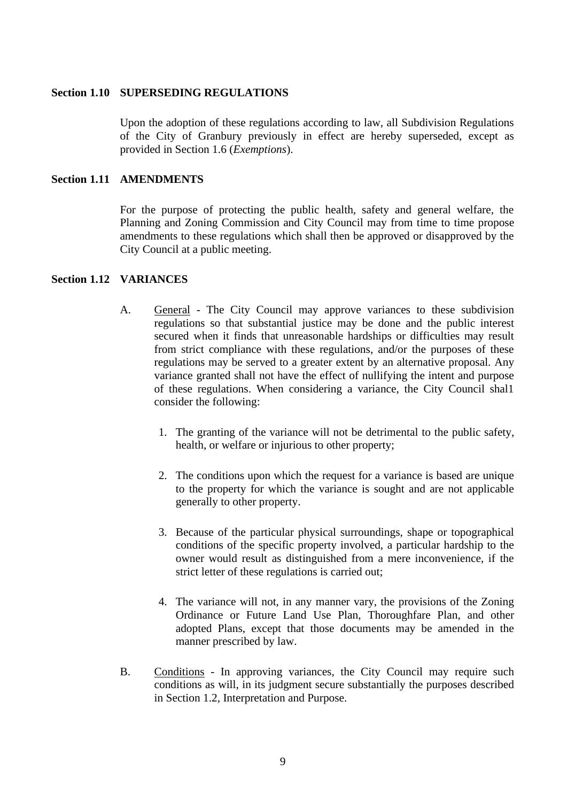#### **Section 1.10 SUPERSEDING REGULATIONS**

Upon the adoption of these regulations according to law, all Subdivision Regulations of the City of Granbury previously in effect are hereby superseded, except as provided in Section 1.6 (*Exemptions*).

#### **Section 1.11 AMENDMENTS**

For the purpose of protecting the public health, safety and general welfare, the Planning and Zoning Commission and City Council may from time to time propose amendments to these regulations which shall then be approved or disapproved by the City Council at a public meeting.

#### **Section 1.12 VARIANCES**

- A. General The City Council may approve variances to these subdivision regulations so that substantial justice may be done and the public interest secured when it finds that unreasonable hardships or difficulties may result from strict compliance with these regulations, and/or the purposes of these regulations may be served to a greater extent by an alternative proposal. Any variance granted shall not have the effect of nullifying the intent and purpose of these regulations. When considering a variance, the City Council shal1 consider the following:
	- 1. The granting of the variance will not be detrimental to the public safety, health, or welfare or injurious to other property;
	- 2. The conditions upon which the request for a variance is based are unique to the property for which the variance is sought and are not applicable generally to other property.
	- 3. Because of the particular physical surroundings, shape or topographical conditions of the specific property involved, a particular hardship to the owner would result as distinguished from a mere inconvenience, if the strict letter of these regulations is carried out;
	- 4. The variance will not, in any manner vary, the provisions of the Zoning Ordinance or Future Land Use Plan, Thoroughfare Plan, and other adopted Plans, except that those documents may be amended in the manner prescribed by law.
- B. Conditions In approving variances, the City Council may require such conditions as will, in its judgment secure substantially the purposes described in Section 1.2, Interpretation and Purpose.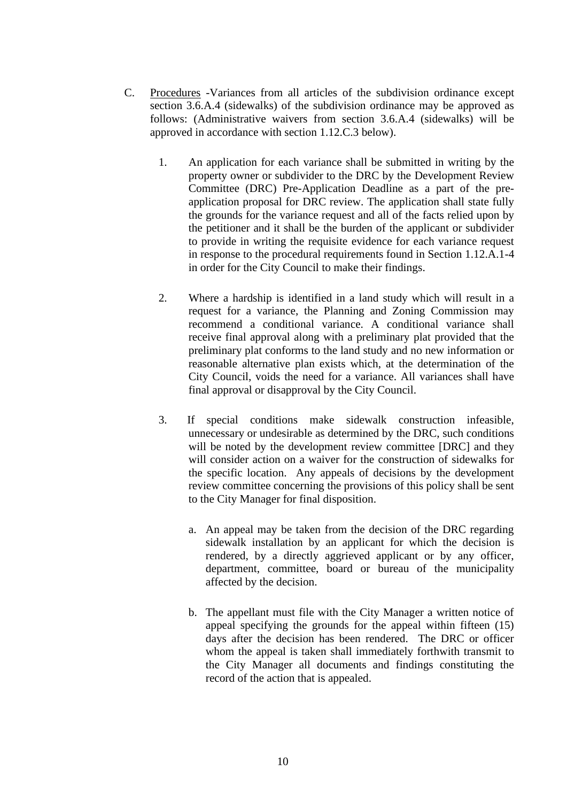- C. Procedures -Variances from all articles of the subdivision ordinance except section 3.6.A.4 (sidewalks) of the subdivision ordinance may be approved as follows: (Administrative waivers from section 3.6.A.4 (sidewalks) will be approved in accordance with section 1.12.C.3 below).
	- 1. An application for each variance shall be submitted in writing by the property owner or subdivider to the DRC by the Development Review Committee (DRC) Pre-Application Deadline as a part of the preapplication proposal for DRC review. The application shall state fully the grounds for the variance request and all of the facts relied upon by the petitioner and it shall be the burden of the applicant or subdivider to provide in writing the requisite evidence for each variance request in response to the procedural requirements found in Section 1.12.A.1-4 in order for the City Council to make their findings.
	- 2. Where a hardship is identified in a land study which will result in a request for a variance, the Planning and Zoning Commission may recommend a conditional variance. A conditional variance shall receive final approval along with a preliminary plat provided that the preliminary plat conforms to the land study and no new information or reasonable alternative plan exists which, at the determination of the City Council, voids the need for a variance. All variances shall have final approval or disapproval by the City Council.
	- 3. If special conditions make sidewalk construction infeasible, unnecessary or undesirable as determined by the DRC, such conditions will be noted by the development review committee [DRC] and they will consider action on a waiver for the construction of sidewalks for the specific location. Any appeals of decisions by the development review committee concerning the provisions of this policy shall be sent to the City Manager for final disposition.
		- a. An appeal may be taken from the decision of the DRC regarding sidewalk installation by an applicant for which the decision is rendered, by a directly aggrieved applicant or by any officer, department, committee, board or bureau of the municipality affected by the decision.
		- b. The appellant must file with the City Manager a written notice of appeal specifying the grounds for the appeal within fifteen (15) days after the decision has been rendered. The DRC or officer whom the appeal is taken shall immediately forthwith transmit to the City Manager all documents and findings constituting the record of the action that is appealed.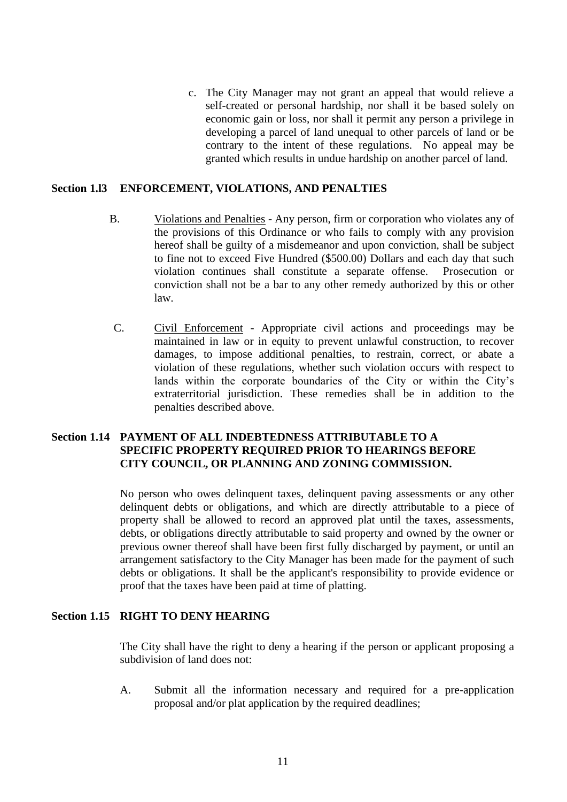c. The City Manager may not grant an appeal that would relieve a self-created or personal hardship, nor shall it be based solely on economic gain or loss, nor shall it permit any person a privilege in developing a parcel of land unequal to other parcels of land or be contrary to the intent of these regulations. No appeal may be granted which results in undue hardship on another parcel of land.

#### **Section 1.l3 ENFORCEMENT, VIOLATIONS, AND PENALTIES**

- B. Violations and Penalties Any person, firm or corporation who violates any of the provisions of this Ordinance or who fails to comply with any provision hereof shall be guilty of a misdemeanor and upon conviction, shall be subject to fine not to exceed Five Hundred (\$500.00) Dollars and each day that such violation continues shall constitute a separate offense. Prosecution or conviction shall not be a bar to any other remedy authorized by this or other law.
- C. Civil Enforcement Appropriate civil actions and proceedings may be maintained in law or in equity to prevent unlawful construction, to recover damages, to impose additional penalties, to restrain, correct, or abate a violation of these regulations, whether such violation occurs with respect to lands within the corporate boundaries of the City or within the City's extraterritorial jurisdiction. These remedies shall be in addition to the penalties described above.

## **Section 1.14 PAYMENT OF ALL INDEBTEDNESS ATTRIBUTABLE TO A SPECIFIC PROPERTY REQUIRED PRIOR TO HEARINGS BEFORE CITY COUNCIL, OR PLANNING AND ZONING COMMISSION.**

No person who owes delinquent taxes, delinquent paving assessments or any other delinquent debts or obligations, and which are directly attributable to a piece of property shall be allowed to record an approved plat until the taxes, assessments, debts, or obligations directly attributable to said property and owned by the owner or previous owner thereof shall have been first fully discharged by payment, or until an arrangement satisfactory to the City Manager has been made for the payment of such debts or obligations. It shall be the applicant's responsibility to provide evidence or proof that the taxes have been paid at time of platting.

## **Section 1.15 RIGHT TO DENY HEARING**

The City shall have the right to deny a hearing if the person or applicant proposing a subdivision of land does not:

A. Submit all the information necessary and required for a pre-application proposal and/or plat application by the required deadlines;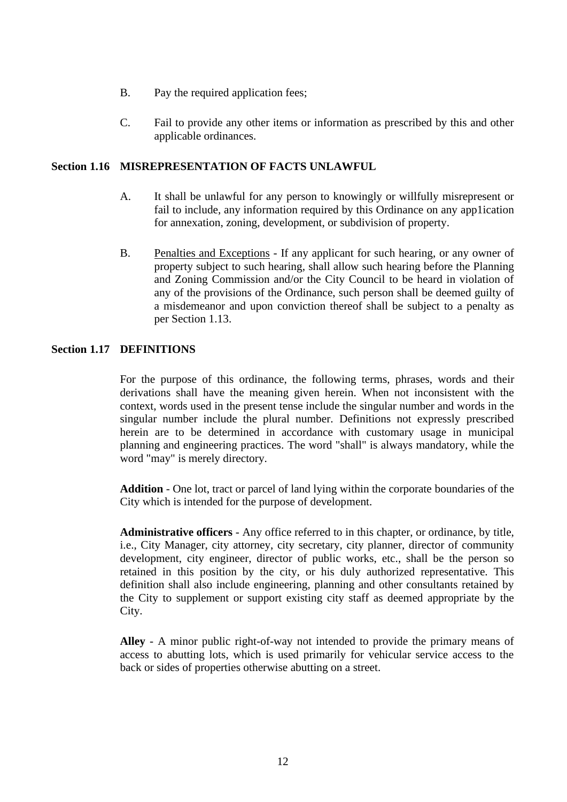- B. Pay the required application fees;
- C. Fail to provide any other items or information as prescribed by this and other applicable ordinances.

## **Section 1.16 MISREPRESENTATION OF FACTS UNLAWFUL**

- A. It shall be unlawful for any person to knowingly or willfully misrepresent or fail to include, any information required by this Ordinance on any app1ication for annexation, zoning, development, or subdivision of property.
- B. Penalties and Exceptions If any applicant for such hearing, or any owner of property subject to such hearing, shall allow such hearing before the Planning and Zoning Commission and/or the City Council to be heard in violation of any of the provisions of the Ordinance, such person shall be deemed guilty of a misdemeanor and upon conviction thereof shall be subject to a penalty as per Section 1.13.

## **Section 1.17 DEFINITIONS**

For the purpose of this ordinance, the following terms, phrases, words and their derivations shall have the meaning given herein. When not inconsistent with the context, words used in the present tense include the singular number and words in the singular number include the plural number. Definitions not expressly prescribed herein are to be determined in accordance with customary usage in municipal planning and engineering practices. The word "shall" is always mandatory, while the word "may" is merely directory.

**Addition** - One lot, tract or parcel of land lying within the corporate boundaries of the City which is intended for the purpose of development.

**Administrative officers** - Any office referred to in this chapter, or ordinance, by title, i.e., City Manager, city attorney, city secretary, city planner, director of community development, city engineer, director of public works, etc., shall be the person so retained in this position by the city, or his duly authorized representative. This definition shall also include engineering, planning and other consultants retained by the City to supplement or support existing city staff as deemed appropriate by the City.

**Alley** - A minor public right-of-way not intended to provide the primary means of access to abutting lots, which is used primarily for vehicular service access to the back or sides of properties otherwise abutting on a street.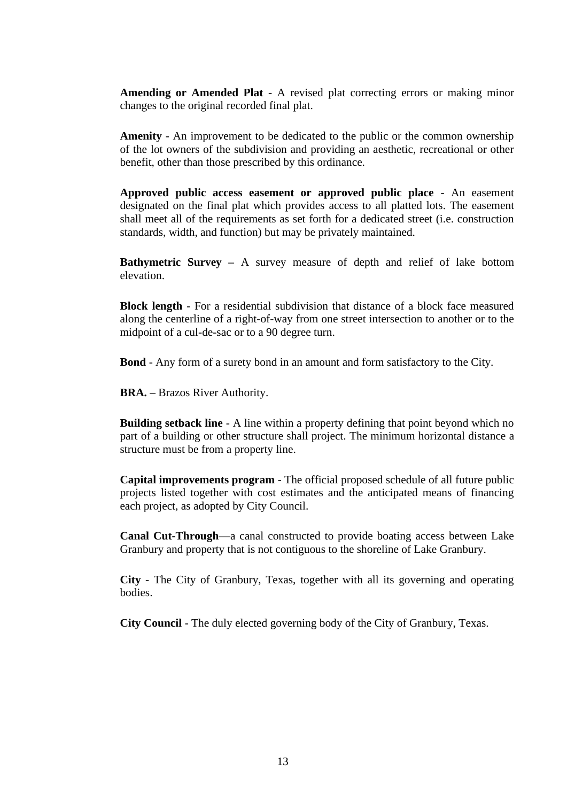**Amending or Amended Plat** - A revised plat correcting errors or making minor changes to the original recorded final plat.

**Amenity** - An improvement to be dedicated to the public or the common ownership of the lot owners of the subdivision and providing an aesthetic, recreational or other benefit, other than those prescribed by this ordinance.

**Approved public access easement or approved public place** - An easement designated on the final plat which provides access to all platted lots. The easement shall meet all of the requirements as set forth for a dedicated street (i.e. construction standards, width, and function) but may be privately maintained.

**Bathymetric Survey –** A survey measure of depth and relief of lake bottom elevation.

**Block length** - For a residential subdivision that distance of a block face measured along the centerline of a right-of-way from one street intersection to another or to the midpoint of a cul-de-sac or to a 90 degree turn.

**Bond** - Any form of a surety bond in an amount and form satisfactory to the City.

**BRA. –** Brazos River Authority.

**Building setback line** - A line within a property defining that point beyond which no part of a building or other structure shall project. The minimum horizontal distance a structure must be from a property line.

**Capital improvements program** - The official proposed schedule of all future public projects listed together with cost estimates and the anticipated means of financing each project, as adopted by City Council.

**Canal Cut-Through**—a canal constructed to provide boating access between Lake Granbury and property that is not contiguous to the shoreline of Lake Granbury.

**City** - The City of Granbury, Texas, together with all its governing and operating bodies.

**City Council** - The duly elected governing body of the City of Granbury, Texas.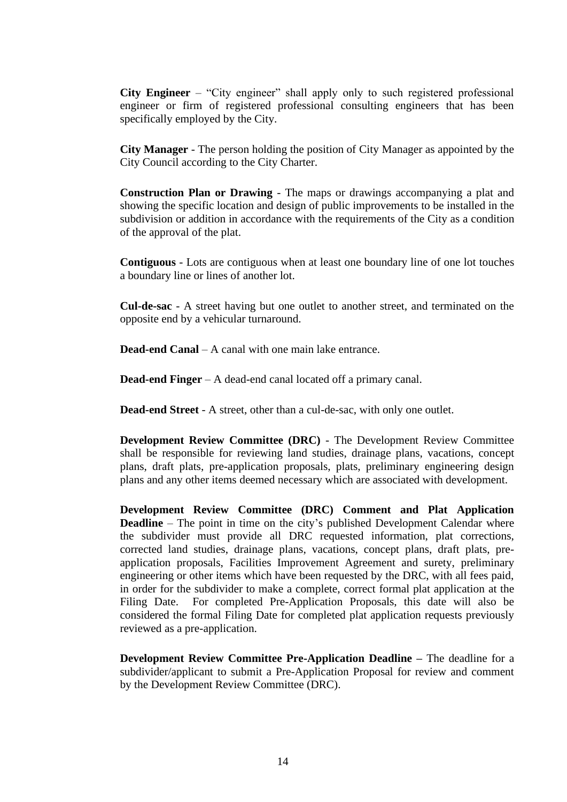**City Engineer** – "City engineer" shall apply only to such registered professional engineer or firm of registered professional consulting engineers that has been specifically employed by the City.

**City Manager** - The person holding the position of City Manager as appointed by the City Council according to the City Charter.

**Construction Plan or Drawing** - The maps or drawings accompanying a plat and showing the specific location and design of public improvements to be installed in the subdivision or addition in accordance with the requirements of the City as a condition of the approval of the plat.

**Contiguous** - Lots are contiguous when at least one boundary line of one lot touches a boundary line or lines of another lot.

**Cul-de-sac** - A street having but one outlet to another street, and terminated on the opposite end by a vehicular turnaround.

**Dead-end Canal** – A canal with one main lake entrance.

**Dead-end Finger** – A dead-end canal located off a primary canal.

**Dead-end Street** - A street, other than a cul-de-sac, with only one outlet.

**Development Review Committee (DRC)** - The Development Review Committee shall be responsible for reviewing land studies, drainage plans, vacations, concept plans, draft plats, pre-application proposals, plats, preliminary engineering design plans and any other items deemed necessary which are associated with development.

**Development Review Committee (DRC) Comment and Plat Application Deadline** – The point in time on the city's published Development Calendar where the subdivider must provide all DRC requested information, plat corrections, corrected land studies, drainage plans, vacations, concept plans, draft plats, preapplication proposals, Facilities Improvement Agreement and surety, preliminary engineering or other items which have been requested by the DRC, with all fees paid, in order for the subdivider to make a complete, correct formal plat application at the Filing Date. For completed Pre-Application Proposals, this date will also be considered the formal Filing Date for completed plat application requests previously reviewed as a pre-application.

**Development Review Committee Pre-Application Deadline –** The deadline for a subdivider/applicant to submit a Pre-Application Proposal for review and comment by the Development Review Committee (DRC).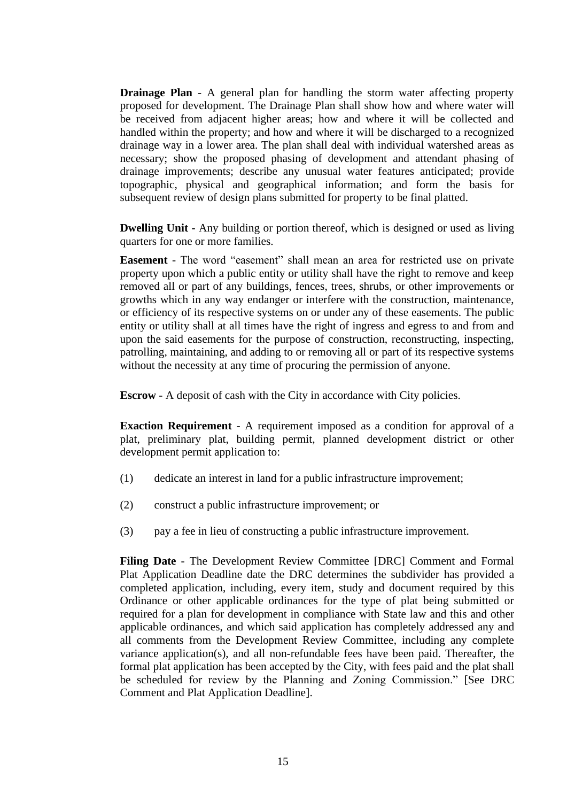**Drainage Plan** - A general plan for handling the storm water affecting property proposed for development. The Drainage Plan shall show how and where water will be received from adjacent higher areas; how and where it will be collected and handled within the property; and how and where it will be discharged to a recognized drainage way in a lower area. The plan shall deal with individual watershed areas as necessary; show the proposed phasing of development and attendant phasing of drainage improvements; describe any unusual water features anticipated; provide topographic, physical and geographical information; and form the basis for subsequent review of design plans submitted for property to be final platted.

**Dwelling Unit -** Any building or portion thereof, which is designed or used as living quarters for one or more families.

**Easement** - The word "easement" shall mean an area for restricted use on private property upon which a public entity or utility shall have the right to remove and keep removed all or part of any buildings, fences, trees, shrubs, or other improvements or growths which in any way endanger or interfere with the construction, maintenance, or efficiency of its respective systems on or under any of these easements. The public entity or utility shall at all times have the right of ingress and egress to and from and upon the said easements for the purpose of construction, reconstructing, inspecting, patrolling, maintaining, and adding to or removing all or part of its respective systems without the necessity at any time of procuring the permission of anyone.

**Escrow** - A deposit of cash with the City in accordance with City policies.

**Exaction Requirement** - A requirement imposed as a condition for approval of a plat, preliminary plat, building permit, planned development district or other development permit application to:

- (1) dedicate an interest in land for a public infrastructure improvement;
- (2) construct a public infrastructure improvement; or
- (3) pay a fee in lieu of constructing a public infrastructure improvement.

**Filing Date** - The Development Review Committee [DRC] Comment and Formal Plat Application Deadline date the DRC determines the subdivider has provided a completed application, including, every item, study and document required by this Ordinance or other applicable ordinances for the type of plat being submitted or required for a plan for development in compliance with State law and this and other applicable ordinances, and which said application has completely addressed any and all comments from the Development Review Committee, including any complete variance application(s), and all non-refundable fees have been paid. Thereafter, the formal plat application has been accepted by the City, with fees paid and the plat shall be scheduled for review by the Planning and Zoning Commission." [See DRC Comment and Plat Application Deadline].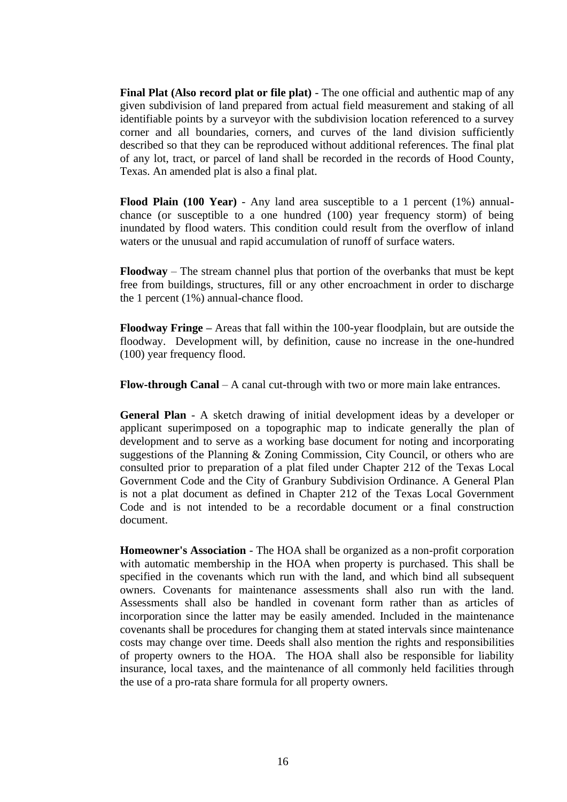**Final Plat (Also record plat or file plat)** - The one official and authentic map of any given subdivision of land prepared from actual field measurement and staking of all identifiable points by a surveyor with the subdivision location referenced to a survey corner and all boundaries, corners, and curves of the land division sufficiently described so that they can be reproduced without additional references. The final plat of any lot, tract, or parcel of land shall be recorded in the records of Hood County, Texas. An amended plat is also a final plat.

**Flood Plain (100 Year)** - Any land area susceptible to a 1 percent (1%) annualchance (or susceptible to a one hundred (100) year frequency storm) of being inundated by flood waters. This condition could result from the overflow of inland waters or the unusual and rapid accumulation of runoff of surface waters.

**Floodway** – The stream channel plus that portion of the overbanks that must be kept free from buildings, structures, fill or any other encroachment in order to discharge the 1 percent (1%) annual-chance flood.

**Floodway Fringe –** Areas that fall within the 100-year floodplain, but are outside the floodway. Development will, by definition, cause no increase in the one-hundred (100) year frequency flood.

**Flow-through Canal** – A canal cut-through with two or more main lake entrances.

**General Plan** - A sketch drawing of initial development ideas by a developer or applicant superimposed on a topographic map to indicate generally the plan of development and to serve as a working base document for noting and incorporating suggestions of the Planning & Zoning Commission, City Council, or others who are consulted prior to preparation of a plat filed under Chapter 212 of the Texas Local Government Code and the City of Granbury Subdivision Ordinance. A General Plan is not a plat document as defined in Chapter 212 of the Texas Local Government Code and is not intended to be a recordable document or a final construction document.

**Homeowner's Association** - The HOA shall be organized as a non-profit corporation with automatic membership in the HOA when property is purchased. This shall be specified in the covenants which run with the land, and which bind all subsequent owners. Covenants for maintenance assessments shall also run with the land. Assessments shall also be handled in covenant form rather than as articles of incorporation since the latter may be easily amended. Included in the maintenance covenants shall be procedures for changing them at stated intervals since maintenance costs may change over time. Deeds shall also mention the rights and responsibilities of property owners to the HOA. The HOA shall also be responsible for liability insurance, local taxes, and the maintenance of all commonly held facilities through the use of a pro-rata share formula for all property owners.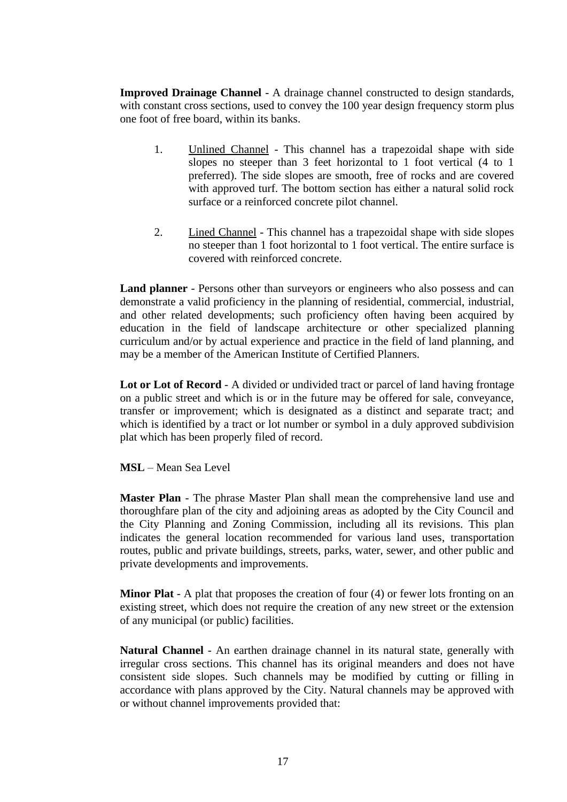**Improved Drainage Channel** - A drainage channel constructed to design standards, with constant cross sections, used to convey the 100 year design frequency storm plus one foot of free board, within its banks.

- 1. Unlined Channel This channel has a trapezoidal shape with side slopes no steeper than 3 feet horizontal to 1 foot vertical (4 to 1 preferred). The side slopes are smooth, free of rocks and are covered with approved turf. The bottom section has either a natural solid rock surface or a reinforced concrete pilot channel.
- 2. Lined Channel This channel has a trapezoidal shape with side slopes no steeper than 1 foot horizontal to 1 foot vertical. The entire surface is covered with reinforced concrete.

**Land planner** - Persons other than surveyors or engineers who also possess and can demonstrate a valid proficiency in the planning of residential, commercial, industrial, and other related developments; such proficiency often having been acquired by education in the field of landscape architecture or other specialized planning curriculum and/or by actual experience and practice in the field of land planning, and may be a member of the American Institute of Certified Planners.

**Lot or Lot of Record** - A divided or undivided tract or parcel of land having frontage on a public street and which is or in the future may be offered for sale, conveyance, transfer or improvement; which is designated as a distinct and separate tract; and which is identified by a tract or lot number or symbol in a duly approved subdivision plat which has been properly filed of record.

**MSL** – Mean Sea Level

**Master Plan** - The phrase Master Plan shall mean the comprehensive land use and thoroughfare plan of the city and adjoining areas as adopted by the City Council and the City Planning and Zoning Commission, including all its revisions. This plan indicates the general location recommended for various land uses, transportation routes, public and private buildings, streets, parks, water, sewer, and other public and private developments and improvements.

**Minor Plat** - A plat that proposes the creation of four (4) or fewer lots fronting on an existing street, which does not require the creation of any new street or the extension of any municipal (or public) facilities.

**Natural Channel** - An earthen drainage channel in its natural state, generally with irregular cross sections. This channel has its original meanders and does not have consistent side slopes. Such channels may be modified by cutting or filling in accordance with plans approved by the City. Natural channels may be approved with or without channel improvements provided that: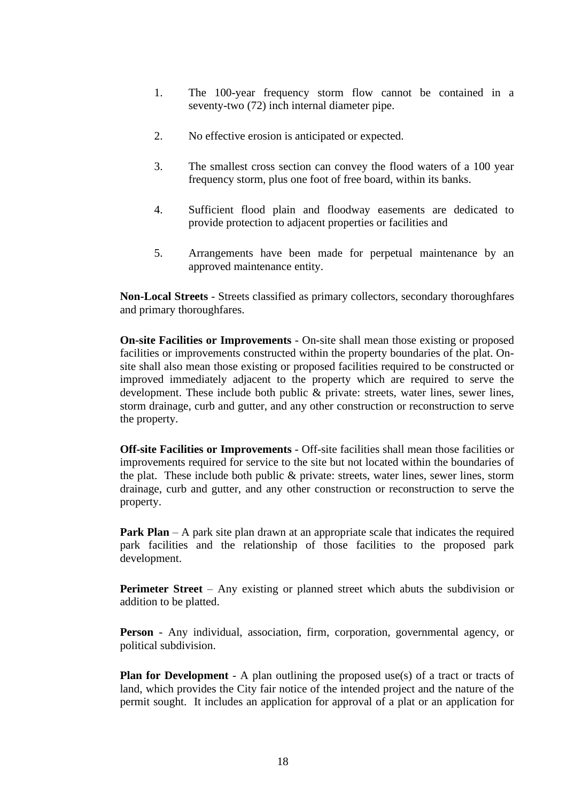- 1. The 100-year frequency storm flow cannot be contained in a seventy-two (72) inch internal diameter pipe.
- 2. No effective erosion is anticipated or expected.
- 3. The smallest cross section can convey the flood waters of a 100 year frequency storm, plus one foot of free board, within its banks.
- 4. Sufficient flood plain and floodway easements are dedicated to provide protection to adjacent properties or facilities and
- 5. Arrangements have been made for perpetual maintenance by an approved maintenance entity.

**Non-Local Streets** - Streets classified as primary collectors, secondary thoroughfares and primary thoroughfares.

**On-site Facilities or Improvements** - On-site shall mean those existing or proposed facilities or improvements constructed within the property boundaries of the plat. Onsite shall also mean those existing or proposed facilities required to be constructed or improved immediately adjacent to the property which are required to serve the development. These include both public & private: streets, water lines, sewer lines, storm drainage, curb and gutter, and any other construction or reconstruction to serve the property.

**Off-site Facilities or Improvements** - Off-site facilities shall mean those facilities or improvements required for service to the site but not located within the boundaries of the plat. These include both public & private: streets, water lines, sewer lines, storm drainage, curb and gutter, and any other construction or reconstruction to serve the property.

**Park Plan** – A park site plan drawn at an appropriate scale that indicates the required park facilities and the relationship of those facilities to the proposed park development.

**Perimeter Street** – Any existing or planned street which abuts the subdivision or addition to be platted.

**Person** - Any individual, association, firm, corporation, governmental agency, or political subdivision.

**Plan for Development** - A plan outlining the proposed use(s) of a tract or tracts of land, which provides the City fair notice of the intended project and the nature of the permit sought. It includes an application for approval of a plat or an application for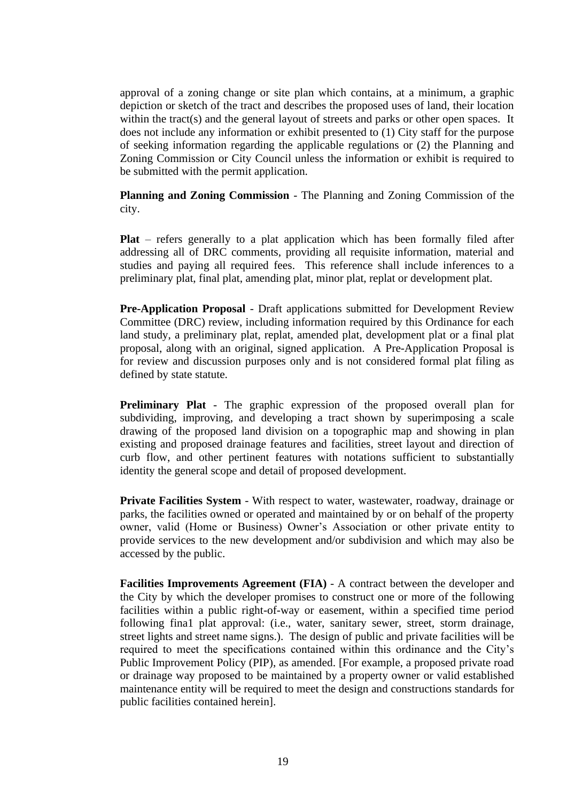approval of a zoning change or site plan which contains, at a minimum, a graphic depiction or sketch of the tract and describes the proposed uses of land, their location within the tract(s) and the general layout of streets and parks or other open spaces. It does not include any information or exhibit presented to (1) City staff for the purpose of seeking information regarding the applicable regulations or (2) the Planning and Zoning Commission or City Council unless the information or exhibit is required to be submitted with the permit application.

**Planning and Zoning Commission** - The Planning and Zoning Commission of the city.

**Plat** – refers generally to a plat application which has been formally filed after addressing all of DRC comments, providing all requisite information, material and studies and paying all required fees. This reference shall include inferences to a preliminary plat, final plat, amending plat, minor plat, replat or development plat.

**Pre-Application Proposal** - Draft applications submitted for Development Review Committee (DRC) review, including information required by this Ordinance for each land study, a preliminary plat, replat, amended plat, development plat or a final plat proposal, along with an original, signed application. A Pre-Application Proposal is for review and discussion purposes only and is not considered formal plat filing as defined by state statute.

**Preliminary Plat** - The graphic expression of the proposed overall plan for subdividing, improving, and developing a tract shown by superimposing a scale drawing of the proposed land division on a topographic map and showing in plan existing and proposed drainage features and facilities, street layout and direction of curb flow, and other pertinent features with notations sufficient to substantially identity the general scope and detail of proposed development.

**Private Facilities System** - With respect to water, wastewater, roadway, drainage or parks, the facilities owned or operated and maintained by or on behalf of the property owner, valid (Home or Business) Owner's Association or other private entity to provide services to the new development and/or subdivision and which may also be accessed by the public.

**Facilities Improvements Agreement (FIA)** - A contract between the developer and the City by which the developer promises to construct one or more of the following facilities within a public right-of-way or easement, within a specified time period following fina1 plat approval: (i.e., water, sanitary sewer, street, storm drainage, street lights and street name signs.). The design of public and private facilities will be required to meet the specifications contained within this ordinance and the City's Public Improvement Policy (PIP), as amended. [For example, a proposed private road or drainage way proposed to be maintained by a property owner or valid established maintenance entity will be required to meet the design and constructions standards for public facilities contained herein].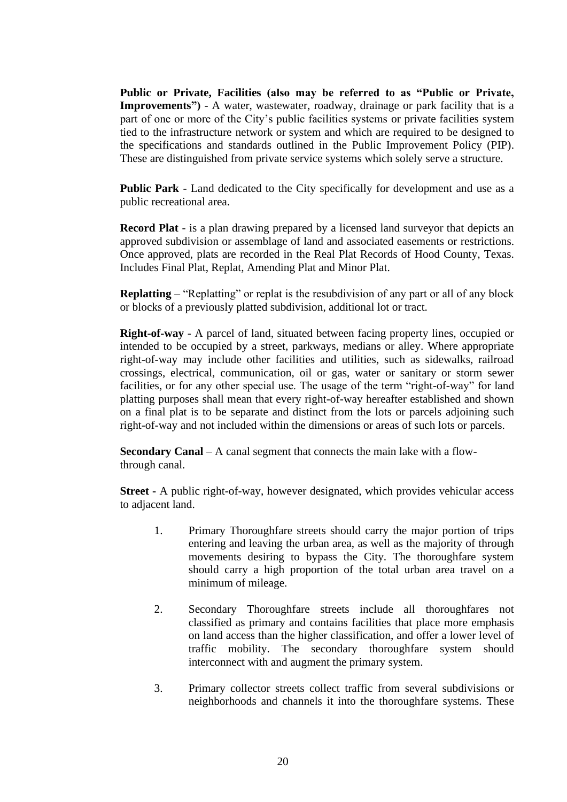**Public or Private, Facilities (also may be referred to as "Public or Private, Improvements")** - A water, wastewater, roadway, drainage or park facility that is a part of one or more of the City's public facilities systems or private facilities system tied to the infrastructure network or system and which are required to be designed to the specifications and standards outlined in the Public Improvement Policy (PIP). These are distinguished from private service systems which solely serve a structure.

**Public Park** - Land dedicated to the City specifically for development and use as a public recreational area.

**Record Plat** - is a plan drawing prepared by a licensed land surveyor that depicts an approved subdivision or assemblage of land and associated easements or restrictions. Once approved, plats are recorded in the Real Plat Records of Hood County, Texas. Includes Final Plat, Replat, Amending Plat and Minor Plat.

**Replatting** – "Replatting" or replat is the resubdivision of any part or all of any block or blocks of a previously platted subdivision, additional lot or tract.

**Right-of-way** - A parcel of land, situated between facing property lines, occupied or intended to be occupied by a street, parkways, medians or alley. Where appropriate right-of-way may include other facilities and utilities, such as sidewalks, railroad crossings, electrical, communication, oil or gas, water or sanitary or storm sewer facilities, or for any other special use. The usage of the term "right-of-way" for land platting purposes shall mean that every right-of-way hereafter established and shown on a final plat is to be separate and distinct from the lots or parcels adjoining such right-of-way and not included within the dimensions or areas of such lots or parcels.

**Secondary Canal** – A canal segment that connects the main lake with a flowthrough canal.

**Street -** A public right-of-way, however designated, which provides vehicular access to adjacent land.

- 1. Primary Thoroughfare streets should carry the major portion of trips entering and leaving the urban area, as well as the majority of through movements desiring to bypass the City. The thoroughfare system should carry a high proportion of the total urban area travel on a minimum of mileage.
- 2. Secondary Thoroughfare streets include all thoroughfares not classified as primary and contains facilities that place more emphasis on land access than the higher classification, and offer a lower level of traffic mobility. The secondary thoroughfare system should interconnect with and augment the primary system.
- 3. Primary collector streets collect traffic from several subdivisions or neighborhoods and channels it into the thoroughfare systems. These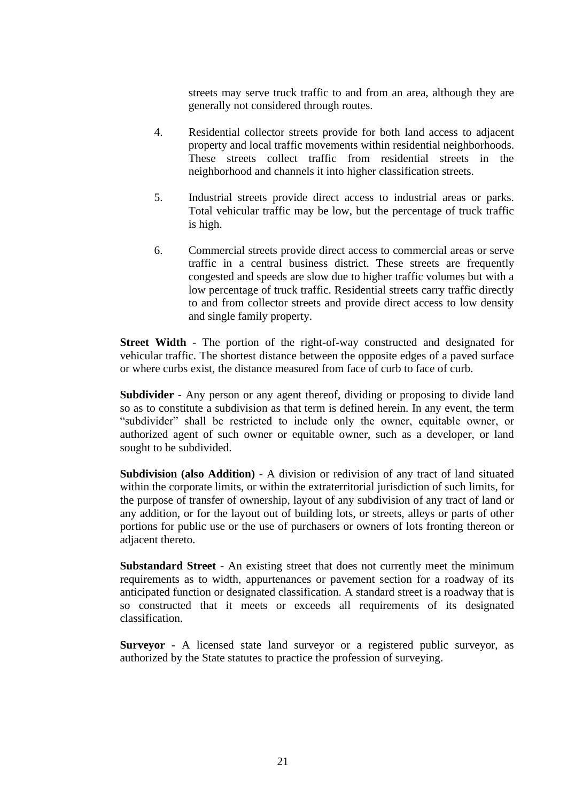streets may serve truck traffic to and from an area, although they are generally not considered through routes.

- 4. Residential collector streets provide for both land access to adjacent property and local traffic movements within residential neighborhoods. These streets collect traffic from residential streets in the neighborhood and channels it into higher classification streets.
- 5. Industrial streets provide direct access to industrial areas or parks. Total vehicular traffic may be low, but the percentage of truck traffic is high.
- 6. Commercial streets provide direct access to commercial areas or serve traffic in a central business district. These streets are frequently congested and speeds are slow due to higher traffic volumes but with a low percentage of truck traffic. Residential streets carry traffic directly to and from collector streets and provide direct access to low density and single family property.

**Street Width** - The portion of the right-of-way constructed and designated for vehicular traffic. The shortest distance between the opposite edges of a paved surface or where curbs exist, the distance measured from face of curb to face of curb.

**Subdivider** - Any person or any agent thereof, dividing or proposing to divide land so as to constitute a subdivision as that term is defined herein. In any event, the term "subdivider" shall be restricted to include only the owner, equitable owner, or authorized agent of such owner or equitable owner, such as a developer, or land sought to be subdivided.

**Subdivision (also Addition)** - A division or redivision of any tract of land situated within the corporate limits, or within the extraterritorial jurisdiction of such limits, for the purpose of transfer of ownership, layout of any subdivision of any tract of land or any addition, or for the layout out of building lots, or streets, alleys or parts of other portions for public use or the use of purchasers or owners of lots fronting thereon or adjacent thereto.

**Substandard Street** - An existing street that does not currently meet the minimum requirements as to width, appurtenances or pavement section for a roadway of its anticipated function or designated classification. A standard street is a roadway that is so constructed that it meets or exceeds all requirements of its designated classification.

**Surveyor** - A licensed state land surveyor or a registered public surveyor, as authorized by the State statutes to practice the profession of surveying.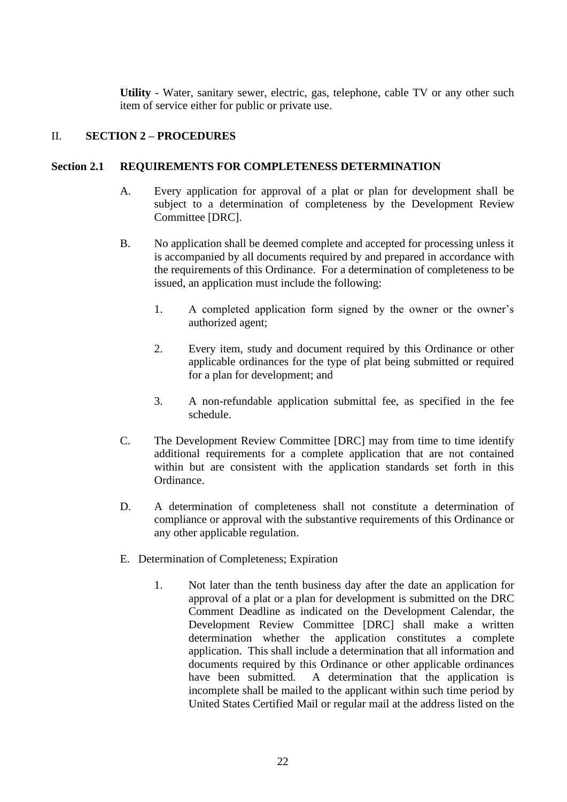**Utility** - Water, sanitary sewer, electric, gas, telephone, cable TV or any other such item of service either for public or private use.

## II. **SECTION 2 – PROCEDURES**

## **Section 2.1 REQUIREMENTS FOR COMPLETENESS DETERMINATION**

- A. Every application for approval of a plat or plan for development shall be subject to a determination of completeness by the Development Review Committee [DRC].
- B. No application shall be deemed complete and accepted for processing unless it is accompanied by all documents required by and prepared in accordance with the requirements of this Ordinance. For a determination of completeness to be issued, an application must include the following:
	- 1. A completed application form signed by the owner or the owner's authorized agent;
	- 2. Every item, study and document required by this Ordinance or other applicable ordinances for the type of plat being submitted or required for a plan for development; and
	- 3. A non-refundable application submittal fee, as specified in the fee schedule.
- C. The Development Review Committee [DRC] may from time to time identify additional requirements for a complete application that are not contained within but are consistent with the application standards set forth in this Ordinance.
- D. A determination of completeness shall not constitute a determination of compliance or approval with the substantive requirements of this Ordinance or any other applicable regulation.
- E. Determination of Completeness; Expiration
	- 1. Not later than the tenth business day after the date an application for approval of a plat or a plan for development is submitted on the DRC Comment Deadline as indicated on the Development Calendar, the Development Review Committee [DRC] shall make a written determination whether the application constitutes a complete application. This shall include a determination that all information and documents required by this Ordinance or other applicable ordinances have been submitted. A determination that the application is incomplete shall be mailed to the applicant within such time period by United States Certified Mail or regular mail at the address listed on the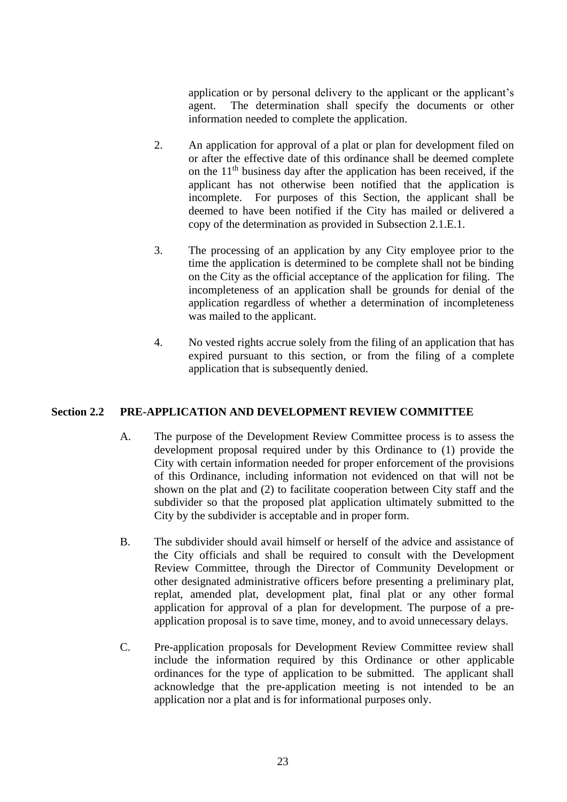application or by personal delivery to the applicant or the applicant's agent. The determination shall specify the documents or other information needed to complete the application.

- 2. An application for approval of a plat or plan for development filed on or after the effective date of this ordinance shall be deemed complete on the  $11<sup>th</sup>$  business day after the application has been received, if the applicant has not otherwise been notified that the application is incomplete. For purposes of this Section, the applicant shall be deemed to have been notified if the City has mailed or delivered a copy of the determination as provided in Subsection 2.1.E.1.
- 3. The processing of an application by any City employee prior to the time the application is determined to be complete shall not be binding on the City as the official acceptance of the application for filing. The incompleteness of an application shall be grounds for denial of the application regardless of whether a determination of incompleteness was mailed to the applicant.
- 4. No vested rights accrue solely from the filing of an application that has expired pursuant to this section, or from the filing of a complete application that is subsequently denied.

#### **Section 2.2 PRE-APPLICATION AND DEVELOPMENT REVIEW COMMITTEE**

- A. The purpose of the Development Review Committee process is to assess the development proposal required under by this Ordinance to (1) provide the City with certain information needed for proper enforcement of the provisions of this Ordinance, including information not evidenced on that will not be shown on the plat and (2) to facilitate cooperation between City staff and the subdivider so that the proposed plat application ultimately submitted to the City by the subdivider is acceptable and in proper form.
- B. The subdivider should avail himself or herself of the advice and assistance of the City officials and shall be required to consult with the Development Review Committee, through the Director of Community Development or other designated administrative officers before presenting a preliminary plat, replat, amended plat, development plat, final plat or any other formal application for approval of a plan for development. The purpose of a preapplication proposal is to save time, money, and to avoid unnecessary delays.
- C. Pre-application proposals for Development Review Committee review shall include the information required by this Ordinance or other applicable ordinances for the type of application to be submitted. The applicant shall acknowledge that the pre-application meeting is not intended to be an application nor a plat and is for informational purposes only.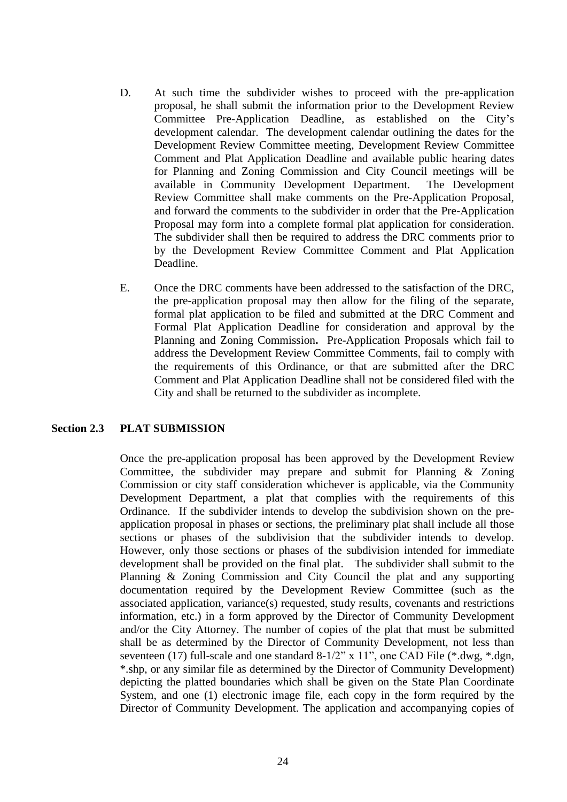- D. At such time the subdivider wishes to proceed with the pre-application proposal, he shall submit the information prior to the Development Review Committee Pre-Application Deadline, as established on the City's development calendar. The development calendar outlining the dates for the Development Review Committee meeting, Development Review Committee Comment and Plat Application Deadline and available public hearing dates for Planning and Zoning Commission and City Council meetings will be available in Community Development Department. The Development Review Committee shall make comments on the Pre-Application Proposal, and forward the comments to the subdivider in order that the Pre-Application Proposal may form into a complete formal plat application for consideration. The subdivider shall then be required to address the DRC comments prior to by the Development Review Committee Comment and Plat Application Deadline.
- E. Once the DRC comments have been addressed to the satisfaction of the DRC, the pre-application proposal may then allow for the filing of the separate, formal plat application to be filed and submitted at the DRC Comment and Formal Plat Application Deadline for consideration and approval by the Planning and Zoning Commission**.** Pre-Application Proposals which fail to address the Development Review Committee Comments, fail to comply with the requirements of this Ordinance, or that are submitted after the DRC Comment and Plat Application Deadline shall not be considered filed with the City and shall be returned to the subdivider as incomplete.

#### **Section 2.3 PLAT SUBMISSION**

Once the pre-application proposal has been approved by the Development Review Committee, the subdivider may prepare and submit for Planning & Zoning Commission or city staff consideration whichever is applicable, via the Community Development Department, a plat that complies with the requirements of this Ordinance. If the subdivider intends to develop the subdivision shown on the preapplication proposal in phases or sections, the preliminary plat shall include all those sections or phases of the subdivision that the subdivider intends to develop. However, only those sections or phases of the subdivision intended for immediate development shall be provided on the final plat. The subdivider shall submit to the Planning & Zoning Commission and City Council the plat and any supporting documentation required by the Development Review Committee (such as the associated application, variance(s) requested, study results, covenants and restrictions information, etc.) in a form approved by the Director of Community Development and/or the City Attorney. The number of copies of the plat that must be submitted shall be as determined by the Director of Community Development, not less than seventeen (17) full-scale and one standard 8-1/2" x 11", one CAD File (\*.dwg, \*.dgn, \*.shp, or any similar file as determined by the Director of Community Development) depicting the platted boundaries which shall be given on the State Plan Coordinate System, and one (1) electronic image file, each copy in the form required by the Director of Community Development. The application and accompanying copies of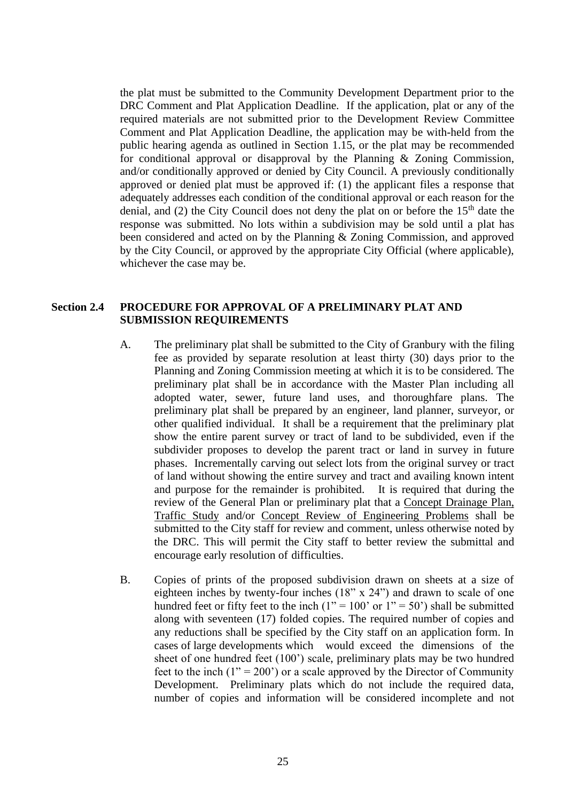the plat must be submitted to the Community Development Department prior to the DRC Comment and Plat Application Deadline. If the application, plat or any of the required materials are not submitted prior to the Development Review Committee Comment and Plat Application Deadline, the application may be with-held from the public hearing agenda as outlined in Section 1.15, or the plat may be recommended for conditional approval or disapproval by the Planning & Zoning Commission, and/or conditionally approved or denied by City Council. A previously conditionally approved or denied plat must be approved if: (1) the applicant files a response that adequately addresses each condition of the conditional approval or each reason for the denial, and  $(2)$  the City Council does not deny the plat on or before the 15<sup>th</sup> date the response was submitted. No lots within a subdivision may be sold until a plat has been considered and acted on by the Planning & Zoning Commission, and approved by the City Council, or approved by the appropriate City Official (where applicable), whichever the case may be.

## **Section 2.4 PROCEDURE FOR APPROVAL OF A PRELIMINARY PLAT AND SUBMISSION REQUIREMENTS**

- A. The preliminary plat shall be submitted to the City of Granbury with the filing fee as provided by separate resolution at least thirty (30) days prior to the Planning and Zoning Commission meeting at which it is to be considered. The preliminary plat shall be in accordance with the Master Plan including all adopted water, sewer, future land uses, and thoroughfare plans. The preliminary plat shall be prepared by an engineer, land planner, surveyor, or other qualified individual. It shall be a requirement that the preliminary plat show the entire parent survey or tract of land to be subdivided, even if the subdivider proposes to develop the parent tract or land in survey in future phases. Incrementally carving out select lots from the original survey or tract of land without showing the entire survey and tract and availing known intent and purpose for the remainder is prohibited. It is required that during the review of the General Plan or preliminary plat that a Concept Drainage Plan, Traffic Study and/or Concept Review of Engineering Problems shall be submitted to the City staff for review and comment, unless otherwise noted by the DRC. This will permit the City staff to better review the submittal and encourage early resolution of difficulties.
- B. Copies of prints of the proposed subdivision drawn on sheets at a size of eighteen inches by twenty-four inches (18" x 24") and drawn to scale of one hundred feet or fifty feet to the inch  $(1" = 100"$  or  $1" = 50"$ ) shall be submitted along with seventeen (17) folded copies. The required number of copies and any reductions shall be specified by the City staff on an application form. In cases of large developments which would exceed the dimensions of the sheet of one hundred feet (100') scale, preliminary plats may be two hundred feet to the inch  $(1'' = 200')$  or a scale approved by the Director of Community Development. Preliminary plats which do not include the required data, number of copies and information will be considered incomplete and not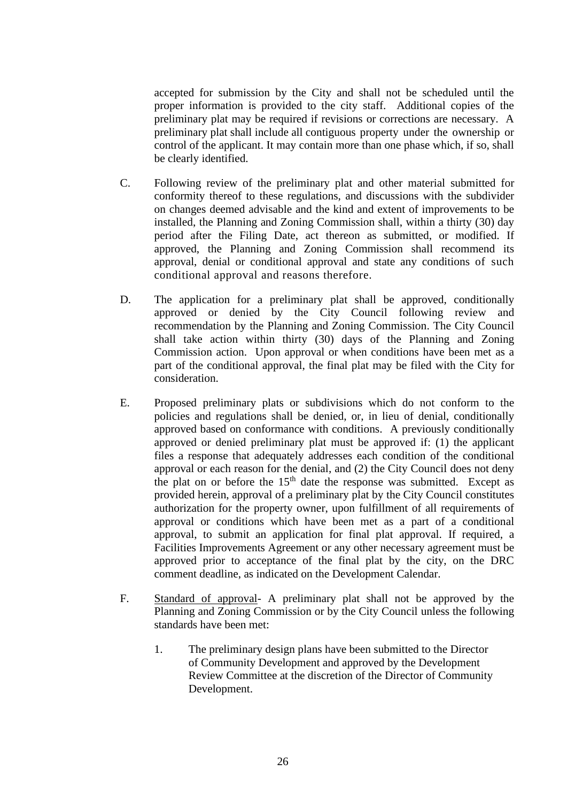accepted for submission by the City and shall not be scheduled until the proper information is provided to the city staff. Additional copies of the preliminary plat may be required if revisions or corrections are necessary. A preliminary plat shall include all contiguous property under the ownership or control of the applicant. It may contain more than one phase which, if so, shall be clearly identified.

- C. Following review of the preliminary plat and other material submitted for conformity thereof to these regulations, and discussions with the subdivider on changes deemed advisable and the kind and extent of improvements to be installed, the Planning and Zoning Commission shall, within a thirty (30) day period after the Filing Date, act thereon as submitted, or modified. If approved, the Planning and Zoning Commission shall recommend its approval, denial or conditional approval and state any conditions of such conditional approval and reasons therefore.
- D. The application for a preliminary plat shall be approved, conditionally approved or denied by the City Council following review and recommendation by the Planning and Zoning Commission. The City Council shall take action within thirty (30) days of the Planning and Zoning Commission action. Upon approval or when conditions have been met as a part of the conditional approval, the final plat may be filed with the City for consideration.
- E. Proposed preliminary plats or subdivisions which do not conform to the policies and regulations shall be denied, or, in lieu of denial, conditionally approved based on conformance with conditions.A previously conditionally approved or denied preliminary plat must be approved if: (1) the applicant files a response that adequately addresses each condition of the conditional approval or each reason for the denial, and (2) the City Council does not deny the plat on or before the  $15<sup>th</sup>$  date the response was submitted. Except as provided herein, approval of a preliminary plat by the City Council constitutes authorization for the property owner, upon fulfillment of all requirements of approval or conditions which have been met as a part of a conditional approval, to submit an application for final plat approval. If required, a Facilities Improvements Agreement or any other necessary agreement must be approved prior to acceptance of the final plat by the city, on the DRC comment deadline, as indicated on the Development Calendar.
- F. Standard of approval- A preliminary plat shall not be approved by the Planning and Zoning Commission or by the City Council unless the following standards have been met:
	- 1. The preliminary design plans have been submitted to the Director of Community Development and approved by the Development Review Committee at the discretion of the Director of Community Development.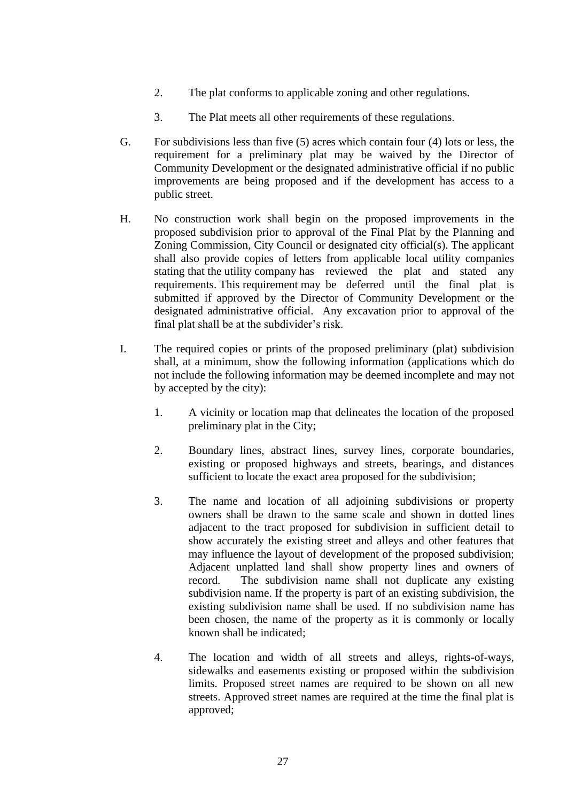- 2. The plat conforms to applicable zoning and other regulations.
- 3. The Plat meets all other requirements of these regulations.
- G. For subdivisions less than five (5) acres which contain four (4) lots or less, the requirement for a preliminary plat may be waived by the Director of Community Development or the designated administrative official if no public improvements are being proposed and if the development has access to a public street.
- H. No construction work shall begin on the proposed improvements in the proposed subdivision prior to approval of the Final Plat by the Planning and Zoning Commission, City Council or designated city official(s). The applicant shall also provide copies of letters from applicable local utility companies stating that the utility company has reviewed the plat and stated any requirements. This requirement may be deferred until the final plat is submitted if approved by the Director of Community Development or the designated administrative official. Any excavation prior to approval of the final plat shall be at the subdivider's risk.
- I. The required copies or prints of the proposed preliminary (plat) subdivision shall, at a minimum, show the following information (applications which do not include the following information may be deemed incomplete and may not by accepted by the city):
	- 1. A vicinity or location map that delineates the location of the proposed preliminary plat in the City;
	- 2. Boundary lines, abstract lines, survey lines, corporate boundaries, existing or proposed highways and streets, bearings, and distances sufficient to locate the exact area proposed for the subdivision;
	- 3. The name and location of all adjoining subdivisions or property owners shall be drawn to the same scale and shown in dotted lines adjacent to the tract proposed for subdivision in sufficient detail to show accurately the existing street and alleys and other features that may influence the layout of development of the proposed subdivision; Adjacent unplatted land shall show property lines and owners of record. The subdivision name shall not duplicate any existing subdivision name. If the property is part of an existing subdivision, the existing subdivision name shall be used. If no subdivision name has been chosen, the name of the property as it is commonly or locally known shall be indicated;
	- 4. The location and width of all streets and alleys, rights-of-ways, sidewalks and easements existing or proposed within the subdivision limits. Proposed street names are required to be shown on all new streets. Approved street names are required at the time the final plat is approved;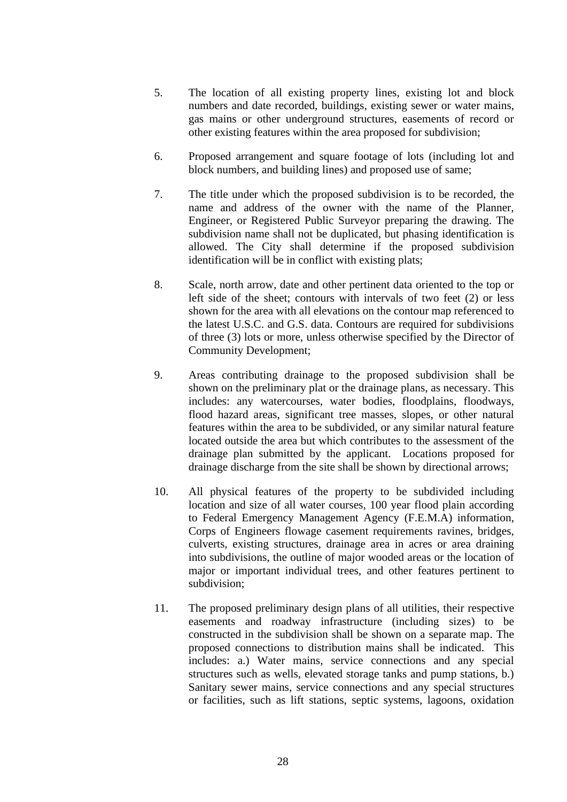- 5. The location of all existing property lines, existing lot and block numbers and date recorded, buildings, existing sewer or water mains, gas mains or other underground structures, easements of record or other existing features within the area proposed for subdivision;
- 6. Proposed arrangement and square footage of lots (including lot and block numbers, and building lines) and proposed use of same;
- 7. The title under which the proposed subdivision is to be recorded, the name and address of the owner with the name of the Planner, Engineer, or Registered Public Surveyor preparing the drawing. The subdivision name shall not be duplicated, but phasing identification is allowed. The City shall determine if the proposed subdivision identification will be in conflict with existing plats;
- 8. Scale, north arrow, date and other pertinent data oriented to the top or left side of the sheet; contours with intervals of two feet (2) or less shown for the area with all elevations on the contour map referenced to the latest U.S.C. and G.S. data. Contours are required for subdivisions of three (3) lots or more, unless otherwise specified by the Director of Community Development;
- 9. Areas contributing drainage to the proposed subdivision shall be shown on the preliminary plat or the drainage plans, as necessary. This includes: any watercourses, water bodies, floodplains, floodways, flood hazard areas, significant tree masses, slopes, or other natural features within the area to be subdivided, or any similar natural feature located outside the area but which contributes to the assessment of the drainage plan submitted by the applicant. Locations proposed for drainage discharge from the site shall be shown by directional arrows;
- 10. All physical features of the property to be subdivided including location and size of all water courses, 100 year flood plain according to Federal Emergency Management Agency (F.E.M.A) information, Corps of Engineers flowage casement requirements ravines, bridges, culverts, existing structures, drainage area in acres or area draining into subdivisions, the outline of major wooded areas or the location of major or important individual trees, and other features pertinent to subdivision;
- 11. The proposed preliminary design plans of all utilities, their respective easements and roadway infrastructure (including sizes) to be constructed in the subdivision shall be shown on a separate map. The proposed connections to distribution mains shall be indicated. This includes: a.) Water mains, service connections and any special structures such as wells, elevated storage tanks and pump stations, b.) Sanitary sewer mains, service connections and any special structures or facilities, such as lift stations, septic systems, lagoons, oxidation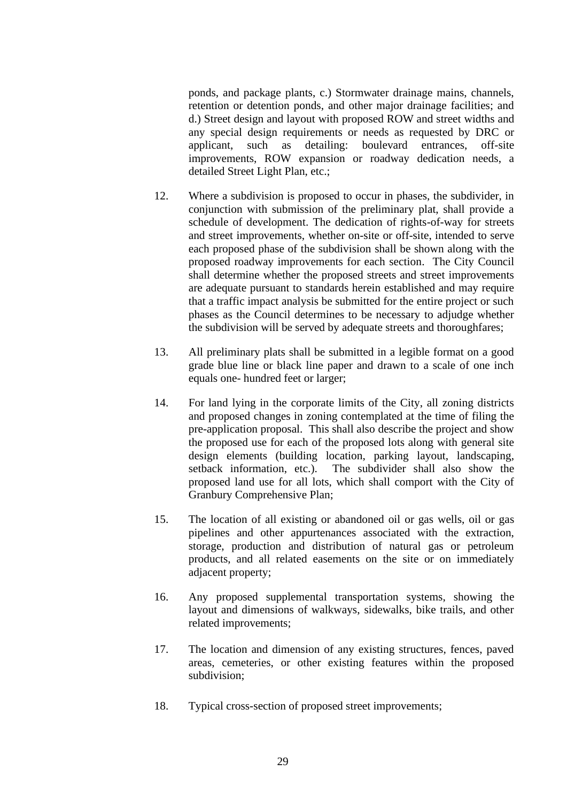ponds, and package plants, c.) Stormwater drainage mains, channels, retention or detention ponds, and other major drainage facilities; and d.) Street design and layout with proposed ROW and street widths and any special design requirements or needs as requested by DRC or applicant, such as detailing: boulevard entrances, off-site improvements, ROW expansion or roadway dedication needs, a detailed Street Light Plan, etc.;

- 12. Where a subdivision is proposed to occur in phases, the subdivider, in conjunction with submission of the preliminary plat, shall provide a schedule of development. The dedication of rights-of-way for streets and street improvements, whether on-site or off-site, intended to serve each proposed phase of the subdivision shall be shown along with the proposed roadway improvements for each section. The City Council shall determine whether the proposed streets and street improvements are adequate pursuant to standards herein established and may require that a traffic impact analysis be submitted for the entire project or such phases as the Council determines to be necessary to adjudge whether the subdivision will be served by adequate streets and thoroughfares;
- 13. All preliminary plats shall be submitted in a legible format on a good grade blue line or black line paper and drawn to a scale of one inch equals one- hundred feet or larger;
- 14. For land lying in the corporate limits of the City, all zoning districts and proposed changes in zoning contemplated at the time of filing the pre-application proposal. This shall also describe the project and show the proposed use for each of the proposed lots along with general site design elements (building location, parking layout, landscaping, setback information, etc.). The subdivider shall also show the proposed land use for all lots, which shall comport with the City of Granbury Comprehensive Plan;
- 15. The location of all existing or abandoned oil or gas wells, oil or gas pipelines and other appurtenances associated with the extraction, storage, production and distribution of natural gas or petroleum products, and all related easements on the site or on immediately adjacent property;
- 16. Any proposed supplemental transportation systems, showing the layout and dimensions of walkways, sidewalks, bike trails, and other related improvements;
- 17. The location and dimension of any existing structures, fences, paved areas, cemeteries, or other existing features within the proposed subdivision;
- 18. Typical cross-section of proposed street improvements;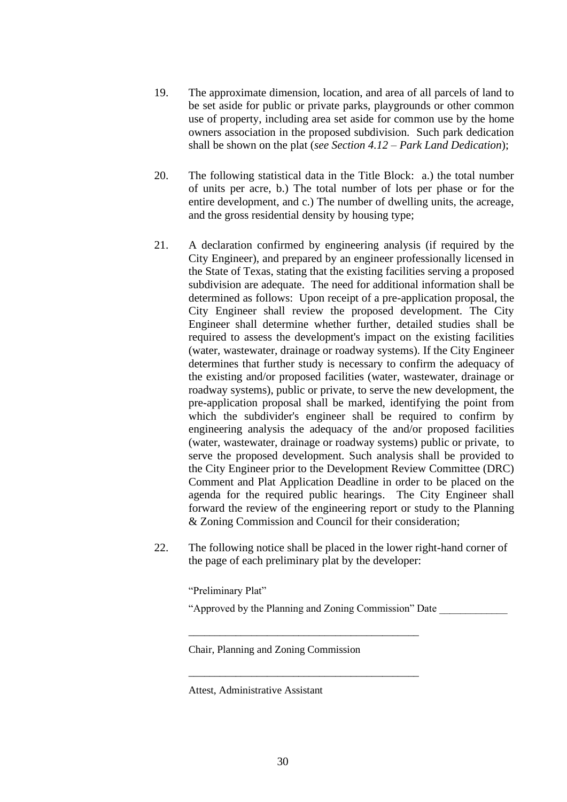- 19. The approximate dimension, location, and area of all parcels of land to be set aside for public or private parks, playgrounds or other common use of property, including area set aside for common use by the home owners association in the proposed subdivision. Such park dedication shall be shown on the plat (*see Section 4.12 – Park Land Dedication*);
- 20. The following statistical data in the Title Block: a.) the total number of units per acre, b.) The total number of lots per phase or for the entire development, and c.) The number of dwelling units, the acreage, and the gross residential density by housing type;
- 21. A declaration confirmed by engineering analysis (if required by the City Engineer), and prepared by an engineer professionally licensed in the State of Texas, stating that the existing facilities serving a proposed subdivision are adequate. The need for additional information shall be determined as follows: Upon receipt of a pre-application proposal, the City Engineer shall review the proposed development. The City Engineer shall determine whether further, detailed studies shall be required to assess the development's impact on the existing facilities (water, wastewater, drainage or roadway systems). If the City Engineer determines that further study is necessary to confirm the adequacy of the existing and/or proposed facilities (water, wastewater, drainage or roadway systems), public or private, to serve the new development, the pre-application proposal shall be marked, identifying the point from which the subdivider's engineer shall be required to confirm by engineering analysis the adequacy of the and/or proposed facilities (water, wastewater, drainage or roadway systems) public or private, to serve the proposed development. Such analysis shall be provided to the City Engineer prior to the Development Review Committee (DRC) Comment and Plat Application Deadline in order to be placed on the agenda for the required public hearings. The City Engineer shall forward the review of the engineering report or study to the Planning & Zoning Commission and Council for their consideration;
- 22. The following notice shall be placed in the lower right-hand corner of the page of each preliminary plat by the developer:

"Preliminary Plat"

"Approved by the Planning and Zoning Commission" Date \_\_\_\_\_\_\_\_\_\_\_\_\_

\_\_\_\_\_\_\_\_\_\_\_\_\_\_\_\_\_\_\_\_\_\_\_\_\_\_\_\_\_\_\_\_\_\_\_\_\_\_\_\_\_\_\_\_

\_\_\_\_\_\_\_\_\_\_\_\_\_\_\_\_\_\_\_\_\_\_\_\_\_\_\_\_\_\_\_\_\_\_\_\_\_\_\_\_\_\_\_\_

Chair, Planning and Zoning Commission

Attest, Administrative Assistant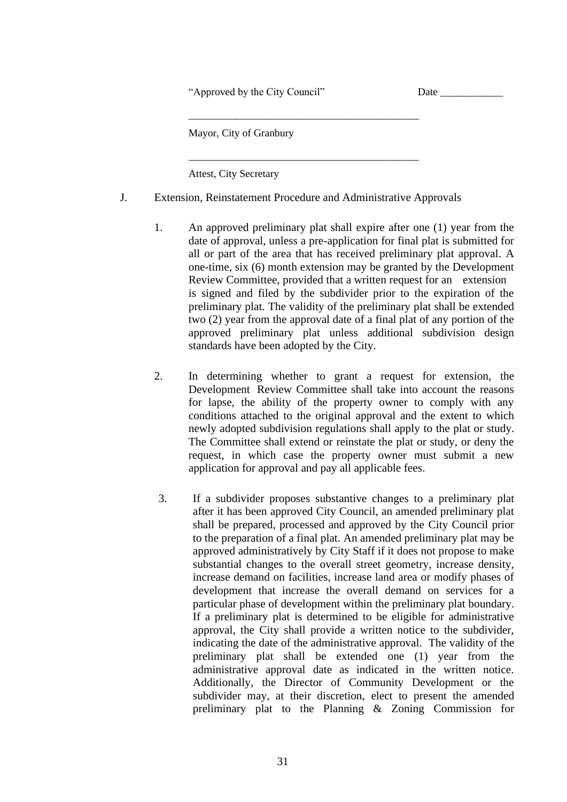"Approved by the City Council" Date \_\_\_\_\_\_\_\_\_\_\_\_

Mayor, City of Granbury

Attest, City Secretary

J. Extension, Reinstatement Procedure and Administrative Approvals

\_\_\_\_\_\_\_\_\_\_\_\_\_\_\_\_\_\_\_\_\_\_\_\_\_\_\_\_\_\_\_\_\_\_\_\_\_\_\_\_\_\_\_\_

\_\_\_\_\_\_\_\_\_\_\_\_\_\_\_\_\_\_\_\_\_\_\_\_\_\_\_\_\_\_\_\_\_\_\_\_\_\_\_\_\_\_\_\_

- 1. An approved preliminary plat shall expire after one (1) year from the date of approval, unless a pre-application for final plat is submitted for all or part of the area that has received preliminary plat approval. A one-time, six (6) month extension may be granted by the Development Review Committee, provided that a written request for an extension is signed and filed by the subdivider prior to the expiration of the preliminary plat. The validity of the preliminary plat shall be extended two (2) year from the approval date of a final plat of any portion of the approved preliminary plat unless additional subdivision design standards have been adopted by the City.
- 2. In determining whether to grant a request for extension, the Development Review Committee shall take into account the reasons for lapse, the ability of the property owner to comply with any conditions attached to the original approval and the extent to which newly adopted subdivision regulations shall apply to the plat or study. The Committee shall extend or reinstate the plat or study, or deny the request, in which case the property owner must submit a new application for approval and pay all applicable fees.
- 3. If a subdivider proposes substantive changes to a preliminary plat after it has been approved City Council, an amended preliminary plat shall be prepared, processed and approved by the City Council prior to the preparation of a final plat. An amended preliminary plat may be approved administratively by City Staff if it does not propose to make substantial changes to the overall street geometry, increase density, increase demand on facilities, increase land area or modify phases of development that increase the overall demand on services for a particular phase of development within the preliminary plat boundary. If a preliminary plat is determined to be eligible for administrative approval, the City shall provide a written notice to the subdivider, indicating the date of the administrative approval. The validity of the preliminary plat shall be extended one (1) year from the administrative approval date as indicated in the written notice. Additionally, the Director of Community Development or the subdivider may, at their discretion, elect to present the amended preliminary plat to the Planning & Zoning Commission for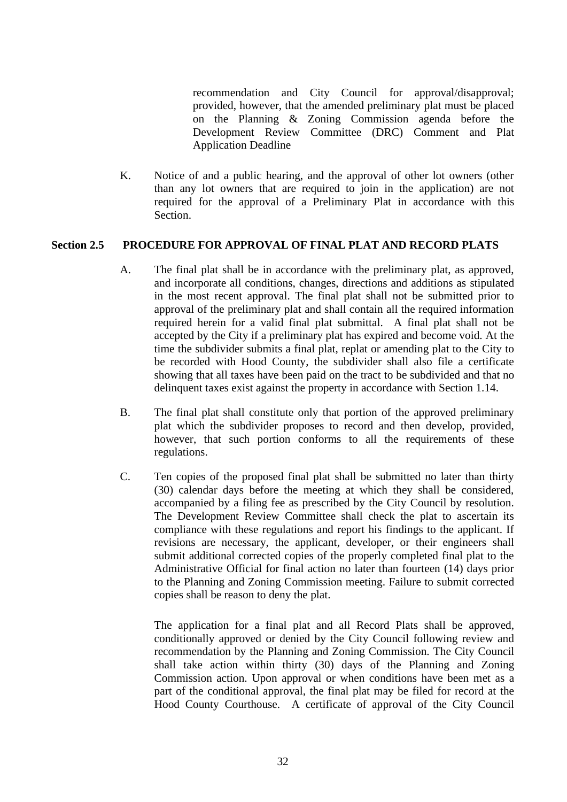recommendation and City Council for approval/disapproval; provided, however, that the amended preliminary plat must be placed on the Planning & Zoning Commission agenda before the Development Review Committee (DRC) Comment and Plat Application Deadline

K. Notice of and a public hearing, and the approval of other lot owners (other than any lot owners that are required to join in the application) are not required for the approval of a Preliminary Plat in accordance with this Section.

## **Section 2.5 PROCEDURE FOR APPROVAL OF FINAL PLAT AND RECORD PLATS**

- A. The final plat shall be in accordance with the preliminary plat, as approved, and incorporate all conditions, changes, directions and additions as stipulated in the most recent approval. The final plat shall not be submitted prior to approval of the preliminary plat and shall contain all the required information required herein for a valid final plat submittal. A final plat shall not be accepted by the City if a preliminary plat has expired and become void. At the time the subdivider submits a final plat, replat or amending plat to the City to be recorded with Hood County, the subdivider shall also file a certificate showing that all taxes have been paid on the tract to be subdivided and that no delinquent taxes exist against the property in accordance with Section 1.14.
- B. The final plat shall constitute only that portion of the approved preliminary plat which the subdivider proposes to record and then develop, provided, however, that such portion conforms to all the requirements of these regulations.
- C. Ten copies of the proposed final plat shall be submitted no later than thirty (30) calendar days before the meeting at which they shall be considered, accompanied by a filing fee as prescribed by the City Council by resolution. The Development Review Committee shall check the plat to ascertain its compliance with these regulations and report his findings to the applicant. If revisions are necessary, the applicant, developer, or their engineers shall submit additional corrected copies of the properly completed final plat to the Administrative Official for final action no later than fourteen (14) days prior to the Planning and Zoning Commission meeting. Failure to submit corrected copies shall be reason to deny the plat.

The application for a final plat and all Record Plats shall be approved, conditionally approved or denied by the City Council following review and recommendation by the Planning and Zoning Commission. The City Council shall take action within thirty (30) days of the Planning and Zoning Commission action. Upon approval or when conditions have been met as a part of the conditional approval, the final plat may be filed for record at the Hood County Courthouse. A certificate of approval of the City Council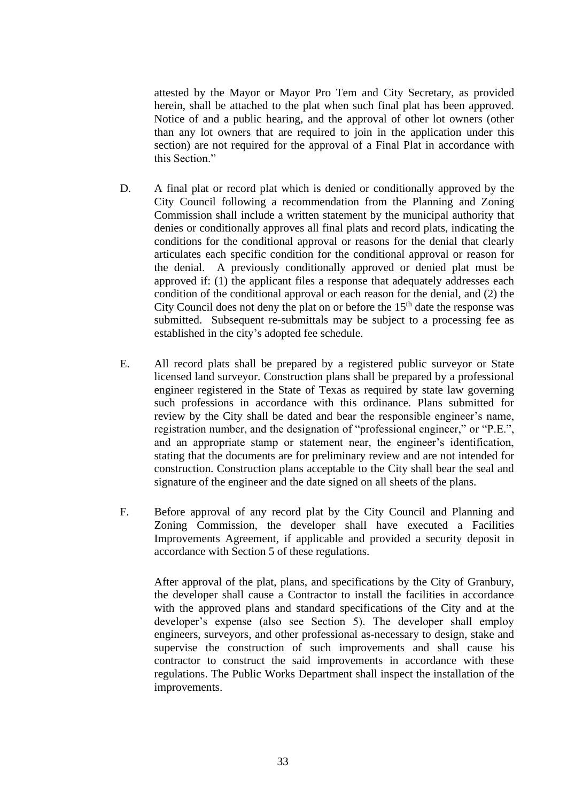attested by the Mayor or Mayor Pro Tem and City Secretary, as provided herein, shall be attached to the plat when such final plat has been approved. Notice of and a public hearing, and the approval of other lot owners (other than any lot owners that are required to join in the application under this section) are not required for the approval of a Final Plat in accordance with this Section."

- D. A final plat or record plat which is denied or conditionally approved by the City Council following a recommendation from the Planning and Zoning Commission shall include a written statement by the municipal authority that denies or conditionally approves all final plats and record plats, indicating the conditions for the conditional approval or reasons for the denial that clearly articulates each specific condition for the conditional approval or reason for the denial. A previously conditionally approved or denied plat must be approved if: (1) the applicant files a response that adequately addresses each condition of the conditional approval or each reason for the denial, and (2) the City Council does not deny the plat on or before the  $15<sup>th</sup>$  date the response was submitted. Subsequent re-submittals may be subject to a processing fee as established in the city's adopted fee schedule.
- E. All record plats shall be prepared by a registered public surveyor or State licensed land surveyor. Construction plans shall be prepared by a professional engineer registered in the State of Texas as required by state law governing such professions in accordance with this ordinance. Plans submitted for review by the City shall be dated and bear the responsible engineer's name, registration number, and the designation of "professional engineer," or "P.E.", and an appropriate stamp or statement near, the engineer's identification, stating that the documents are for preliminary review and are not intended for construction. Construction plans acceptable to the City shall bear the seal and signature of the engineer and the date signed on all sheets of the plans.
- F. Before approval of any record plat by the City Council and Planning and Zoning Commission, the developer shall have executed a Facilities Improvements Agreement, if applicable and provided a security deposit in accordance with Section 5 of these regulations.

After approval of the plat, plans, and specifications by the City of Granbury, the developer shall cause a Contractor to install the facilities in accordance with the approved plans and standard specifications of the City and at the developer's expense (also see Section 5). The developer shall employ engineers, surveyors, and other professional as-necessary to design, stake and supervise the construction of such improvements and shall cause his contractor to construct the said improvements in accordance with these regulations. The Public Works Department shall inspect the installation of the improvements.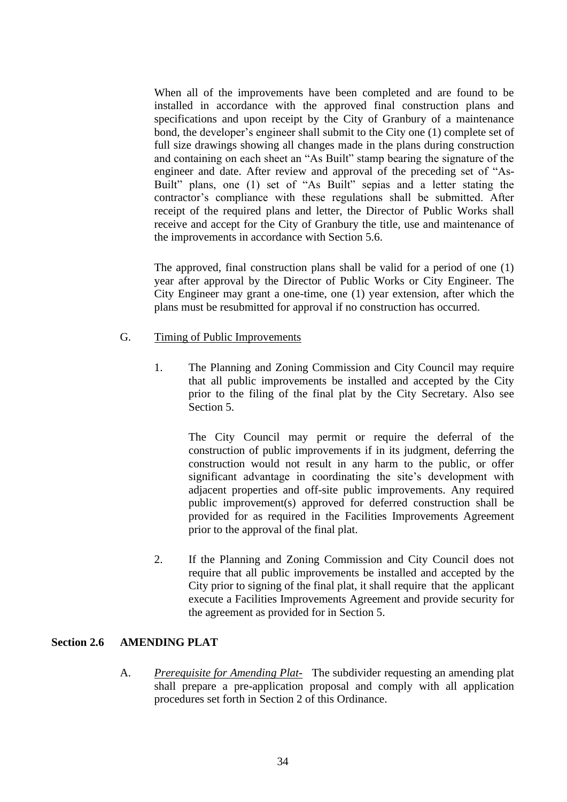When all of the improvements have been completed and are found to be installed in accordance with the approved final construction plans and specifications and upon receipt by the City of Granbury of a maintenance bond, the developer's engineer shall submit to the City one (1) complete set of full size drawings showing all changes made in the plans during construction and containing on each sheet an "As Built" stamp bearing the signature of the engineer and date. After review and approval of the preceding set of "As-Built" plans, one (1) set of "As Built" sepias and a letter stating the contractor's compliance with these regulations shall be submitted. After receipt of the required plans and letter, the Director of Public Works shall receive and accept for the City of Granbury the title, use and maintenance of the improvements in accordance with Section 5.6.

The approved, final construction plans shall be valid for a period of one (1) year after approval by the Director of Public Works or City Engineer. The City Engineer may grant a one-time, one (1) year extension, after which the plans must be resubmitted for approval if no construction has occurred.

### G. Timing of Public Improvements

1. The Planning and Zoning Commission and City Council may require that all public improvements be installed and accepted by the City prior to the filing of the final plat by the City Secretary. Also see Section 5.

The City Council may permit or require the deferral of the construction of public improvements if in its judgment, deferring the construction would not result in any harm to the public, or offer significant advantage in coordinating the site's development with adjacent properties and off-site public improvements. Any required public improvement(s) approved for deferred construction shall be provided for as required in the Facilities Improvements Agreement prior to the approval of the final plat.

2. If the Planning and Zoning Commission and City Council does not require that all public improvements be installed and accepted by the City prior to signing of the final plat, it shall require that the applicant execute a Facilities Improvements Agreement and provide security for the agreement as provided for in Section 5.

### **Section 2.6 AMENDING PLAT**

A. *Prerequisite for Amending Plat-* The subdivider requesting an amending plat shall prepare a pre-application proposal and comply with all application procedures set forth in Section 2 of this Ordinance.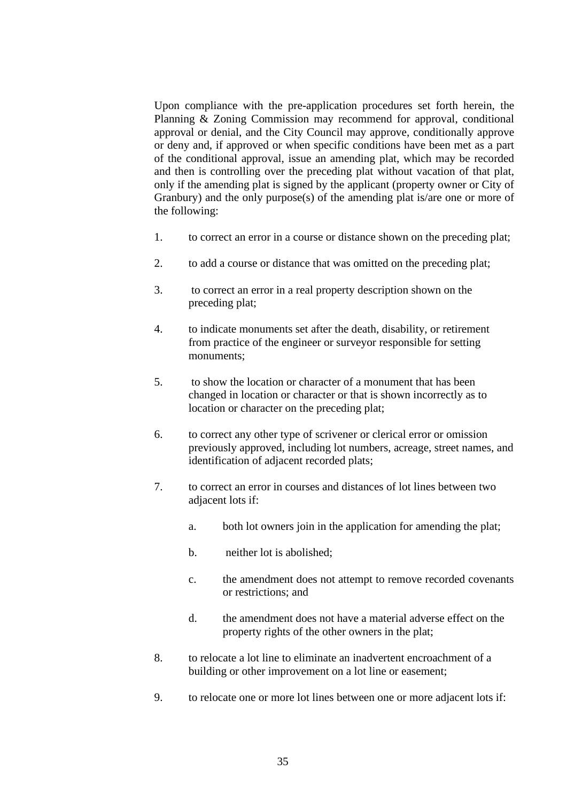Upon compliance with the pre-application procedures set forth herein, the Planning & Zoning Commission may recommend for approval, conditional approval or denial, and the City Council may approve, conditionally approve or deny and, if approved or when specific conditions have been met as a part of the conditional approval, issue an amending plat, which may be recorded and then is controlling over the preceding plat without vacation of that plat, only if the amending plat is signed by the applicant (property owner or City of Granbury) and the only purpose(s) of the amending plat is/are one or more of the following:

- 1. to correct an error in a course or distance shown on the preceding plat;
- 2. to add a course or distance that was omitted on the preceding plat;
- 3. to correct an error in a real property description shown on the preceding plat;
- 4. to indicate monuments set after the death, disability, or retirement from practice of the engineer or surveyor responsible for setting monuments;
- 5. to show the location or character of a monument that has been changed in location or character or that is shown incorrectly as to location or character on the preceding plat;
- 6. to correct any other type of scrivener or clerical error or omission previously approved, including lot numbers, acreage, street names, and identification of adjacent recorded plats;
- 7. to correct an error in courses and distances of lot lines between two adiacent lots if:
	- a. both lot owners join in the application for amending the plat;
	- b. neither lot is abolished;
	- c. the amendment does not attempt to remove recorded covenants or restrictions; and
	- d. the amendment does not have a material adverse effect on the property rights of the other owners in the plat;
- 8. to relocate a lot line to eliminate an inadvertent encroachment of a building or other improvement on a lot line or easement;
- 9. to relocate one or more lot lines between one or more adjacent lots if: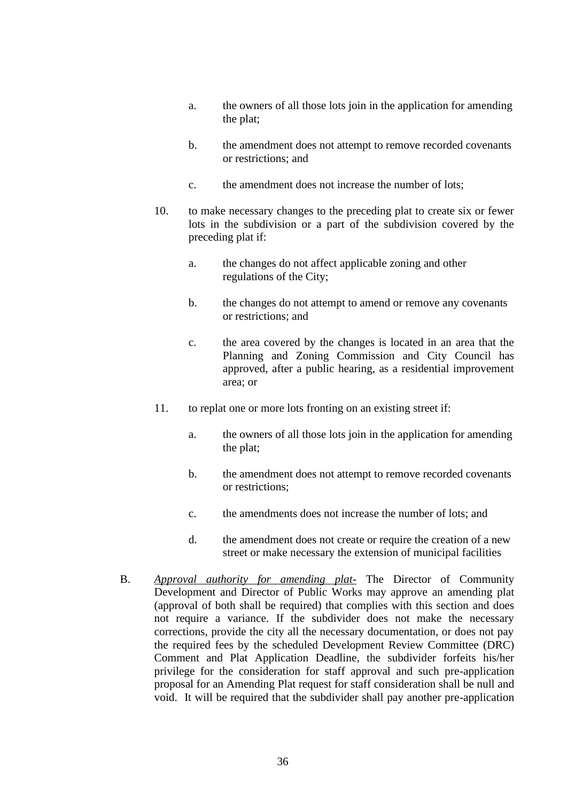- a. the owners of all those lots join in the application for amending the plat;
- b. the amendment does not attempt to remove recorded covenants or restrictions; and
- c. the amendment does not increase the number of lots;
- 10. to make necessary changes to the preceding plat to create six or fewer lots in the subdivision or a part of the subdivision covered by the preceding plat if:
	- a. the changes do not affect applicable zoning and other regulations of the City;
	- b. the changes do not attempt to amend or remove any covenants or restrictions; and
	- c. the area covered by the changes is located in an area that the Planning and Zoning Commission and City Council has approved, after a public hearing, as a residential improvement area; or
- 11. to replat one or more lots fronting on an existing street if:
	- a. the owners of all those lots join in the application for amending the plat;
	- b. the amendment does not attempt to remove recorded covenants or restrictions;
	- c. the amendments does not increase the number of lots; and
	- d. the amendment does not create or require the creation of a new street or make necessary the extension of municipal facilities
- B. *Approval authority for amending plat-* The Director of Community Development and Director of Public Works may approve an amending plat (approval of both shall be required) that complies with this section and does not require a variance. If the subdivider does not make the necessary corrections, provide the city all the necessary documentation, or does not pay the required fees by the scheduled Development Review Committee (DRC) Comment and Plat Application Deadline, the subdivider forfeits his/her privilege for the consideration for staff approval and such pre-application proposal for an Amending Plat request for staff consideration shall be null and void. It will be required that the subdivider shall pay another pre-application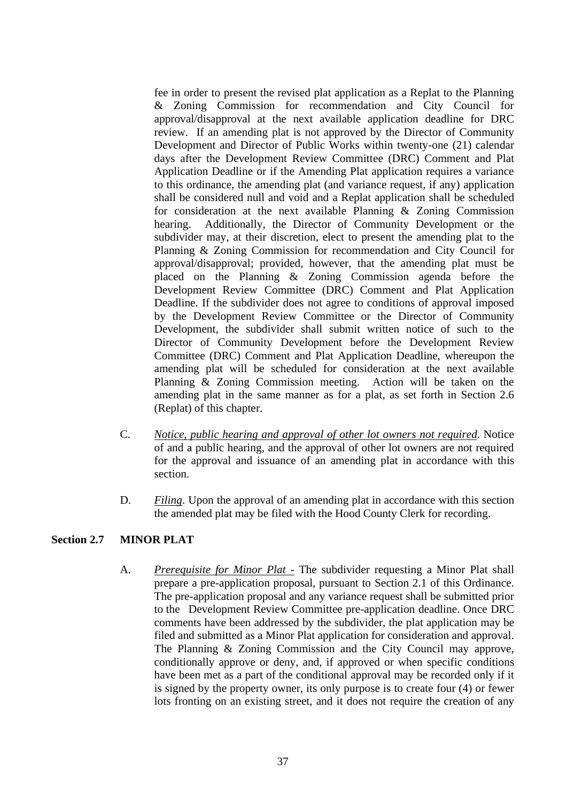fee in order to present the revised plat application as a Replat to the Planning & Zoning Commission for recommendation and City Council for approval/disapproval at the next available application deadline for DRC review. If an amending plat is not approved by the Director of Community Development and Director of Public Works within twenty-one (21) calendar days after the Development Review Committee (DRC) Comment and Plat Application Deadline or if the Amending Plat application requires a variance to this ordinance, the amending plat (and variance request, if any) application shall be considered null and void and a Replat application shall be scheduled for consideration at the next available Planning & Zoning Commission hearing. Additionally, the Director of Community Development or the subdivider may, at their discretion, elect to present the amending plat to the Planning & Zoning Commission for recommendation and City Council for approval/disapproval; provided, however, that the amending plat must be placed on the Planning & Zoning Commission agenda before the Development Review Committee (DRC) Comment and Plat Application Deadline. If the subdivider does not agree to conditions of approval imposed by the Development Review Committee or the Director of Community Development, the subdivider shall submit written notice of such to the Director of Community Development before the Development Review Committee (DRC) Comment and Plat Application Deadline, whereupon the amending plat will be scheduled for consideration at the next available Planning & Zoning Commission meeting. Action will be taken on the amending plat in the same manner as for a plat, as set forth in Section 2.6 (Replat) of this chapter.

- C. *Notice, public hearing and approval of other lot owners not required*. Notice of and a public hearing, and the approval of other lot owners are not required for the approval and issuance of an amending plat in accordance with this section.
- D. *Filing*. Upon the approval of an amending plat in accordance with this section the amended plat may be filed with the Hood County Clerk for recording.

# **Section 2.7 MINOR PLAT**

A. *Prerequisite for Minor Plat -* The subdivider requesting a Minor Plat shall prepare a pre-application proposal, pursuant to Section 2.1 of this Ordinance. The pre-application proposal and any variance request shall be submitted prior to the Development Review Committee pre-application deadline. Once DRC comments have been addressed by the subdivider, the plat application may be filed and submitted as a Minor Plat application for consideration and approval. The Planning & Zoning Commission and the City Council may approve, conditionally approve or deny, and, if approved or when specific conditions have been met as a part of the conditional approval may be recorded only if it is signed by the property owner, its only purpose is to create four (4) or fewer lots fronting on an existing street, and it does not require the creation of any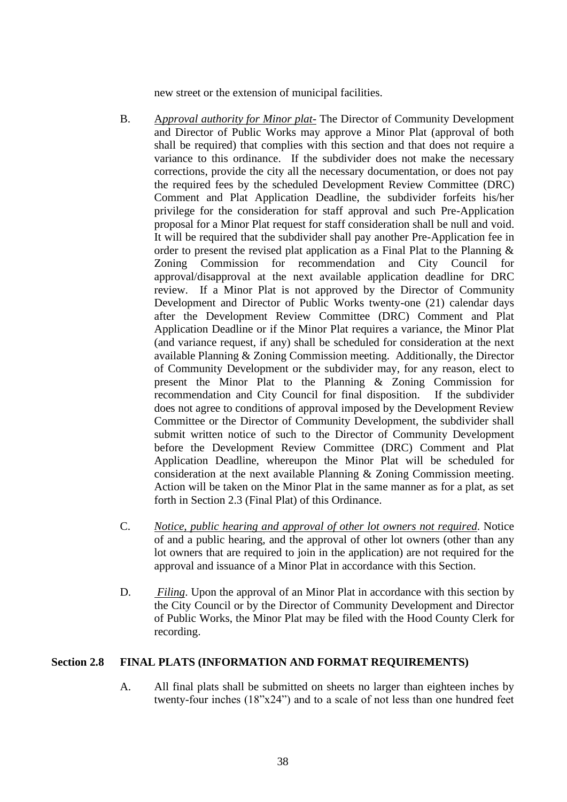new street or the extension of municipal facilities.

- B. A*pproval authority for Minor plat-* The Director of Community Development and Director of Public Works may approve a Minor Plat (approval of both shall be required) that complies with this section and that does not require a variance to this ordinance. If the subdivider does not make the necessary corrections, provide the city all the necessary documentation, or does not pay the required fees by the scheduled Development Review Committee (DRC) Comment and Plat Application Deadline, the subdivider forfeits his/her privilege for the consideration for staff approval and such Pre-Application proposal for a Minor Plat request for staff consideration shall be null and void. It will be required that the subdivider shall pay another Pre-Application fee in order to present the revised plat application as a Final Plat to the Planning & Zoning Commission for recommendation and City Council for approval/disapproval at the next available application deadline for DRC review. If a Minor Plat is not approved by the Director of Community Development and Director of Public Works twenty-one (21) calendar days after the Development Review Committee (DRC) Comment and Plat Application Deadline or if the Minor Plat requires a variance, the Minor Plat (and variance request, if any) shall be scheduled for consideration at the next available Planning & Zoning Commission meeting. Additionally, the Director of Community Development or the subdivider may, for any reason, elect to present the Minor Plat to the Planning & Zoning Commission for recommendation and City Council for final disposition. If the subdivider does not agree to conditions of approval imposed by the Development Review Committee or the Director of Community Development, the subdivider shall submit written notice of such to the Director of Community Development before the Development Review Committee (DRC) Comment and Plat Application Deadline, whereupon the Minor Plat will be scheduled for consideration at the next available Planning & Zoning Commission meeting. Action will be taken on the Minor Plat in the same manner as for a plat, as set forth in Section 2.3 (Final Plat) of this Ordinance.
- C. *Notice, public hearing and approval of other lot owners not required*. Notice of and a public hearing, and the approval of other lot owners (other than any lot owners that are required to join in the application) are not required for the approval and issuance of a Minor Plat in accordance with this Section.
- D. *Filing*. Upon the approval of an Minor Plat in accordance with this section by the City Council or by the Director of Community Development and Director of Public Works, the Minor Plat may be filed with the Hood County Clerk for recording.

# **Section 2.8 FINAL PLATS (INFORMATION AND FORMAT REQUIREMENTS)**

A. All final plats shall be submitted on sheets no larger than eighteen inches by twenty-four inches (18"x24") and to a scale of not less than one hundred feet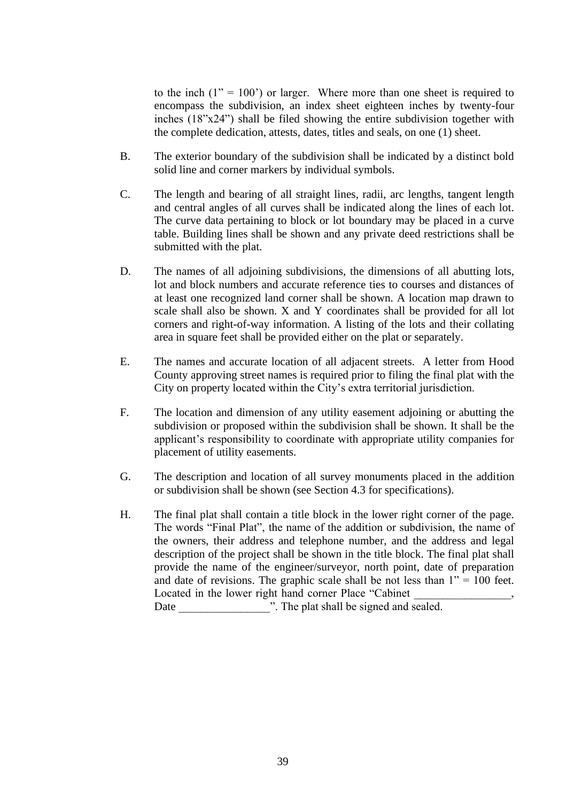to the inch  $(1" = 100)$  or larger. Where more than one sheet is required to encompass the subdivision, an index sheet eighteen inches by twenty-four inches (18"x24") shall be filed showing the entire subdivision together with the complete dedication, attests, dates, titles and seals, on one (1) sheet.

- B. The exterior boundary of the subdivision shall be indicated by a distinct bold solid line and corner markers by individual symbols.
- C. The length and bearing of all straight lines, radii, arc lengths, tangent length and central angles of all curves shall be indicated along the lines of each lot. The curve data pertaining to block or lot boundary may be placed in a curve table. Building lines shall be shown and any private deed restrictions shall be submitted with the plat.
- D. The names of all adjoining subdivisions, the dimensions of all abutting lots, lot and block numbers and accurate reference ties to courses and distances of at least one recognized land corner shall be shown. A location map drawn to scale shall also be shown. X and Y coordinates shall be provided for all lot corners and right-of-way information. A listing of the lots and their collating area in square feet shall be provided either on the plat or separately.
- E. The names and accurate location of all adjacent streets. A letter from Hood County approving street names is required prior to filing the final plat with the City on property located within the City's extra territorial jurisdiction.
- F. The location and dimension of any utility easement adjoining or abutting the subdivision or proposed within the subdivision shall be shown. It shall be the applicant's responsibility to coordinate with appropriate utility companies for placement of utility easements.
- G. The description and location of all survey monuments placed in the addition or subdivision shall be shown (see Section 4.3 for specifications).
- H. The final plat shall contain a title block in the lower right corner of the page. The words "Final Plat", the name of the addition or subdivision, the name of the owners, their address and telephone number, and the address and legal description of the project shall be shown in the title block. The final plat shall provide the name of the engineer/surveyor, north point, date of preparation and date of revisions. The graphic scale shall be not less than  $1" = 100$  feet. Located in the lower right hand corner Place "Cabinet" Date  $\therefore$  The plat shall be signed and sealed.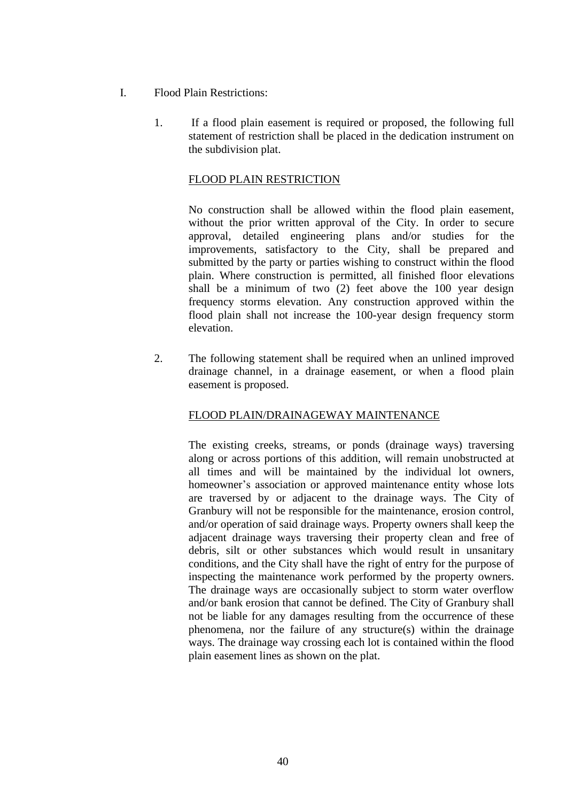- I. Flood Plain Restrictions:
	- 1. If a flood plain easement is required or proposed, the following full statement of restriction shall be placed in the dedication instrument on the subdivision plat.

## FLOOD PLAIN RESTRICTION

No construction shall be allowed within the flood plain easement, without the prior written approval of the City. In order to secure approval, detailed engineering plans and/or studies for the improvements, satisfactory to the City, shall be prepared and submitted by the party or parties wishing to construct within the flood plain. Where construction is permitted, all finished floor elevations shall be a minimum of two (2) feet above the 100 year design frequency storms elevation. Any construction approved within the flood plain shall not increase the 100-year design frequency storm elevation.

2. The following statement shall be required when an unlined improved drainage channel, in a drainage easement, or when a flood plain easement is proposed.

# FLOOD PLAIN/DRAINAGEWAY MAINTENANCE

The existing creeks, streams, or ponds (drainage ways) traversing along or across portions of this addition, will remain unobstructed at all times and will be maintained by the individual lot owners, homeowner's association or approved maintenance entity whose lots are traversed by or adjacent to the drainage ways. The City of Granbury will not be responsible for the maintenance, erosion control, and/or operation of said drainage ways. Property owners shall keep the adjacent drainage ways traversing their property clean and free of debris, silt or other substances which would result in unsanitary conditions, and the City shall have the right of entry for the purpose of inspecting the maintenance work performed by the property owners. The drainage ways are occasionally subject to storm water overflow and/or bank erosion that cannot be defined. The City of Granbury shall not be liable for any damages resulting from the occurrence of these phenomena, nor the failure of any structure(s) within the drainage ways. The drainage way crossing each lot is contained within the flood plain easement lines as shown on the plat.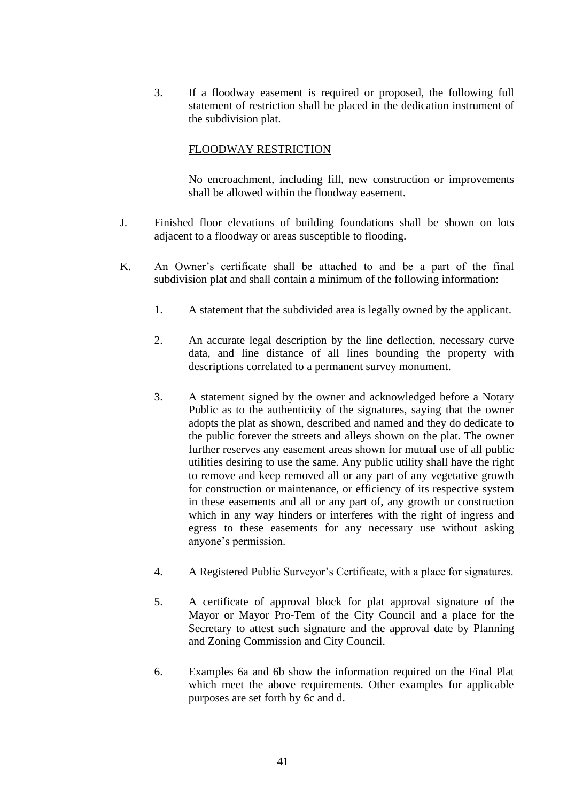3. If a floodway easement is required or proposed, the following full statement of restriction shall be placed in the dedication instrument of the subdivision plat.

## FLOODWAY RESTRICTION

No encroachment, including fill, new construction or improvements shall be allowed within the floodway easement.

- J. Finished floor elevations of building foundations shall be shown on lots adjacent to a floodway or areas susceptible to flooding.
- K. An Owner's certificate shall be attached to and be a part of the final subdivision plat and shall contain a minimum of the following information:
	- 1. A statement that the subdivided area is legally owned by the applicant.
	- 2. An accurate legal description by the line deflection, necessary curve data, and line distance of all lines bounding the property with descriptions correlated to a permanent survey monument.
	- 3. A statement signed by the owner and acknowledged before a Notary Public as to the authenticity of the signatures, saying that the owner adopts the plat as shown, described and named and they do dedicate to the public forever the streets and alleys shown on the plat. The owner further reserves any easement areas shown for mutual use of all public utilities desiring to use the same. Any public utility shall have the right to remove and keep removed all or any part of any vegetative growth for construction or maintenance, or efficiency of its respective system in these easements and all or any part of, any growth or construction which in any way hinders or interferes with the right of ingress and egress to these easements for any necessary use without asking anyone's permission.
	- 4. A Registered Public Surveyor's Certificate, with a place for signatures.
	- 5. A certificate of approval block for plat approval signature of the Mayor or Mayor Pro-Tem of the City Council and a place for the Secretary to attest such signature and the approval date by Planning and Zoning Commission and City Council.
	- 6. Examples 6a and 6b show the information required on the Final Plat which meet the above requirements. Other examples for applicable purposes are set forth by 6c and d.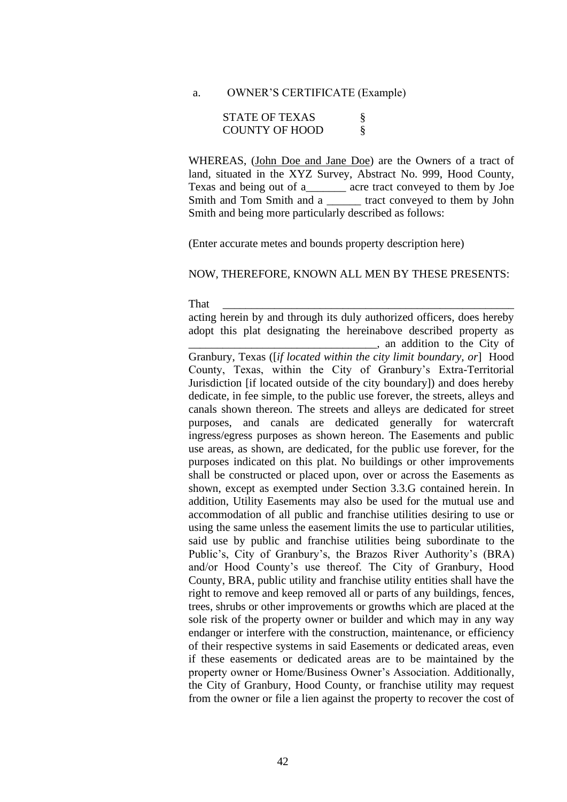a. OWNER'S CERTIFICATE (Example)

| <b>STATE OF TEXAS</b> |  |
|-----------------------|--|
| <b>COUNTY OF HOOD</b> |  |

WHEREAS, (John Doe and Jane Doe) are the Owners of a tract of land, situated in the XYZ Survey, Abstract No. 999, Hood County, Texas and being out of a\_\_\_\_\_\_\_ acre tract conveyed to them by Joe Smith and Tom Smith and a **Example 2** tract conveyed to them by John Smith and being more particularly described as follows:

(Enter accurate metes and bounds property description here)

#### NOW, THEREFORE, KNOWN ALL MEN BY THESE PRESENTS:

That \_\_\_\_\_\_\_\_\_\_\_\_\_\_\_\_\_\_\_\_\_\_\_\_\_\_\_\_\_\_\_\_\_\_\_\_\_\_\_\_\_\_\_\_\_\_\_\_\_\_\_

acting herein by and through its duly authorized officers, does hereby adopt this plat designating the hereinabove described property as \_\_\_\_\_\_\_\_\_\_\_\_\_\_\_\_\_\_\_\_\_\_\_\_\_\_\_\_\_\_\_\_\_, an addition to the City of

Granbury, Texas ([*if located within the city limit boundary, or*] Hood County, Texas, within the City of Granbury's Extra-Territorial Jurisdiction [if located outside of the city boundary]) and does hereby dedicate, in fee simple, to the public use forever, the streets, alleys and canals shown thereon. The streets and alleys are dedicated for street purposes, and canals are dedicated generally for watercraft ingress/egress purposes as shown hereon. The Easements and public use areas, as shown, are dedicated, for the public use forever, for the purposes indicated on this plat. No buildings or other improvements shall be constructed or placed upon, over or across the Easements as shown, except as exempted under Section 3.3.G contained herein. In addition, Utility Easements may also be used for the mutual use and accommodation of all public and franchise utilities desiring to use or using the same unless the easement limits the use to particular utilities, said use by public and franchise utilities being subordinate to the Public's, City of Granbury's, the Brazos River Authority's (BRA) and/or Hood County's use thereof. The City of Granbury, Hood County, BRA, public utility and franchise utility entities shall have the right to remove and keep removed all or parts of any buildings, fences, trees, shrubs or other improvements or growths which are placed at the sole risk of the property owner or builder and which may in any way endanger or interfere with the construction, maintenance, or efficiency of their respective systems in said Easements or dedicated areas, even if these easements or dedicated areas are to be maintained by the property owner or Home/Business Owner's Association. Additionally, the City of Granbury, Hood County, or franchise utility may request from the owner or file a lien against the property to recover the cost of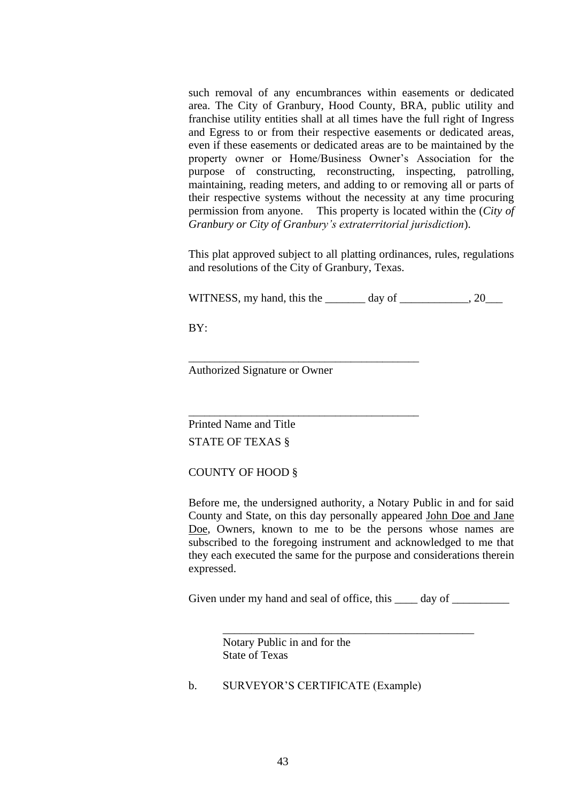such removal of any encumbrances within easements or dedicated area. The City of Granbury, Hood County, BRA, public utility and franchise utility entities shall at all times have the full right of Ingress and Egress to or from their respective easements or dedicated areas, even if these easements or dedicated areas are to be maintained by the property owner or Home/Business Owner's Association for the purpose of constructing, reconstructing, inspecting, patrolling, maintaining, reading meters, and adding to or removing all or parts of their respective systems without the necessity at any time procuring permission from anyone. This property is located within the (*City of Granbury or City of Granbury's extraterritorial jurisdiction*).

This plat approved subject to all platting ordinances, rules, regulations and resolutions of the City of Granbury, Texas.

WITNESS, my hand, this the day of  $\qquad \qquad .20$ 

BY:

Authorized Signature or Owner

\_\_\_\_\_\_\_\_\_\_\_\_\_\_\_\_\_\_\_\_\_\_\_\_\_\_\_\_\_\_\_\_\_\_\_\_\_\_\_\_\_\_\_\_

\_\_\_\_\_\_\_\_\_\_\_\_\_\_\_\_\_\_\_\_\_\_\_\_\_\_\_\_\_\_\_\_\_\_\_\_\_\_\_\_\_\_\_\_

Printed Name and Title

STATE OF TEXAS §

COUNTY OF HOOD §

Before me, the undersigned authority, a Notary Public in and for said County and State, on this day personally appeared John Doe and Jane Doe, Owners, known to me to be the persons whose names are subscribed to the foregoing instrument and acknowledged to me that they each executed the same for the purpose and considerations therein expressed.

Given under my hand and seal of office, this day of

\_\_\_\_\_\_\_\_\_\_\_\_\_\_\_\_\_\_\_\_\_\_\_\_\_\_\_\_\_\_\_\_\_\_\_\_\_\_\_\_\_\_\_\_

Notary Public in and for the State of Texas

b. SURVEYOR'S CERTIFICATE (Example)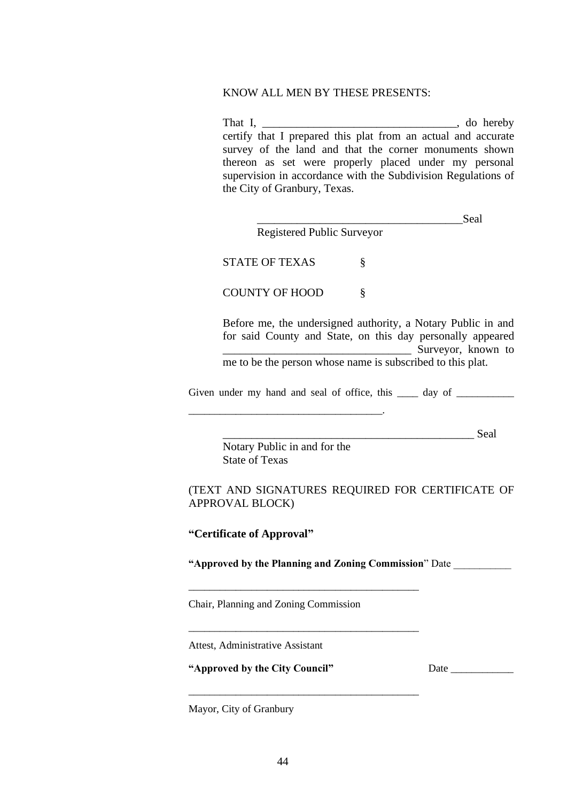#### KNOW ALL MEN BY THESE PRESENTS:

That I, \_\_\_\_\_\_\_\_\_\_\_\_\_\_\_\_\_\_\_\_\_\_\_\_\_\_\_\_\_\_\_\_\_\_, do hereby certify that I prepared this plat from an actual and accurate survey of the land and that the corner monuments shown thereon as set were properly placed under my personal supervision in accordance with the Subdivision Regulations of the City of Granbury, Texas.

| Registered Public Surveyor | Seal |
|----------------------------|------|
| <b>STATE OF TEXAS</b>      |      |

COUNTY OF HOOD §

Before me, the undersigned authority, a Notary Public in and for said County and State, on this day personally appeared \_\_\_\_\_\_\_\_\_\_\_\_\_\_\_\_\_\_\_\_\_\_\_\_\_\_\_\_\_\_\_\_\_ Surveyor, known to

me to be the person whose name is subscribed to this plat.

Given under my hand and seal of office, this day of

\_\_\_\_\_\_\_\_\_\_\_\_\_\_\_\_\_\_\_\_\_\_\_\_\_\_\_\_\_\_\_\_\_\_\_\_\_\_\_\_\_\_\_\_ Seal

Notary Public in and for the State of Texas

\_\_\_\_\_\_\_\_\_\_\_\_\_\_\_\_\_\_\_\_\_\_\_\_\_\_\_\_\_\_\_\_\_\_\_\_\_.

## (TEXT AND SIGNATURES REQUIRED FOR CERTIFICATE OF APPROVAL BLOCK)

**"Certificate of Approval"**

**"Approved by the Planning and Zoning Commission**" Date \_\_\_\_\_\_\_\_\_\_\_

\_\_\_\_\_\_\_\_\_\_\_\_\_\_\_\_\_\_\_\_\_\_\_\_\_\_\_\_\_\_\_\_\_\_\_\_\_\_\_\_\_\_\_\_

\_\_\_\_\_\_\_\_\_\_\_\_\_\_\_\_\_\_\_\_\_\_\_\_\_\_\_\_\_\_\_\_\_\_\_\_\_\_\_\_\_\_\_\_

\_\_\_\_\_\_\_\_\_\_\_\_\_\_\_\_\_\_\_\_\_\_\_\_\_\_\_\_\_\_\_\_\_\_\_\_\_\_\_\_\_\_\_\_

Chair, Planning and Zoning Commission

Attest, Administrative Assistant

**"Approved by the City Council"** Date \_\_\_\_\_\_\_\_\_\_\_\_

Mayor, City of Granbury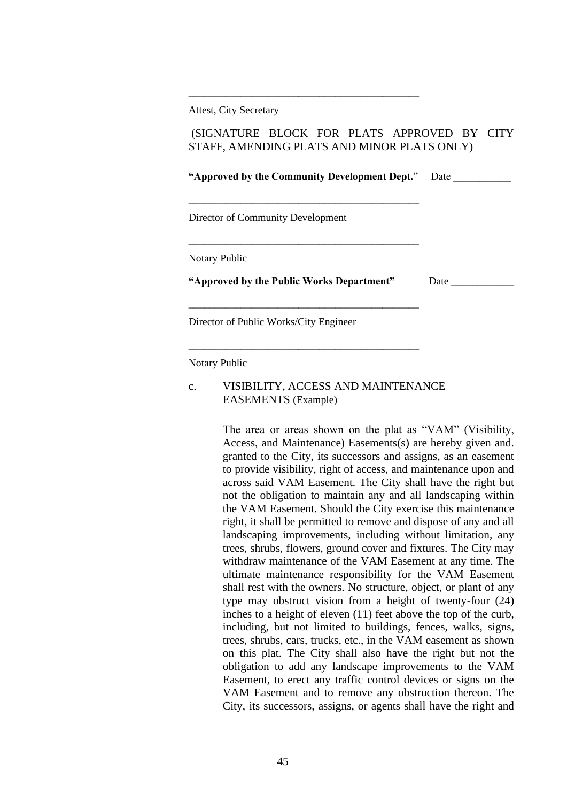Attest, City Secretary

## (SIGNATURE BLOCK FOR PLATS APPROVED BY CITY STAFF, AMENDING PLATS AND MINOR PLATS ONLY)

\_\_\_\_\_\_\_\_\_\_\_\_\_\_\_\_\_\_\_\_\_\_\_\_\_\_\_\_\_\_\_\_\_\_\_\_\_\_\_\_\_\_\_\_

| "Approved by the Community Development Dept." | Date |
|-----------------------------------------------|------|
| Director of Community Development             |      |
| <b>Notary Public</b>                          |      |
| "Approved by the Public Works Department"     | Date |
| Director of Public Works/City Engineer        |      |

Notary Public

#### c. VISIBILITY, ACCESS AND MAINTENANCE EASEMENTS (Example)

\_\_\_\_\_\_\_\_\_\_\_\_\_\_\_\_\_\_\_\_\_\_\_\_\_\_\_\_\_\_\_\_\_\_\_\_\_\_\_\_\_\_\_\_

The area or areas shown on the plat as "VAM" (Visibility, Access, and Maintenance) Easements(s) are hereby given and. granted to the City, its successors and assigns, as an easement to provide visibility, right of access, and maintenance upon and across said VAM Easement. The City shall have the right but not the obligation to maintain any and all landscaping within the VAM Easement. Should the City exercise this maintenance right, it shall be permitted to remove and dispose of any and all landscaping improvements, including without limitation, any trees, shrubs, flowers, ground cover and fixtures. The City may withdraw maintenance of the VAM Easement at any time. The ultimate maintenance responsibility for the VAM Easement shall rest with the owners. No structure, object, or plant of any type may obstruct vision from a height of twenty-four (24) inches to a height of eleven (11) feet above the top of the curb, including, but not limited to buildings, fences, walks, signs, trees, shrubs, cars, trucks, etc., in the VAM easement as shown on this plat. The City shall also have the right but not the obligation to add any landscape improvements to the VAM Easement, to erect any traffic control devices or signs on the VAM Easement and to remove any obstruction thereon. The City, its successors, assigns, or agents shall have the right and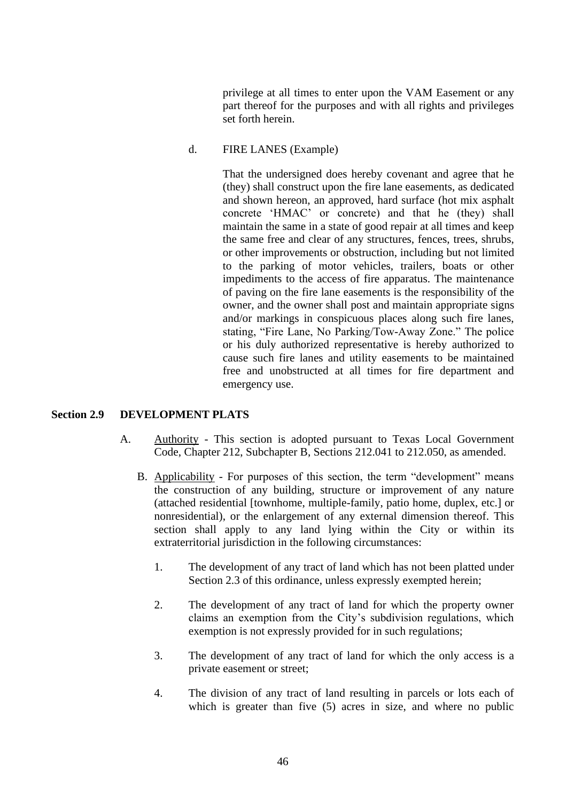privilege at all times to enter upon the VAM Easement or any part thereof for the purposes and with all rights and privileges set forth herein.

#### d. FIRE LANES (Example)

That the undersigned does hereby covenant and agree that he (they) shall construct upon the fire lane easements, as dedicated and shown hereon, an approved, hard surface (hot mix asphalt concrete 'HMAC' or concrete) and that he (they) shall maintain the same in a state of good repair at all times and keep the same free and clear of any structures, fences, trees, shrubs, or other improvements or obstruction, including but not limited to the parking of motor vehicles, trailers, boats or other impediments to the access of fire apparatus. The maintenance of paving on the fire lane easements is the responsibility of the owner, and the owner shall post and maintain appropriate signs and/or markings in conspicuous places along such fire lanes, stating, "Fire Lane, No Parking/Tow-Away Zone." The police or his duly authorized representative is hereby authorized to cause such fire lanes and utility easements to be maintained free and unobstructed at all times for fire department and emergency use.

### **Section 2.9 DEVELOPMENT PLATS**

- A. Authority This section is adopted pursuant to Texas Local Government Code, Chapter 212, Subchapter B, Sections 212.041 to 212.050, as amended.
	- B. Applicability For purposes of this section, the term "development" means the construction of any building, structure or improvement of any nature (attached residential [townhome, multiple-family, patio home, duplex, etc.] or nonresidential), or the enlargement of any external dimension thereof. This section shall apply to any land lying within the City or within its extraterritorial jurisdiction in the following circumstances:
		- 1. The development of any tract of land which has not been platted under Section 2.3 of this ordinance, unless expressly exempted herein;
		- 2. The development of any tract of land for which the property owner claims an exemption from the City's subdivision regulations, which exemption is not expressly provided for in such regulations;
		- 3. The development of any tract of land for which the only access is a private easement or street;
		- 4. The division of any tract of land resulting in parcels or lots each of which is greater than five (5) acres in size, and where no public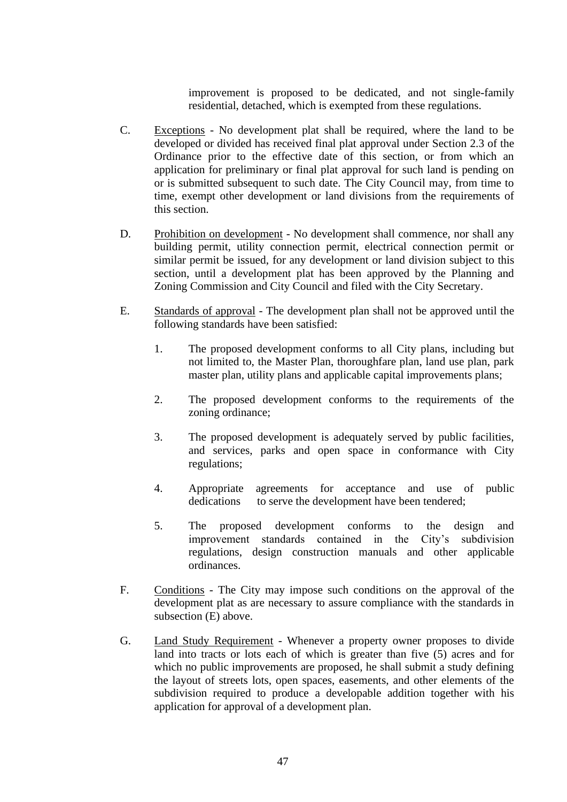improvement is proposed to be dedicated, and not single-family residential, detached, which is exempted from these regulations.

- C. Exceptions No development plat shall be required, where the land to be developed or divided has received final plat approval under Section 2.3 of the Ordinance prior to the effective date of this section, or from which an application for preliminary or final plat approval for such land is pending on or is submitted subsequent to such date. The City Council may, from time to time, exempt other development or land divisions from the requirements of this section.
- D. Prohibition on development No development shall commence, nor shall any building permit, utility connection permit, electrical connection permit or similar permit be issued, for any development or land division subject to this section, until a development plat has been approved by the Planning and Zoning Commission and City Council and filed with the City Secretary.
- E. Standards of approval The development plan shall not be approved until the following standards have been satisfied:
	- 1. The proposed development conforms to all City plans, including but not limited to, the Master Plan, thoroughfare plan, land use plan, park master plan, utility plans and applicable capital improvements plans;
	- 2. The proposed development conforms to the requirements of the zoning ordinance;
	- 3. The proposed development is adequately served by public facilities, and services, parks and open space in conformance with City regulations;
	- 4. Appropriate agreements for acceptance and use of public dedications to serve the development have been tendered;
	- 5. The proposed development conforms to the design and improvement standards contained in the City's subdivision regulations, design construction manuals and other applicable ordinances.
- F. Conditions The City may impose such conditions on the approval of the development plat as are necessary to assure compliance with the standards in subsection (E) above.
- G. Land Study Requirement Whenever a property owner proposes to divide land into tracts or lots each of which is greater than five (5) acres and for which no public improvements are proposed, he shall submit a study defining the layout of streets lots, open spaces, easements, and other elements of the subdivision required to produce a developable addition together with his application for approval of a development plan.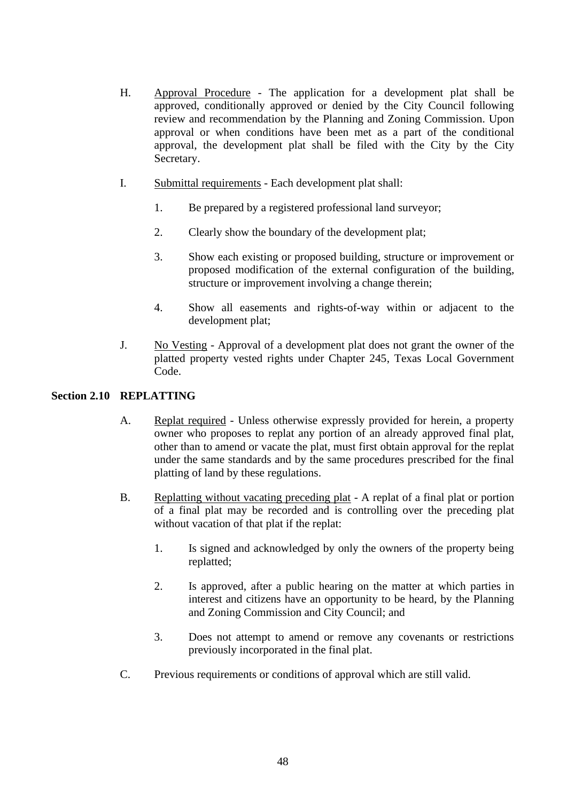- H. Approval Procedure The application for a development plat shall be approved, conditionally approved or denied by the City Council following review and recommendation by the Planning and Zoning Commission. Upon approval or when conditions have been met as a part of the conditional approval, the development plat shall be filed with the City by the City Secretary.
- I. Submittal requirements Each development plat shall:
	- 1. Be prepared by a registered professional land surveyor;
	- 2. Clearly show the boundary of the development plat;
	- 3. Show each existing or proposed building, structure or improvement or proposed modification of the external configuration of the building, structure or improvement involving a change therein;
	- 4. Show all easements and rights-of-way within or adjacent to the development plat;
- J. No Vesting Approval of a development plat does not grant the owner of the platted property vested rights under Chapter 245, Texas Local Government Code.

## **Section 2.10 REPLATTING**

- A. Replat required Unless otherwise expressly provided for herein, a property owner who proposes to replat any portion of an already approved final plat, other than to amend or vacate the plat, must first obtain approval for the replat under the same standards and by the same procedures prescribed for the final platting of land by these regulations.
- B. Replatting without vacating preceding plat A replat of a final plat or portion of a final plat may be recorded and is controlling over the preceding plat without vacation of that plat if the replat:
	- 1. Is signed and acknowledged by only the owners of the property being replatted;
	- 2. Is approved, after a public hearing on the matter at which parties in interest and citizens have an opportunity to be heard, by the Planning and Zoning Commission and City Council; and
	- 3. Does not attempt to amend or remove any covenants or restrictions previously incorporated in the final plat.
- C. Previous requirements or conditions of approval which are still valid.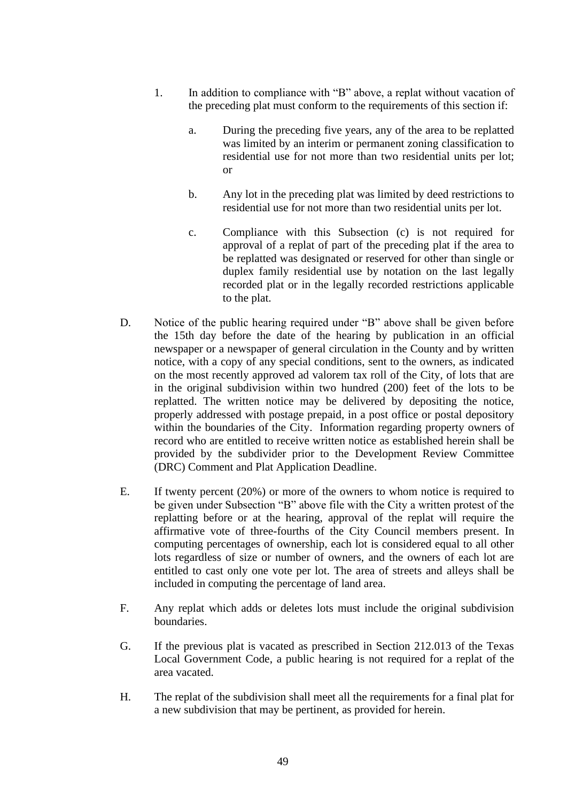- 1. In addition to compliance with "B" above, a replat without vacation of the preceding plat must conform to the requirements of this section if:
	- a. During the preceding five years, any of the area to be replatted was limited by an interim or permanent zoning classification to residential use for not more than two residential units per lot; or
	- b. Any lot in the preceding plat was limited by deed restrictions to residential use for not more than two residential units per lot.
	- c. Compliance with this Subsection (c) is not required for approval of a replat of part of the preceding plat if the area to be replatted was designated or reserved for other than single or duplex family residential use by notation on the last legally recorded plat or in the legally recorded restrictions applicable to the plat.
- D. Notice of the public hearing required under "B" above shall be given before the 15th day before the date of the hearing by publication in an official newspaper or a newspaper of general circulation in the County and by written notice, with a copy of any special conditions, sent to the owners, as indicated on the most recently approved ad valorem tax roll of the City, of lots that are in the original subdivision within two hundred (200) feet of the lots to be replatted. The written notice may be delivered by depositing the notice, properly addressed with postage prepaid, in a post office or postal depository within the boundaries of the City. Information regarding property owners of record who are entitled to receive written notice as established herein shall be provided by the subdivider prior to the Development Review Committee (DRC) Comment and Plat Application Deadline.
- E. If twenty percent (20%) or more of the owners to whom notice is required to be given under Subsection "B" above file with the City a written protest of the replatting before or at the hearing, approval of the replat will require the affirmative vote of three-fourths of the City Council members present. In computing percentages of ownership, each lot is considered equal to all other lots regardless of size or number of owners, and the owners of each lot are entitled to cast only one vote per lot. The area of streets and alleys shall be included in computing the percentage of land area.
- F. Any replat which adds or deletes lots must include the original subdivision boundaries.
- G. If the previous plat is vacated as prescribed in Section 212.013 of the Texas Local Government Code, a public hearing is not required for a replat of the area vacated.
- H. The replat of the subdivision shall meet all the requirements for a final plat for a new subdivision that may be pertinent, as provided for herein.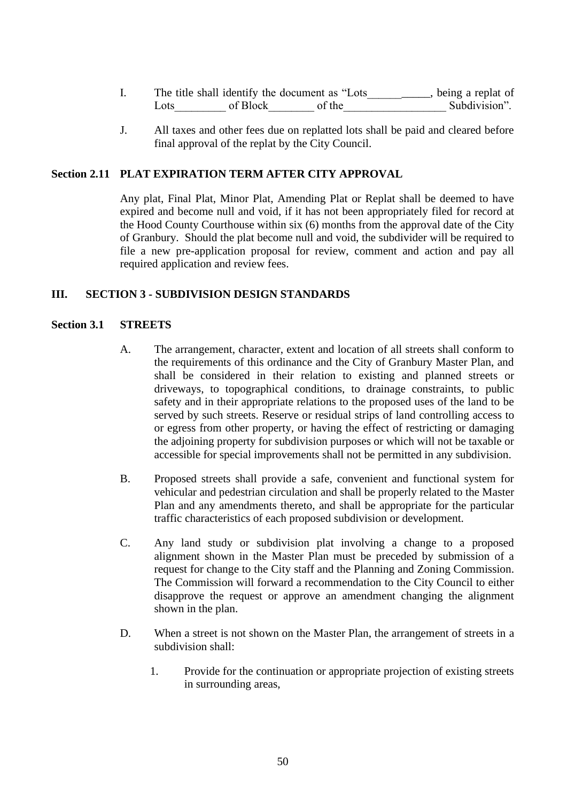|       |          | The title shall identify the document as "Lots" | , being a replat of |
|-------|----------|-------------------------------------------------|---------------------|
| Lots. | of Block | of the                                          | Subdivision".       |

J. All taxes and other fees due on replatted lots shall be paid and cleared before final approval of the replat by the City Council.

### **Section 2.11 PLAT EXPIRATION TERM AFTER CITY APPROVAL**

Any plat, Final Plat, Minor Plat, Amending Plat or Replat shall be deemed to have expired and become null and void, if it has not been appropriately filed for record at the Hood County Courthouse within six (6) months from the approval date of the City of Granbury. Should the plat become null and void, the subdivider will be required to file a new pre-application proposal for review, comment and action and pay all required application and review fees.

#### **III. SECTION 3 - SUBDIVISION DESIGN STANDARDS**

#### **Section 3.1 STREETS**

- A. The arrangement, character, extent and location of all streets shall conform to the requirements of this ordinance and the City of Granbury Master Plan, and shall be considered in their relation to existing and planned streets or driveways, to topographical conditions, to drainage constraints, to public safety and in their appropriate relations to the proposed uses of the land to be served by such streets. Reserve or residual strips of land controlling access to or egress from other property, or having the effect of restricting or damaging the adjoining property for subdivision purposes or which will not be taxable or accessible for special improvements shall not be permitted in any subdivision.
- B. Proposed streets shall provide a safe, convenient and functional system for vehicular and pedestrian circulation and shall be properly related to the Master Plan and any amendments thereto, and shall be appropriate for the particular traffic characteristics of each proposed subdivision or development.
- C. Any land study or subdivision plat involving a change to a proposed alignment shown in the Master Plan must be preceded by submission of a request for change to the City staff and the Planning and Zoning Commission. The Commission will forward a recommendation to the City Council to either disapprove the request or approve an amendment changing the alignment shown in the plan.
- D. When a street is not shown on the Master Plan, the arrangement of streets in a subdivision shall:
	- 1. Provide for the continuation or appropriate projection of existing streets in surrounding areas,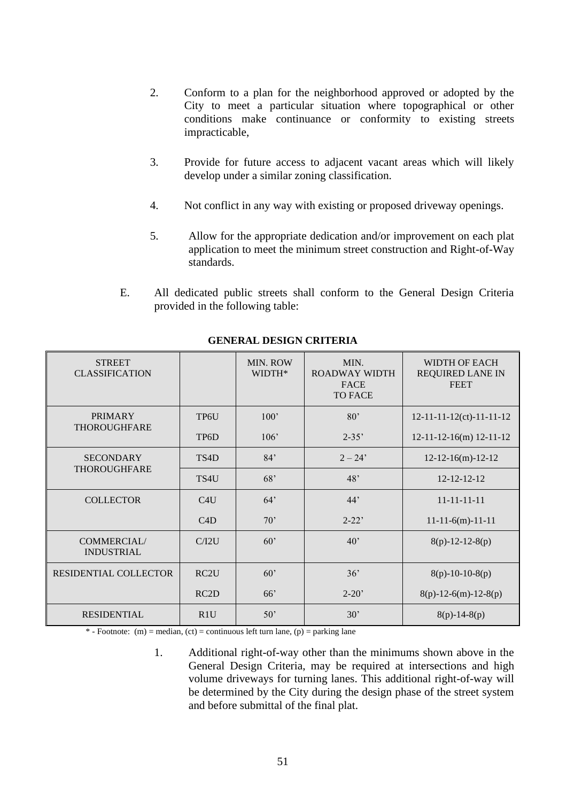- 2. Conform to a plan for the neighborhood approved or adopted by the City to meet a particular situation where topographical or other conditions make continuance or conformity to existing streets impracticable,
- 3. Provide for future access to adjacent vacant areas which will likely develop under a similar zoning classification.
- 4. Not conflict in any way with existing or proposed driveway openings.
- 5. Allow for the appropriate dedication and/or improvement on each plat application to meet the minimum street construction and Right-of-Way standards.
- E. All dedicated public streets shall conform to the General Design Criteria provided in the following table:

| <b>STREET</b><br><b>CLASSIFICATION</b>  |                   | MIN. ROW<br>WIDTH* | MIN.<br><b>ROADWAY WIDTH</b><br><b>FACE</b><br><b>TO FACE</b> | WIDTH OF EACH<br><b>REQUIRED LANE IN</b><br><b>FEET</b> |
|-----------------------------------------|-------------------|--------------------|---------------------------------------------------------------|---------------------------------------------------------|
| <b>PRIMARY</b>                          | TP6U              | 100'               | 80 <sup>o</sup>                                               | $12 - 11 - 11 - 12$ (ct) - 11 - 11 - 12                 |
| <b>THOROUGHFARE</b>                     | TP <sub>6</sub> D | 106'               | $2 - 35'$                                                     | $12-11-12-16(m)$ 12-11-12                               |
| <b>SECONDARY</b>                        | TS4D              | 84'                | $2 - 24'$                                                     | $12-12-16(m)-12-12$                                     |
| <b>THOROUGHFARE</b>                     | TS4U              | 68'                | 48'                                                           | $12 - 12 - 12 - 12$                                     |
| <b>COLLECTOR</b>                        | C4U               | 64'                | 44'                                                           | $11 - 11 - 11 - 11$                                     |
|                                         | C4D               | 70'                | $2 - 22'$                                                     | $11-11-6(m)-11-11$                                      |
| <b>COMMERCIAL/</b><br><b>INDUSTRIAL</b> | C/I2U             | 60'                | $40^{\circ}$                                                  | $8(p)-12-12-8(p)$                                       |
| <b>RESIDENTIAL COLLECTOR</b>            | RC <sub>2</sub> U | 60'                | 36'                                                           | $8(p)-10-10-8(p)$                                       |
|                                         | RC2D              | 66'                | $2 - 20'$                                                     | $8(p)-12-6(m)-12-8(p)$                                  |
| <b>RESIDENTIAL</b>                      | R1U               | 50'                | 30'                                                           | $8(p)-14-8(p)$                                          |

**GENERAL DESIGN CRITERIA**

\* - Footnote: (m) = median, (ct) = continuous left turn lane, (p) = parking lane

1. Additional right-of-way other than the minimums shown above in the General Design Criteria, may be required at intersections and high volume driveways for turning lanes. This additional right-of-way will be determined by the City during the design phase of the street system and before submittal of the final plat.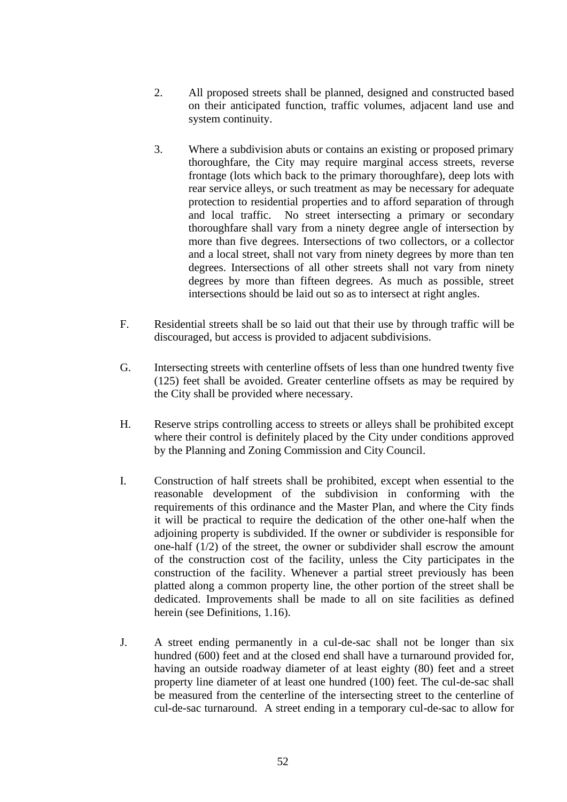- 2. All proposed streets shall be planned, designed and constructed based on their anticipated function, traffic volumes, adjacent land use and system continuity.
- 3. Where a subdivision abuts or contains an existing or proposed primary thoroughfare, the City may require marginal access streets, reverse frontage (lots which back to the primary thoroughfare), deep lots with rear service alleys, or such treatment as may be necessary for adequate protection to residential properties and to afford separation of through and local traffic. No street intersecting a primary or secondary thoroughfare shall vary from a ninety degree angle of intersection by more than five degrees. Intersections of two collectors, or a collector and a local street, shall not vary from ninety degrees by more than ten degrees. Intersections of all other streets shall not vary from ninety degrees by more than fifteen degrees. As much as possible, street intersections should be laid out so as to intersect at right angles.
- F. Residential streets shall be so laid out that their use by through traffic will be discouraged, but access is provided to adjacent subdivisions.
- G. Intersecting streets with centerline offsets of less than one hundred twenty five (125) feet shall be avoided. Greater centerline offsets as may be required by the City shall be provided where necessary.
- H. Reserve strips controlling access to streets or alleys shall be prohibited except where their control is definitely placed by the City under conditions approved by the Planning and Zoning Commission and City Council.
- I. Construction of half streets shall be prohibited, except when essential to the reasonable development of the subdivision in conforming with the requirements of this ordinance and the Master Plan, and where the City finds it will be practical to require the dedication of the other one-half when the adjoining property is subdivided. If the owner or subdivider is responsible for one-half (1/2) of the street, the owner or subdivider shall escrow the amount of the construction cost of the facility, unless the City participates in the construction of the facility. Whenever a partial street previously has been platted along a common property line, the other portion of the street shall be dedicated. Improvements shall be made to all on site facilities as defined herein (see Definitions, 1.16).
- J. A street ending permanently in a cul-de-sac shall not be longer than six hundred (600) feet and at the closed end shall have a turnaround provided for, having an outside roadway diameter of at least eighty (80) feet and a street property line diameter of at least one hundred (100) feet. The cul-de-sac shall be measured from the centerline of the intersecting street to the centerline of cul-de-sac turnaround. A street ending in a temporary cul-de-sac to allow for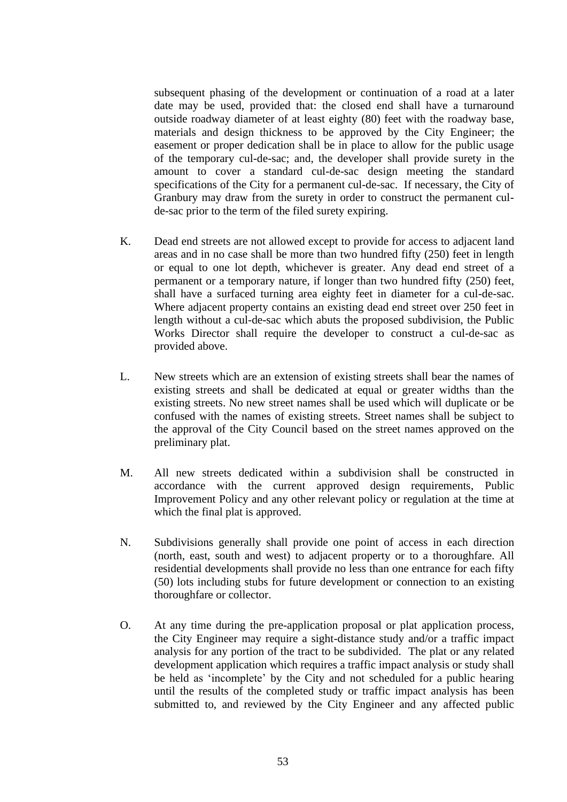subsequent phasing of the development or continuation of a road at a later date may be used, provided that: the closed end shall have a turnaround outside roadway diameter of at least eighty (80) feet with the roadway base, materials and design thickness to be approved by the City Engineer; the easement or proper dedication shall be in place to allow for the public usage of the temporary cul-de-sac; and, the developer shall provide surety in the amount to cover a standard cul-de-sac design meeting the standard specifications of the City for a permanent cul-de-sac. If necessary, the City of Granbury may draw from the surety in order to construct the permanent culde-sac prior to the term of the filed surety expiring.

- K. Dead end streets are not allowed except to provide for access to adjacent land areas and in no case shall be more than two hundred fifty (250) feet in length or equal to one lot depth, whichever is greater. Any dead end street of a permanent or a temporary nature, if longer than two hundred fifty (250) feet, shall have a surfaced turning area eighty feet in diameter for a cul-de-sac. Where adjacent property contains an existing dead end street over 250 feet in length without a cul-de-sac which abuts the proposed subdivision, the Public Works Director shall require the developer to construct a cul-de-sac as provided above.
- L. New streets which are an extension of existing streets shall bear the names of existing streets and shall be dedicated at equal or greater widths than the existing streets. No new street names shall be used which will duplicate or be confused with the names of existing streets. Street names shall be subject to the approval of the City Council based on the street names approved on the preliminary plat.
- M. All new streets dedicated within a subdivision shall be constructed in accordance with the current approved design requirements, Public Improvement Policy and any other relevant policy or regulation at the time at which the final plat is approved.
- N. Subdivisions generally shall provide one point of access in each direction (north, east, south and west) to adjacent property or to a thoroughfare. All residential developments shall provide no less than one entrance for each fifty (50) lots including stubs for future development or connection to an existing thoroughfare or collector.
- O. At any time during the pre-application proposal or plat application process, the City Engineer may require a sight-distance study and/or a traffic impact analysis for any portion of the tract to be subdivided. The plat or any related development application which requires a traffic impact analysis or study shall be held as 'incomplete' by the City and not scheduled for a public hearing until the results of the completed study or traffic impact analysis has been submitted to, and reviewed by the City Engineer and any affected public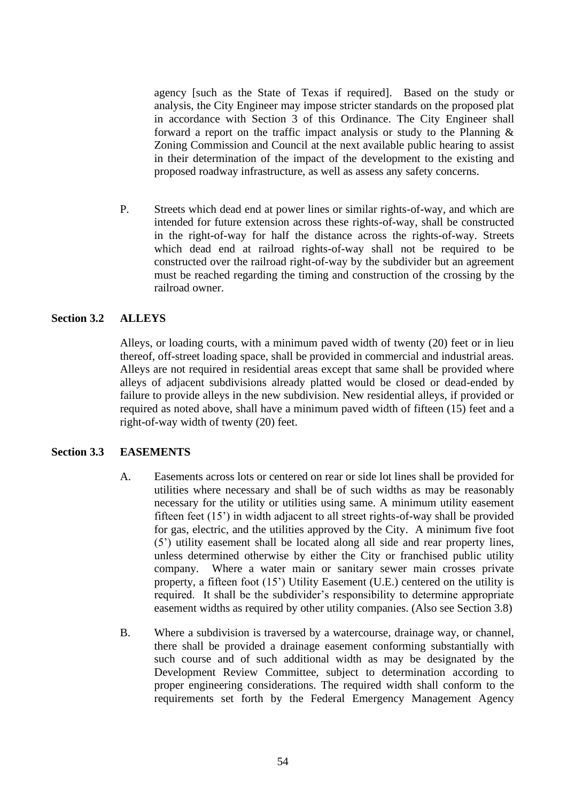agency [such as the State of Texas if required]. Based on the study or analysis, the City Engineer may impose stricter standards on the proposed plat in accordance with Section 3 of this Ordinance. The City Engineer shall forward a report on the traffic impact analysis or study to the Planning & Zoning Commission and Council at the next available public hearing to assist in their determination of the impact of the development to the existing and proposed roadway infrastructure, as well as assess any safety concerns.

P. Streets which dead end at power lines or similar rights-of-way, and which are intended for future extension across these rights-of-way, shall be constructed in the right-of-way for half the distance across the rights-of-way. Streets which dead end at railroad rights-of-way shall not be required to be constructed over the railroad right-of-way by the subdivider but an agreement must be reached regarding the timing and construction of the crossing by the railroad owner.

### **Section 3.2 ALLEYS**

Alleys, or loading courts, with a minimum paved width of twenty (20) feet or in lieu thereof, off-street loading space, shall be provided in commercial and industrial areas. Alleys are not required in residential areas except that same shall be provided where alleys of adjacent subdivisions already platted would be closed or dead-ended by failure to provide alleys in the new subdivision. New residential alleys, if provided or required as noted above, shall have a minimum paved width of fifteen (15) feet and a right-of-way width of twenty (20) feet.

### **Section 3.3 EASEMENTS**

- A. Easements across lots or centered on rear or side lot lines shall be provided for utilities where necessary and shall be of such widths as may be reasonably necessary for the utility or utilities using same. A minimum utility easement fifteen feet (15') in width adjacent to all street rights-of-way shall be provided for gas, electric, and the utilities approved by the City. A minimum five foot (5') utility easement shall be located along all side and rear property lines, unless determined otherwise by either the City or franchised public utility company. Where a water main or sanitary sewer main crosses private property, a fifteen foot (15') Utility Easement (U.E.) centered on the utility is required. It shall be the subdivider's responsibility to determine appropriate easement widths as required by other utility companies. (Also see Section 3.8)
- B. Where a subdivision is traversed by a watercourse, drainage way, or channel, there shall be provided a drainage easement conforming substantially with such course and of such additional width as may be designated by the Development Review Committee, subject to determination according to proper engineering considerations. The required width shall conform to the requirements set forth by the Federal Emergency Management Agency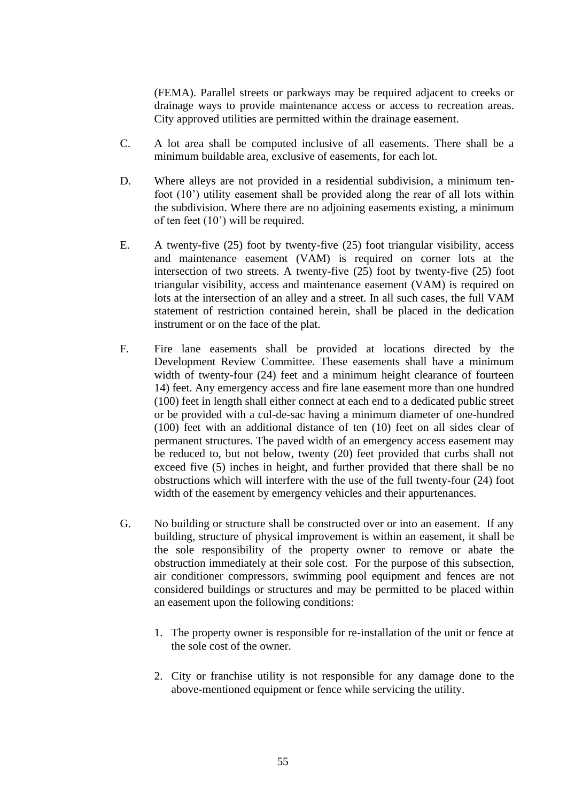(FEMA). Parallel streets or parkways may be required adjacent to creeks or drainage ways to provide maintenance access or access to recreation areas. City approved utilities are permitted within the drainage easement.

- C. A lot area shall be computed inclusive of all easements. There shall be a minimum buildable area, exclusive of easements, for each lot.
- D. Where alleys are not provided in a residential subdivision, a minimum tenfoot (10') utility easement shall be provided along the rear of all lots within the subdivision. Where there are no adjoining easements existing, a minimum of ten feet (10') will be required.
- E. A twenty-five (25) foot by twenty-five (25) foot triangular visibility, access and maintenance easement (VAM) is required on corner lots at the intersection of two streets. A twenty-five (25) foot by twenty-five (25) foot triangular visibility, access and maintenance easement (VAM) is required on lots at the intersection of an alley and a street. In all such cases, the full VAM statement of restriction contained herein, shall be placed in the dedication instrument or on the face of the plat.
- F. Fire lane easements shall be provided at locations directed by the Development Review Committee. These easements shall have a minimum width of twenty-four (24) feet and a minimum height clearance of fourteen 14) feet. Any emergency access and fire lane easement more than one hundred (100) feet in length shall either connect at each end to a dedicated public street or be provided with a cul-de-sac having a minimum diameter of one-hundred (100) feet with an additional distance of ten (10) feet on all sides clear of permanent structures. The paved width of an emergency access easement may be reduced to, but not below, twenty (20) feet provided that curbs shall not exceed five (5) inches in height, and further provided that there shall be no obstructions which will interfere with the use of the full twenty-four (24) foot width of the easement by emergency vehicles and their appurtenances.
- G. No building or structure shall be constructed over or into an easement. If any building, structure of physical improvement is within an easement, it shall be the sole responsibility of the property owner to remove or abate the obstruction immediately at their sole cost. For the purpose of this subsection, air conditioner compressors, swimming pool equipment and fences are not considered buildings or structures and may be permitted to be placed within an easement upon the following conditions:
	- 1. The property owner is responsible for re-installation of the unit or fence at the sole cost of the owner.
	- 2. City or franchise utility is not responsible for any damage done to the above-mentioned equipment or fence while servicing the utility.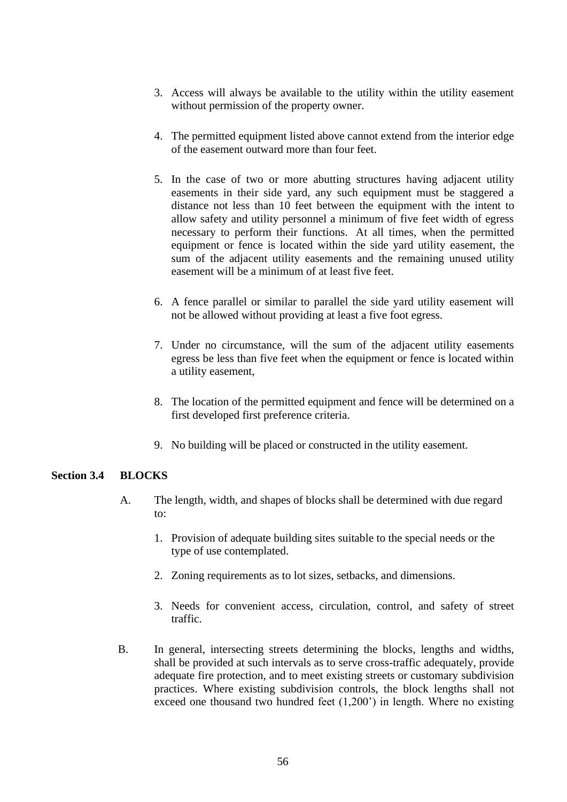- 3. Access will always be available to the utility within the utility easement without permission of the property owner.
- 4. The permitted equipment listed above cannot extend from the interior edge of the easement outward more than four feet.
- 5. In the case of two or more abutting structures having adjacent utility easements in their side yard, any such equipment must be staggered a distance not less than 10 feet between the equipment with the intent to allow safety and utility personnel a minimum of five feet width of egress necessary to perform their functions. At all times, when the permitted equipment or fence is located within the side yard utility easement, the sum of the adjacent utility easements and the remaining unused utility easement will be a minimum of at least five feet.
- 6. A fence parallel or similar to parallel the side yard utility easement will not be allowed without providing at least a five foot egress.
- 7. Under no circumstance, will the sum of the adjacent utility easements egress be less than five feet when the equipment or fence is located within a utility easement,
- 8. The location of the permitted equipment and fence will be determined on a first developed first preference criteria.
- 9. No building will be placed or constructed in the utility easement.

# **Section 3.4 BLOCKS**

- A. The length, width, and shapes of blocks shall be determined with due regard to:
	- 1. Provision of adequate building sites suitable to the special needs or the type of use contemplated.
	- 2. Zoning requirements as to lot sizes, setbacks, and dimensions.
	- 3. Needs for convenient access, circulation, control, and safety of street traffic.
- B. In general, intersecting streets determining the blocks, lengths and widths, shall be provided at such intervals as to serve cross-traffic adequately, provide adequate fire protection, and to meet existing streets or customary subdivision practices. Where existing subdivision controls, the block lengths shall not exceed one thousand two hundred feet (1,200') in length. Where no existing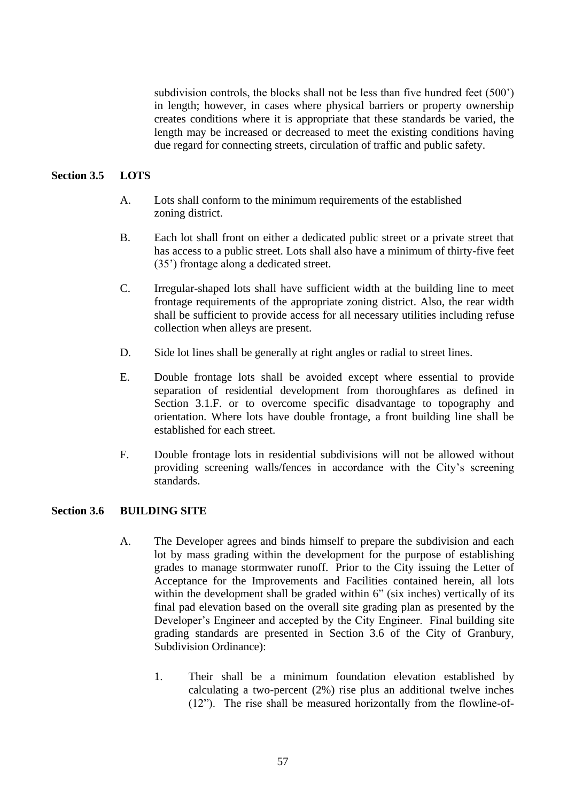subdivision controls, the blocks shall not be less than five hundred feet (500') in length; however, in cases where physical barriers or property ownership creates conditions where it is appropriate that these standards be varied, the length may be increased or decreased to meet the existing conditions having due regard for connecting streets, circulation of traffic and public safety.

## **Section 3.5 LOTS**

- A. Lots shall conform to the minimum requirements of the established zoning district.
- B. Each lot shall front on either a dedicated public street or a private street that has access to a public street. Lots shall also have a minimum of thirty-five feet (35') frontage along a dedicated street.
- C. Irregular-shaped lots shall have sufficient width at the building line to meet frontage requirements of the appropriate zoning district. Also, the rear width shall be sufficient to provide access for all necessary utilities including refuse collection when alleys are present.
- D. Side lot lines shall be generally at right angles or radial to street lines.
- E. Double frontage lots shall be avoided except where essential to provide separation of residential development from thoroughfares as defined in Section 3.1.F. or to overcome specific disadvantage to topography and orientation. Where lots have double frontage, a front building line shall be established for each street.
- F. Double frontage lots in residential subdivisions will not be allowed without providing screening walls/fences in accordance with the City's screening standards.

### **Section 3.6 BUILDING SITE**

- A. The Developer agrees and binds himself to prepare the subdivision and each lot by mass grading within the development for the purpose of establishing grades to manage stormwater runoff. Prior to the City issuing the Letter of Acceptance for the Improvements and Facilities contained herein, all lots within the development shall be graded within 6" (six inches) vertically of its final pad elevation based on the overall site grading plan as presented by the Developer's Engineer and accepted by the City Engineer. Final building site grading standards are presented in Section 3.6 of the City of Granbury, Subdivision Ordinance):
	- 1. Their shall be a minimum foundation elevation established by calculating a two-percent (2%) rise plus an additional twelve inches (12"). The rise shall be measured horizontally from the flowline-of-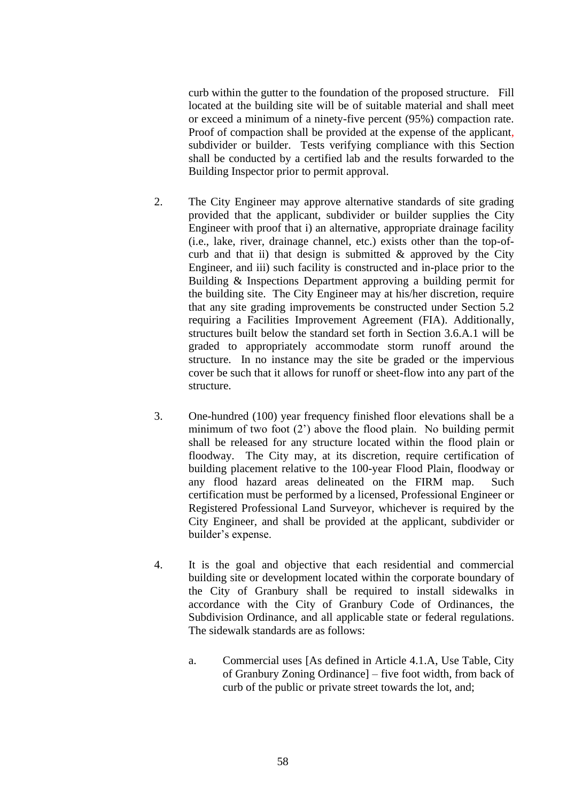curb within the gutter to the foundation of the proposed structure. Fill located at the building site will be of suitable material and shall meet or exceed a minimum of a ninety-five percent (95%) compaction rate. Proof of compaction shall be provided at the expense of the applicant, subdivider or builder. Tests verifying compliance with this Section shall be conducted by a certified lab and the results forwarded to the Building Inspector prior to permit approval.

- 2. The City Engineer may approve alternative standards of site grading provided that the applicant, subdivider or builder supplies the City Engineer with proof that i) an alternative, appropriate drainage facility (i.e., lake, river, drainage channel, etc.) exists other than the top-ofcurb and that ii) that design is submitted  $\&$  approved by the City Engineer, and iii) such facility is constructed and in-place prior to the Building & Inspections Department approving a building permit for the building site. The City Engineer may at his/her discretion, require that any site grading improvements be constructed under Section 5.2 requiring a Facilities Improvement Agreement (FIA). Additionally, structures built below the standard set forth in Section 3.6.A.1 will be graded to appropriately accommodate storm runoff around the structure. In no instance may the site be graded or the impervious cover be such that it allows for runoff or sheet-flow into any part of the structure.
- 3. One-hundred (100) year frequency finished floor elevations shall be a minimum of two foot (2') above the flood plain. No building permit shall be released for any structure located within the flood plain or floodway. The City may, at its discretion, require certification of building placement relative to the 100-year Flood Plain, floodway or any flood hazard areas delineated on the FIRM map. Such certification must be performed by a licensed, Professional Engineer or Registered Professional Land Surveyor, whichever is required by the City Engineer, and shall be provided at the applicant, subdivider or builder's expense.
- 4. It is the goal and objective that each residential and commercial building site or development located within the corporate boundary of the City of Granbury shall be required to install sidewalks in accordance with the City of Granbury Code of Ordinances, the Subdivision Ordinance, and all applicable state or federal regulations. The sidewalk standards are as follows:
	- a. Commercial uses [As defined in Article 4.1.A, Use Table, City of Granbury Zoning Ordinance] – five foot width, from back of curb of the public or private street towards the lot, and;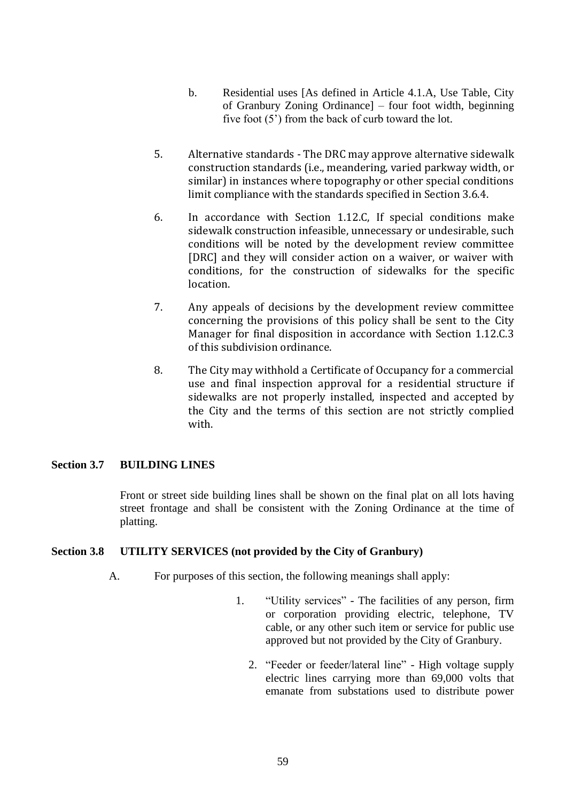- b. Residential uses [As defined in Article 4.1.A, Use Table, City of Granbury Zoning Ordinance] – four foot width, beginning five foot (5') from the back of curb toward the lot.
- 5. Alternative standards The DRC may approve alternative sidewalk construction standards (i.e., meandering, varied parkway width, or similar) in instances where topography or other special conditions limit compliance with the standards specified in Section 3.6.4.
- 6. In accordance with Section 1.12.C, If special conditions make sidewalk construction infeasible, unnecessary or undesirable, such conditions will be noted by the development review committee [DRC] and they will consider action on a waiver, or waiver with conditions, for the construction of sidewalks for the specific **location**
- 7. Any appeals of decisions by the development review committee concerning the provisions of this policy shall be sent to the City Manager for final disposition in accordance with Section 1.12.C.3 of this subdivision ordinance.
- 8. The City may withhold a Certificate of Occupancy for a commercial use and final inspection approval for a residential structure if sidewalks are not properly installed, inspected and accepted by the City and the terms of this section are not strictly complied with.

## **Section 3.7 BUILDING LINES**

Front or street side building lines shall be shown on the final plat on all lots having street frontage and shall be consistent with the Zoning Ordinance at the time of platting.

### **Section 3.8 UTILITY SERVICES (not provided by the City of Granbury)**

- A. For purposes of this section, the following meanings shall apply:
	- 1. "Utility services" The facilities of any person, firm or corporation providing electric, telephone, TV cable, or any other such item or service for public use approved but not provided by the City of Granbury.
		- 2. "Feeder or feeder/lateral line" High voltage supply electric lines carrying more than 69,000 volts that emanate from substations used to distribute power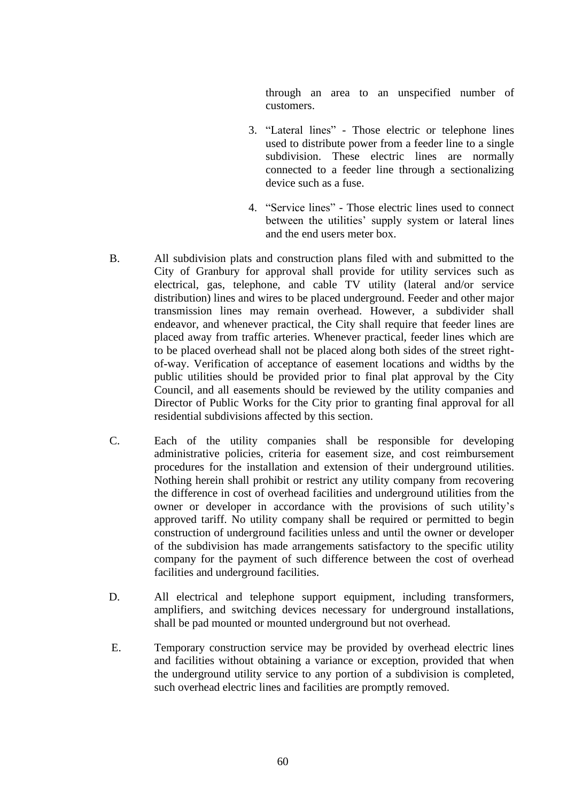through an area to an unspecified number of customers.

- 3. "Lateral lines" Those electric or telephone lines used to distribute power from a feeder line to a single subdivision. These electric lines are normally connected to a feeder line through a sectionalizing device such as a fuse.
- 4. "Service lines" Those electric lines used to connect between the utilities' supply system or lateral lines and the end users meter box.
- B. All subdivision plats and construction plans filed with and submitted to the City of Granbury for approval shall provide for utility services such as electrical, gas, telephone, and cable TV utility (lateral and/or service distribution) lines and wires to be placed underground. Feeder and other major transmission lines may remain overhead. However, a subdivider shall endeavor, and whenever practical, the City shall require that feeder lines are placed away from traffic arteries. Whenever practical, feeder lines which are to be placed overhead shall not be placed along both sides of the street rightof-way. Verification of acceptance of easement locations and widths by the public utilities should be provided prior to final plat approval by the City Council, and all easements should be reviewed by the utility companies and Director of Public Works for the City prior to granting final approval for all residential subdivisions affected by this section.
- C. Each of the utility companies shall be responsible for developing administrative policies, criteria for easement size, and cost reimbursement procedures for the installation and extension of their underground utilities. Nothing herein shall prohibit or restrict any utility company from recovering the difference in cost of overhead facilities and underground utilities from the owner or developer in accordance with the provisions of such utility's approved tariff. No utility company shall be required or permitted to begin construction of underground facilities unless and until the owner or developer of the subdivision has made arrangements satisfactory to the specific utility company for the payment of such difference between the cost of overhead facilities and underground facilities.
- D. All electrical and telephone support equipment, including transformers, amplifiers, and switching devices necessary for underground installations, shall be pad mounted or mounted underground but not overhead.
- E. Temporary construction service may be provided by overhead electric lines and facilities without obtaining a variance or exception, provided that when the underground utility service to any portion of a subdivision is completed, such overhead electric lines and facilities are promptly removed.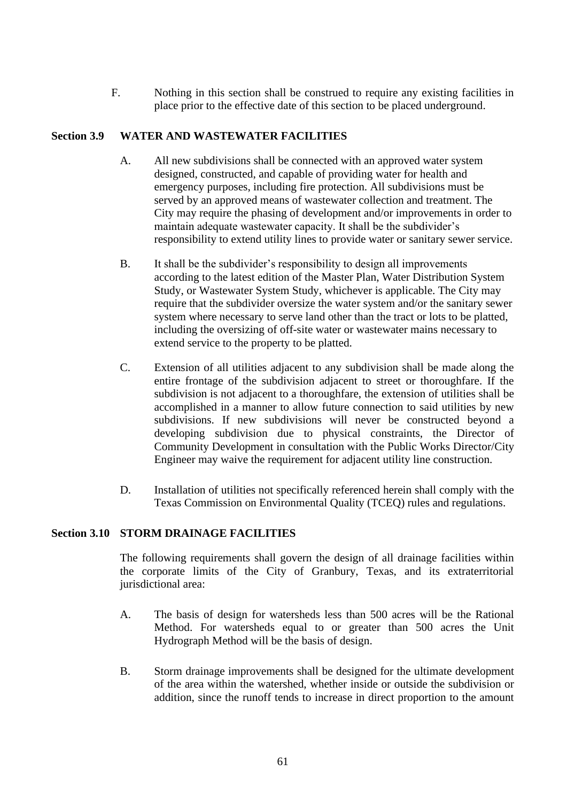F. Nothing in this section shall be construed to require any existing facilities in place prior to the effective date of this section to be placed underground.

## **Section 3.9 WATER AND WASTEWATER FACILITIES**

- A. All new subdivisions shall be connected with an approved water system designed, constructed, and capable of providing water for health and emergency purposes, including fire protection. All subdivisions must be served by an approved means of wastewater collection and treatment. The City may require the phasing of development and/or improvements in order to maintain adequate wastewater capacity. It shall be the subdivider's responsibility to extend utility lines to provide water or sanitary sewer service.
- B. It shall be the subdivider's responsibility to design all improvements according to the latest edition of the Master Plan, Water Distribution System Study, or Wastewater System Study, whichever is applicable. The City may require that the subdivider oversize the water system and/or the sanitary sewer system where necessary to serve land other than the tract or lots to be platted, including the oversizing of off-site water or wastewater mains necessary to extend service to the property to be platted.
- C. Extension of all utilities adjacent to any subdivision shall be made along the entire frontage of the subdivision adjacent to street or thoroughfare. If the subdivision is not adjacent to a thoroughfare, the extension of utilities shall be accomplished in a manner to allow future connection to said utilities by new subdivisions. If new subdivisions will never be constructed beyond a developing subdivision due to physical constraints, the Director of Community Development in consultation with the Public Works Director/City Engineer may waive the requirement for adjacent utility line construction.
- D. Installation of utilities not specifically referenced herein shall comply with the Texas Commission on Environmental Quality (TCEQ) rules and regulations.

# **Section 3.10 STORM DRAINAGE FACILITIES**

The following requirements shall govern the design of all drainage facilities within the corporate limits of the City of Granbury, Texas, and its extraterritorial jurisdictional area:

- A. The basis of design for watersheds less than 500 acres will be the Rational Method. For watersheds equal to or greater than 500 acres the Unit Hydrograph Method will be the basis of design.
- B. Storm drainage improvements shall be designed for the ultimate development of the area within the watershed, whether inside or outside the subdivision or addition, since the runoff tends to increase in direct proportion to the amount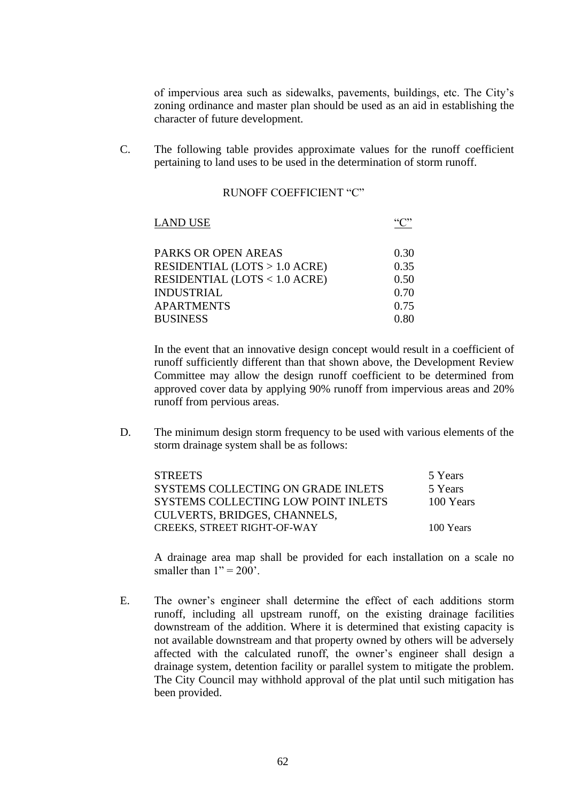of impervious area such as sidewalks, pavements, buildings, etc. The City's zoning ordinance and master plan should be used as an aid in establishing the character of future development.

C. The following table provides approximate values for the runoff coefficient pertaining to land uses to be used in the determination of storm runoff.

#### RUNOFF COEFFICIENT "C"

| <b>LAND USE</b>                         |      |
|-----------------------------------------|------|
| PARKS OR OPEN AREAS                     | 0.30 |
| RESIDENTIAL $(LOTS > 1.0 ACRE)$         | 0.35 |
| <b>RESIDENTIAL (LOTS &lt; 1.0 ACRE)</b> | 0.50 |
| <b>INDUSTRIAL</b>                       | 0.70 |
| <b>APARTMENTS</b>                       | 0.75 |
| <b>BUSINESS</b>                         | 0.80 |

In the event that an innovative design concept would result in a coefficient of runoff sufficiently different than that shown above, the Development Review Committee may allow the design runoff coefficient to be determined from approved cover data by applying 90% runoff from impervious areas and 20% runoff from pervious areas.

D. The minimum design storm frequency to be used with various elements of the storm drainage system shall be as follows:

| <b>STREETS</b>                      | 5 Years   |
|-------------------------------------|-----------|
| SYSTEMS COLLECTING ON GRADE INLETS  | 5 Years   |
| SYSTEMS COLLECTING LOW POINT INLETS | 100 Years |
| CULVERTS, BRIDGES, CHANNELS,        |           |
| <b>CREEKS, STREET RIGHT-OF-WAY</b>  | 100 Years |

A drainage area map shall be provided for each installation on a scale no smaller than  $1" = 200'$ .

E. The owner's engineer shall determine the effect of each additions storm runoff, including all upstream runoff, on the existing drainage facilities downstream of the addition. Where it is determined that existing capacity is not available downstream and that property owned by others will be adversely affected with the calculated runoff, the owner's engineer shall design a drainage system, detention facility or parallel system to mitigate the problem. The City Council may withhold approval of the plat until such mitigation has been provided.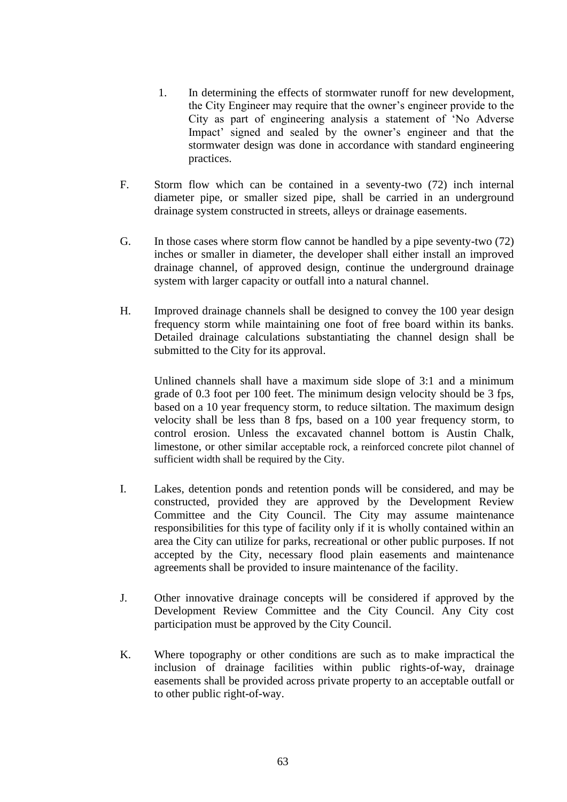- 1. In determining the effects of stormwater runoff for new development, the City Engineer may require that the owner's engineer provide to the City as part of engineering analysis a statement of 'No Adverse Impact' signed and sealed by the owner's engineer and that the stormwater design was done in accordance with standard engineering practices.
- F. Storm flow which can be contained in a seventy-two (72) inch internal diameter pipe, or smaller sized pipe, shall be carried in an underground drainage system constructed in streets, alleys or drainage easements.
- G. In those cases where storm flow cannot be handled by a pipe seventy-two (72) inches or smaller in diameter, the developer shall either install an improved drainage channel, of approved design, continue the underground drainage system with larger capacity or outfall into a natural channel.
- H. Improved drainage channels shall be designed to convey the 100 year design frequency storm while maintaining one foot of free board within its banks. Detailed drainage calculations substantiating the channel design shall be submitted to the City for its approval.

Unlined channels shall have a maximum side slope of 3:1 and a minimum grade of 0.3 foot per 100 feet. The minimum design velocity should be 3 fps, based on a 10 year frequency storm, to reduce siltation. The maximum design velocity shall be less than 8 fps, based on a 100 year frequency storm, to control erosion. Unless the excavated channel bottom is Austin Chalk, limestone, or other similar acceptable rock, a reinforced concrete pilot channel of sufficient width shall be required by the City.

- I. Lakes, detention ponds and retention ponds will be considered, and may be constructed, provided they are approved by the Development Review Committee and the City Council. The City may assume maintenance responsibilities for this type of facility only if it is wholly contained within an area the City can utilize for parks, recreational or other public purposes. If not accepted by the City, necessary flood plain easements and maintenance agreements shall be provided to insure maintenance of the facility.
- J. Other innovative drainage concepts will be considered if approved by the Development Review Committee and the City Council. Any City cost participation must be approved by the City Council.
- K. Where topography or other conditions are such as to make impractical the inclusion of drainage facilities within public rights-of-way, drainage easements shall be provided across private property to an acceptable outfall or to other public right-of-way.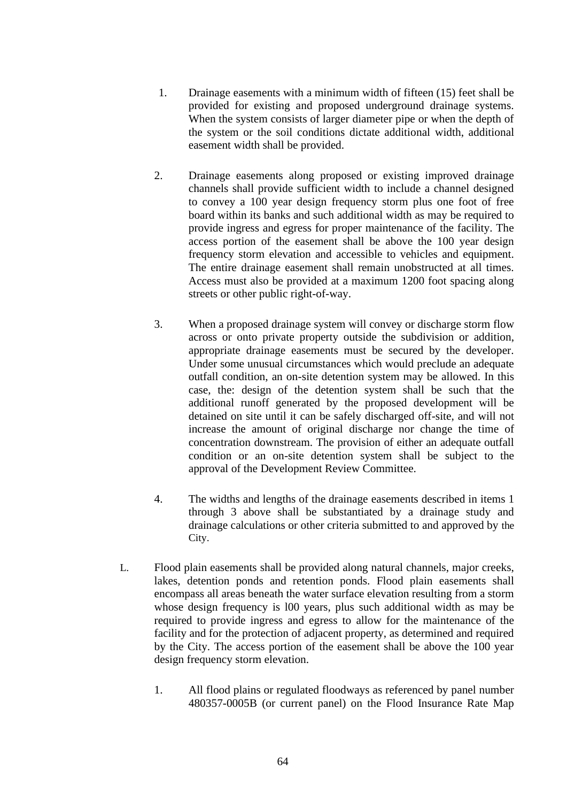- 1. Drainage easements with a minimum width of fifteen (15) feet shall be provided for existing and proposed underground drainage systems. When the system consists of larger diameter pipe or when the depth of the system or the soil conditions dictate additional width, additional easement width shall be provided.
- 2. Drainage easements along proposed or existing improved drainage channels shall provide sufficient width to include a channel designed to convey a 100 year design frequency storm plus one foot of free board within its banks and such additional width as may be required to provide ingress and egress for proper maintenance of the facility. The access portion of the easement shall be above the 100 year design frequency storm elevation and accessible to vehicles and equipment. The entire drainage easement shall remain unobstructed at all times. Access must also be provided at a maximum 1200 foot spacing along streets or other public right-of-way.
- 3. When a proposed drainage system will convey or discharge storm flow across or onto private property outside the subdivision or addition, appropriate drainage easements must be secured by the developer. Under some unusual circumstances which would preclude an adequate outfall condition, an on-site detention system may be allowed. In this case, the: design of the detention system shall be such that the additional runoff generated by the proposed development will be detained on site until it can be safely discharged off-site, and will not increase the amount of original discharge nor change the time of concentration downstream. The provision of either an adequate outfall condition or an on-site detention system shall be subject to the approval of the Development Review Committee.
- 4. The widths and lengths of the drainage easements described in items 1 through 3 above shall be substantiated by a drainage study and drainage calculations or other criteria submitted to and approved by the City.
- L. Flood plain easements shall be provided along natural channels, major creeks, lakes, detention ponds and retention ponds. Flood plain easements shall encompass all areas beneath the water surface elevation resulting from a storm whose design frequency is l00 years, plus such additional width as may be required to provide ingress and egress to allow for the maintenance of the facility and for the protection of adjacent property, as determined and required by the City. The access portion of the easement shall be above the 100 year design frequency storm elevation.
	- 1. All flood plains or regulated floodways as referenced by panel number 480357-0005B (or current panel) on the Flood Insurance Rate Map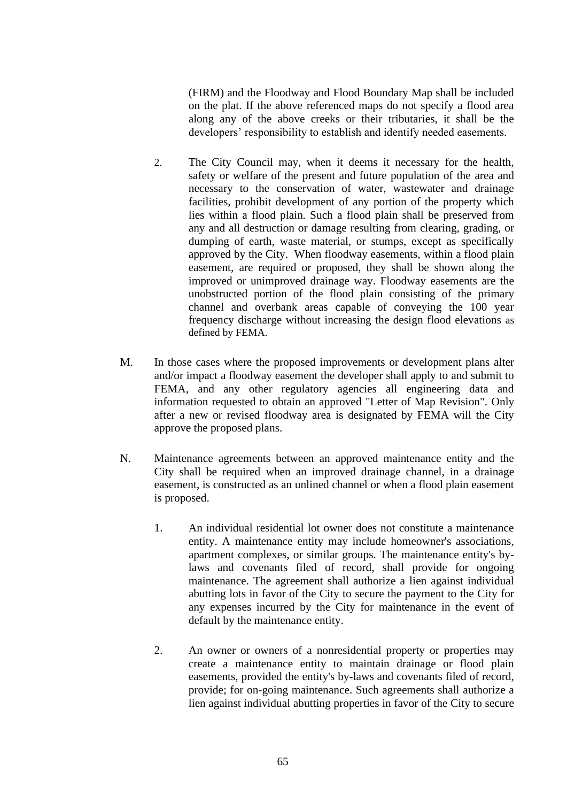(FIRM) and the Floodway and Flood Boundary Map shall be included on the plat. If the above referenced maps do not specify a flood area along any of the above creeks or their tributaries, it shall be the developers' responsibility to establish and identify needed easements.

- 2. The City Council may, when it deems it necessary for the health, safety or welfare of the present and future population of the area and necessary to the conservation of water, wastewater and drainage facilities, prohibit development of any portion of the property which lies within a flood plain. Such a flood plain shall be preserved from any and all destruction or damage resulting from clearing, grading, or dumping of earth, waste material, or stumps, except as specifically approved by the City. When floodway easements, within a flood plain easement, are required or proposed, they shall be shown along the improved or unimproved drainage way. Floodway easements are the unobstructed portion of the flood plain consisting of the primary channel and overbank areas capable of conveying the 100 year frequency discharge without increasing the design flood elevations as defined by FEMA.
- M. In those cases where the proposed improvements or development plans alter and/or impact a floodway easement the developer shall apply to and submit to FEMA, and any other regulatory agencies all engineering data and information requested to obtain an approved "Letter of Map Revision". Only after a new or revised floodway area is designated by FEMA will the City approve the proposed plans.
- N. Maintenance agreements between an approved maintenance entity and the City shall be required when an improved drainage channel, in a drainage easement, is constructed as an unlined channel or when a flood plain easement is proposed.
	- 1. An individual residential lot owner does not constitute a maintenance entity. A maintenance entity may include homeowner's associations, apartment complexes, or similar groups. The maintenance entity's bylaws and covenants filed of record, shall provide for ongoing maintenance. The agreement shall authorize a lien against individual abutting lots in favor of the City to secure the payment to the City for any expenses incurred by the City for maintenance in the event of default by the maintenance entity.
	- 2. An owner or owners of a nonresidential property or properties may create a maintenance entity to maintain drainage or flood plain easements, provided the entity's by-laws and covenants filed of record, provide; for on-going maintenance. Such agreements shall authorize a lien against individual abutting properties in favor of the City to secure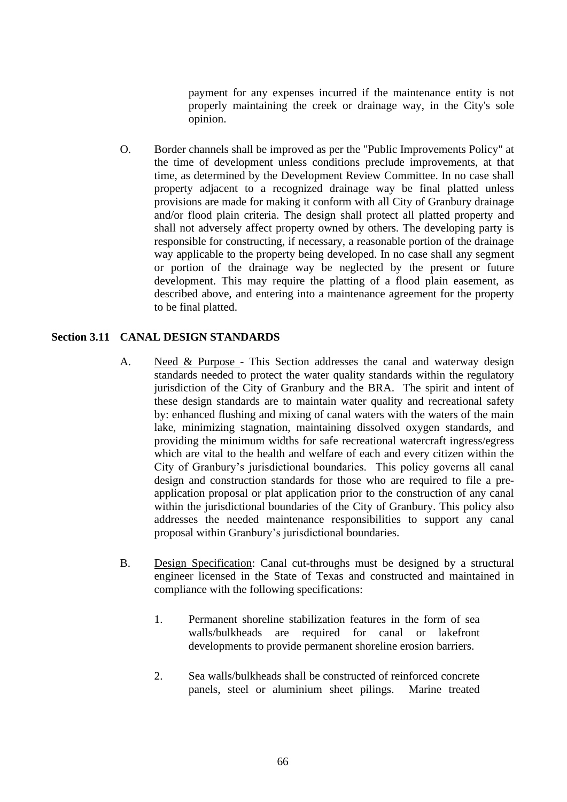payment for any expenses incurred if the maintenance entity is not properly maintaining the creek or drainage way, in the City's sole opinion.

O. Border channels shall be improved as per the "Public Improvements Policy" at the time of development unless conditions preclude improvements, at that time, as determined by the Development Review Committee. In no case shall property adjacent to a recognized drainage way be final platted unless provisions are made for making it conform with all City of Granbury drainage and/or flood plain criteria. The design shall protect all platted property and shall not adversely affect property owned by others. The developing party is responsible for constructing, if necessary, a reasonable portion of the drainage way applicable to the property being developed. In no case shall any segment or portion of the drainage way be neglected by the present or future development. This may require the platting of a flood plain easement, as described above, and entering into a maintenance agreement for the property to be final platted.

### **Section 3.11 CANAL DESIGN STANDARDS**

- A. Need & Purpose This Section addresses the canal and waterway design standards needed to protect the water quality standards within the regulatory jurisdiction of the City of Granbury and the BRA. The spirit and intent of these design standards are to maintain water quality and recreational safety by: enhanced flushing and mixing of canal waters with the waters of the main lake, minimizing stagnation, maintaining dissolved oxygen standards, and providing the minimum widths for safe recreational watercraft ingress/egress which are vital to the health and welfare of each and every citizen within the City of Granbury's jurisdictional boundaries. This policy governs all canal design and construction standards for those who are required to file a preapplication proposal or plat application prior to the construction of any canal within the jurisdictional boundaries of the City of Granbury. This policy also addresses the needed maintenance responsibilities to support any canal proposal within Granbury's jurisdictional boundaries.
- B. Design Specification: Canal cut-throughs must be designed by a structural engineer licensed in the State of Texas and constructed and maintained in compliance with the following specifications:
	- 1. Permanent shoreline stabilization features in the form of sea walls/bulkheads are required for canal or lakefront developments to provide permanent shoreline erosion barriers.
	- 2. Sea walls/bulkheads shall be constructed of reinforced concrete panels, steel or aluminium sheet pilings. Marine treated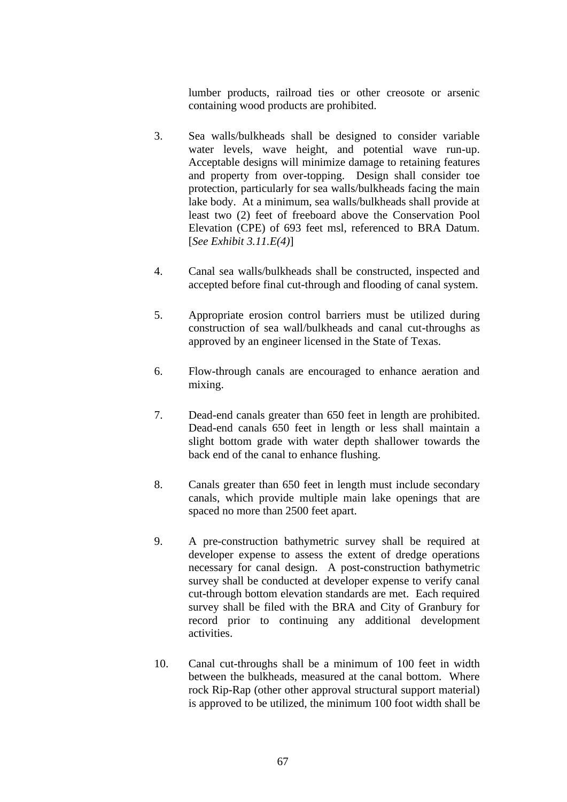lumber products, railroad ties or other creosote or arsenic containing wood products are prohibited.

- 3. Sea walls/bulkheads shall be designed to consider variable water levels, wave height, and potential wave run-up. Acceptable designs will minimize damage to retaining features and property from over-topping. Design shall consider toe protection, particularly for sea walls/bulkheads facing the main lake body. At a minimum, sea walls/bulkheads shall provide at least two (2) feet of freeboard above the Conservation Pool Elevation (CPE) of 693 feet msl, referenced to BRA Datum. [*See Exhibit 3.11.E(4)*]
- 4. Canal sea walls/bulkheads shall be constructed, inspected and accepted before final cut-through and flooding of canal system.
- 5. Appropriate erosion control barriers must be utilized during construction of sea wall/bulkheads and canal cut-throughs as approved by an engineer licensed in the State of Texas.
- 6. Flow-through canals are encouraged to enhance aeration and mixing.
- 7. Dead-end canals greater than 650 feet in length are prohibited. Dead-end canals 650 feet in length or less shall maintain a slight bottom grade with water depth shallower towards the back end of the canal to enhance flushing.
- 8. Canals greater than 650 feet in length must include secondary canals, which provide multiple main lake openings that are spaced no more than 2500 feet apart.
- 9. A pre-construction bathymetric survey shall be required at developer expense to assess the extent of dredge operations necessary for canal design. A post-construction bathymetric survey shall be conducted at developer expense to verify canal cut-through bottom elevation standards are met. Each required survey shall be filed with the BRA and City of Granbury for record prior to continuing any additional development activities.
- 10. Canal cut-throughs shall be a minimum of 100 feet in width between the bulkheads, measured at the canal bottom. Where rock Rip-Rap (other other approval structural support material) is approved to be utilized, the minimum 100 foot width shall be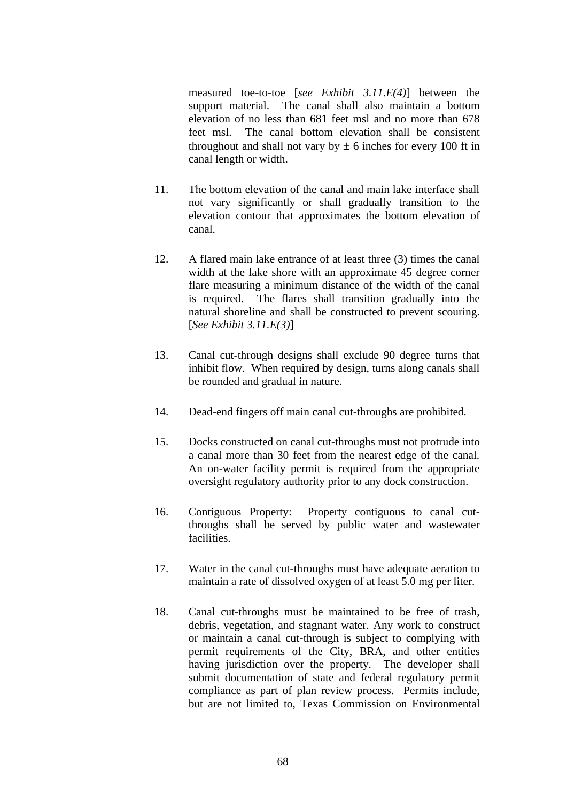measured toe-to-toe [*see Exhibit 3.11.E(4)*] between the support material. The canal shall also maintain a bottom elevation of no less than 681 feet msl and no more than 678 feet msl. The canal bottom elevation shall be consistent throughout and shall not vary by  $\pm$  6 inches for every 100 ft in canal length or width.

- 11. The bottom elevation of the canal and main lake interface shall not vary significantly or shall gradually transition to the elevation contour that approximates the bottom elevation of canal.
- 12. A flared main lake entrance of at least three (3) times the canal width at the lake shore with an approximate 45 degree corner flare measuring a minimum distance of the width of the canal is required. The flares shall transition gradually into the natural shoreline and shall be constructed to prevent scouring. [*See Exhibit 3.11.E(3)*]
- 13. Canal cut-through designs shall exclude 90 degree turns that inhibit flow. When required by design, turns along canals shall be rounded and gradual in nature.
- 14. Dead-end fingers off main canal cut-throughs are prohibited.
- 15. Docks constructed on canal cut-throughs must not protrude into a canal more than 30 feet from the nearest edge of the canal. An on-water facility permit is required from the appropriate oversight regulatory authority prior to any dock construction.
- 16. Contiguous Property: Property contiguous to canal cutthroughs shall be served by public water and wastewater facilities.
- 17. Water in the canal cut-throughs must have adequate aeration to maintain a rate of dissolved oxygen of at least 5.0 mg per liter.
- 18. Canal cut-throughs must be maintained to be free of trash, debris, vegetation, and stagnant water. Any work to construct or maintain a canal cut-through is subject to complying with permit requirements of the City, BRA, and other entities having jurisdiction over the property. The developer shall submit documentation of state and federal regulatory permit compliance as part of plan review process. Permits include, but are not limited to, Texas Commission on Environmental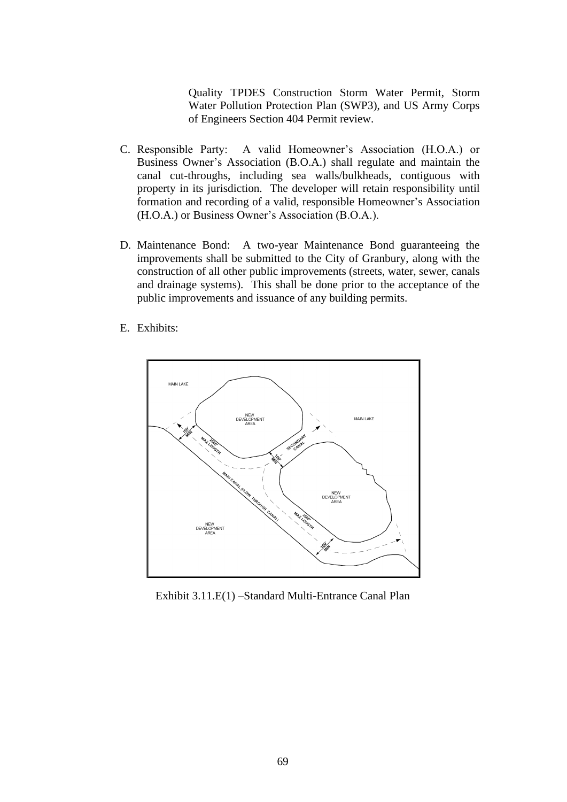Quality TPDES Construction Storm Water Permit, Storm Water Pollution Protection Plan (SWP3), and US Army Corps of Engineers Section 404 Permit review.

- C. Responsible Party: A valid Homeowner's Association (H.O.A.) or Business Owner's Association (B.O.A.) shall regulate and maintain the canal cut-throughs, including sea walls/bulkheads, contiguous with property in its jurisdiction. The developer will retain responsibility until formation and recording of a valid, responsible Homeowner's Association (H.O.A.) or Business Owner's Association (B.O.A.).
- D. Maintenance Bond: A two-year Maintenance Bond guaranteeing the improvements shall be submitted to the City of Granbury, along with the construction of all other public improvements (streets, water, sewer, canals and drainage systems). This shall be done prior to the acceptance of the public improvements and issuance of any building permits.
- E. Exhibits:



Exhibit 3.11.E(1) –Standard Multi-Entrance Canal Plan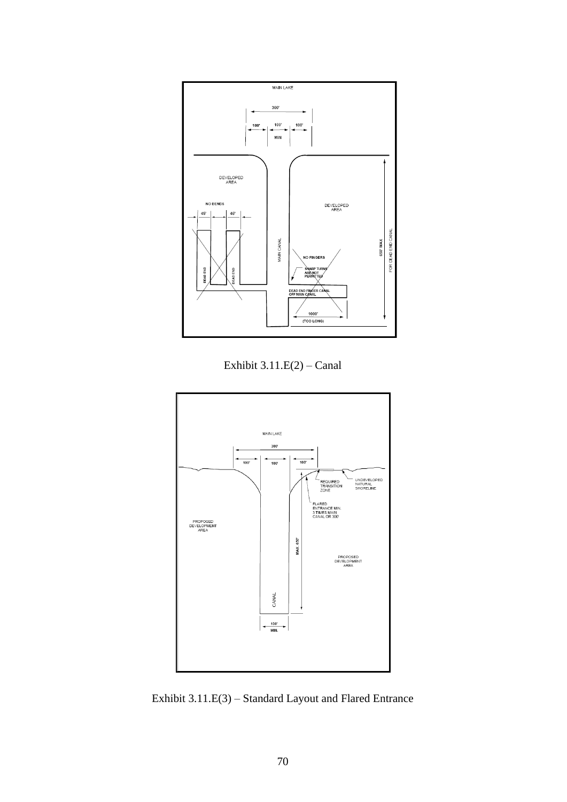

Exhibit 3.11.E(2) – Canal



Exhibit 3.11.E(3) – Standard Layout and Flared Entrance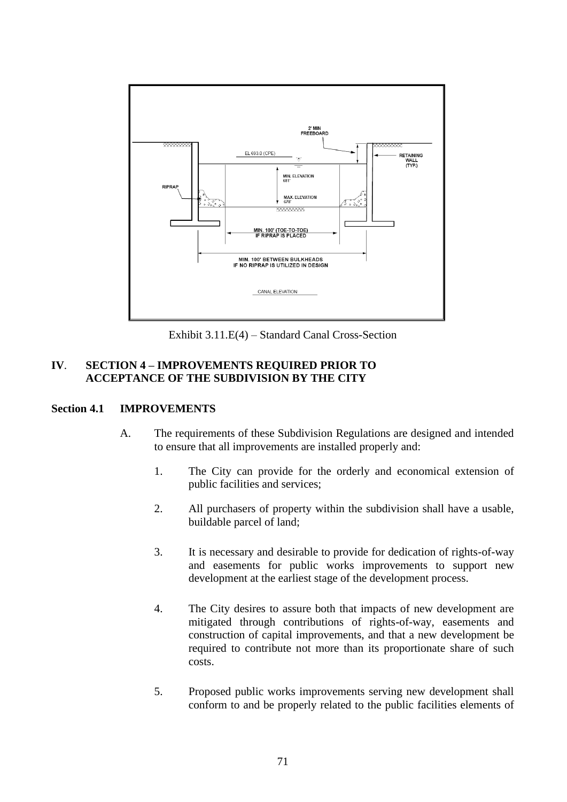

Exhibit 3.11.E(4) – Standard Canal Cross-Section

## **IV**. **SECTION 4 – IMPROVEMENTS REQUIRED PRIOR TO ACCEPTANCE OF THE SUBDIVISION BY THE CITY**

### **Section 4.1 IMPROVEMENTS**

- A. The requirements of these Subdivision Regulations are designed and intended to ensure that all improvements are installed properly and:
	- 1. The City can provide for the orderly and economical extension of public facilities and services;
	- 2. All purchasers of property within the subdivision shall have a usable, buildable parcel of land;
	- 3. It is necessary and desirable to provide for dedication of rights-of-way and easements for public works improvements to support new development at the earliest stage of the development process.
	- 4. The City desires to assure both that impacts of new development are mitigated through contributions of rights-of-way, easements and construction of capital improvements, and that a new development be required to contribute not more than its proportionate share of such costs.
	- 5. Proposed public works improvements serving new development shall conform to and be properly related to the public facilities elements of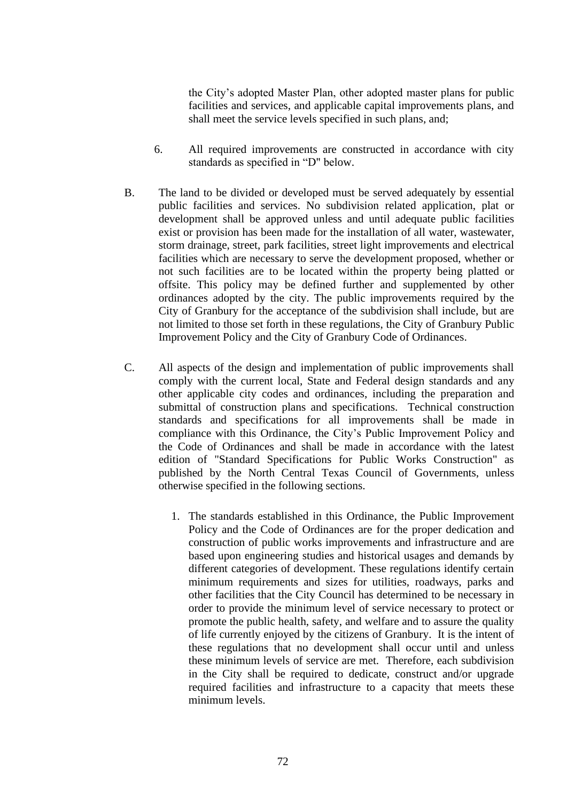the City's adopted Master Plan, other adopted master plans for public facilities and services, and applicable capital improvements plans, and shall meet the service levels specified in such plans, and;

- 6. All required improvements are constructed in accordance with city standards as specified in "D" below.
- B. The land to be divided or developed must be served adequately by essential public facilities and services. No subdivision related application, plat or development shall be approved unless and until adequate public facilities exist or provision has been made for the installation of all water, wastewater, storm drainage, street, park facilities, street light improvements and electrical facilities which are necessary to serve the development proposed, whether or not such facilities are to be located within the property being platted or offsite. This policy may be defined further and supplemented by other ordinances adopted by the city. The public improvements required by the City of Granbury for the acceptance of the subdivision shall include, but are not limited to those set forth in these regulations, the City of Granbury Public Improvement Policy and the City of Granbury Code of Ordinances.
- C. All aspects of the design and implementation of public improvements shall comply with the current local, State and Federal design standards and any other applicable city codes and ordinances, including the preparation and submittal of construction plans and specifications. Technical construction standards and specifications for all improvements shall be made in compliance with this Ordinance, the City's Public Improvement Policy and the Code of Ordinances and shall be made in accordance with the latest edition of "Standard Specifications for Public Works Construction" as published by the North Central Texas Council of Governments, unless otherwise specified in the following sections.
	- 1. The standards established in this Ordinance, the Public Improvement Policy and the Code of Ordinances are for the proper dedication and construction of public works improvements and infrastructure and are based upon engineering studies and historical usages and demands by different categories of development. These regulations identify certain minimum requirements and sizes for utilities, roadways, parks and other facilities that the City Council has determined to be necessary in order to provide the minimum level of service necessary to protect or promote the public health, safety, and welfare and to assure the quality of life currently enjoyed by the citizens of Granbury. It is the intent of these regulations that no development shall occur until and unless these minimum levels of service are met. Therefore, each subdivision in the City shall be required to dedicate, construct and/or upgrade required facilities and infrastructure to a capacity that meets these minimum levels.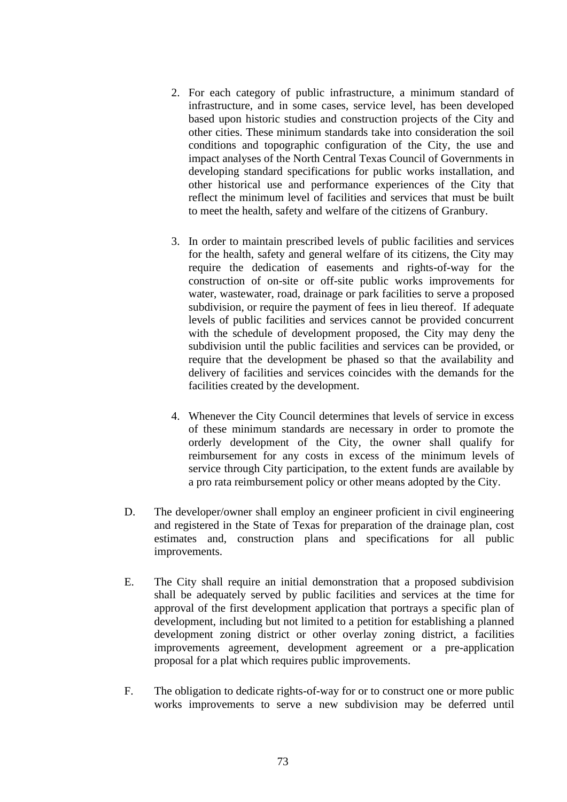- 2. For each category of public infrastructure, a minimum standard of infrastructure, and in some cases, service level, has been developed based upon historic studies and construction projects of the City and other cities. These minimum standards take into consideration the soil conditions and topographic configuration of the City, the use and impact analyses of the North Central Texas Council of Governments in developing standard specifications for public works installation, and other historical use and performance experiences of the City that reflect the minimum level of facilities and services that must be built to meet the health, safety and welfare of the citizens of Granbury.
- 3. In order to maintain prescribed levels of public facilities and services for the health, safety and general welfare of its citizens, the City may require the dedication of easements and rights-of-way for the construction of on-site or off-site public works improvements for water, wastewater, road, drainage or park facilities to serve a proposed subdivision, or require the payment of fees in lieu thereof. If adequate levels of public facilities and services cannot be provided concurrent with the schedule of development proposed, the City may deny the subdivision until the public facilities and services can be provided, or require that the development be phased so that the availability and delivery of facilities and services coincides with the demands for the facilities created by the development.
- 4. Whenever the City Council determines that levels of service in excess of these minimum standards are necessary in order to promote the orderly development of the City, the owner shall qualify for reimbursement for any costs in excess of the minimum levels of service through City participation, to the extent funds are available by a pro rata reimbursement policy or other means adopted by the City.
- D. The developer/owner shall employ an engineer proficient in civil engineering and registered in the State of Texas for preparation of the drainage plan, cost estimates and, construction plans and specifications for all public improvements.
- E. The City shall require an initial demonstration that a proposed subdivision shall be adequately served by public facilities and services at the time for approval of the first development application that portrays a specific plan of development, including but not limited to a petition for establishing a planned development zoning district or other overlay zoning district, a facilities improvements agreement, development agreement or a pre-application proposal for a plat which requires public improvements.
- F. The obligation to dedicate rights-of-way for or to construct one or more public works improvements to serve a new subdivision may be deferred until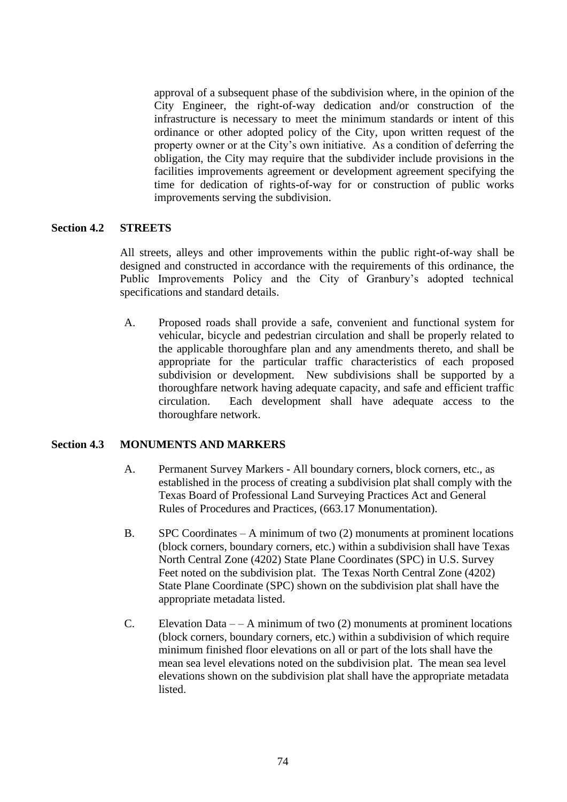approval of a subsequent phase of the subdivision where, in the opinion of the City Engineer, the right-of-way dedication and/or construction of the infrastructure is necessary to meet the minimum standards or intent of this ordinance or other adopted policy of the City, upon written request of the property owner or at the City's own initiative. As a condition of deferring the obligation, the City may require that the subdivider include provisions in the facilities improvements agreement or development agreement specifying the time for dedication of rights-of-way for or construction of public works improvements serving the subdivision.

### **Section 4.2 STREETS**

All streets, alleys and other improvements within the public right-of-way shall be designed and constructed in accordance with the requirements of this ordinance, the Public Improvements Policy and the City of Granbury's adopted technical specifications and standard details.

A. Proposed roads shall provide a safe, convenient and functional system for vehicular, bicycle and pedestrian circulation and shall be properly related to the applicable thoroughfare plan and any amendments thereto, and shall be appropriate for the particular traffic characteristics of each proposed subdivision or development. New subdivisions shall be supported by a thoroughfare network having adequate capacity, and safe and efficient traffic circulation. Each development shall have adequate access to the thoroughfare network.

### **Section 4.3 MONUMENTS AND MARKERS**

- A. Permanent Survey Markers All boundary corners, block corners, etc., as established in the process of creating a subdivision plat shall comply with the Texas Board of Professional Land Surveying Practices Act and General Rules of Procedures and Practices, (663.17 Monumentation).
- B. SPC Coordinates A minimum of two (2) monuments at prominent locations (block corners, boundary corners, etc.) within a subdivision shall have Texas North Central Zone (4202) State Plane Coordinates (SPC) in U.S. Survey Feet noted on the subdivision plat. The Texas North Central Zone (4202) State Plane Coordinate (SPC) shown on the subdivision plat shall have the appropriate metadata listed.
- C. Elevation Data  $-$  A minimum of two (2) monuments at prominent locations (block corners, boundary corners, etc.) within a subdivision of which require minimum finished floor elevations on all or part of the lots shall have the mean sea level elevations noted on the subdivision plat. The mean sea level elevations shown on the subdivision plat shall have the appropriate metadata listed.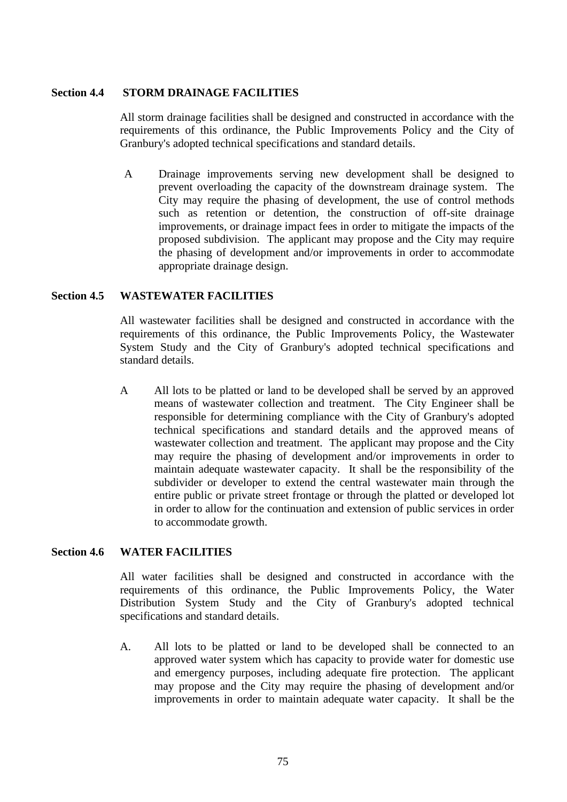#### **Section 4.4 STORM DRAINAGE FACILITIES**

All storm drainage facilities shall be designed and constructed in accordance with the requirements of this ordinance, the Public Improvements Policy and the City of Granbury's adopted technical specifications and standard details.

A Drainage improvements serving new development shall be designed to prevent overloading the capacity of the downstream drainage system. The City may require the phasing of development, the use of control methods such as retention or detention, the construction of off-site drainage improvements, or drainage impact fees in order to mitigate the impacts of the proposed subdivision. The applicant may propose and the City may require the phasing of development and/or improvements in order to accommodate appropriate drainage design.

### **Section 4.5 WASTEWATER FACILITIES**

All wastewater facilities shall be designed and constructed in accordance with the requirements of this ordinance, the Public Improvements Policy, the Wastewater System Study and the City of Granbury's adopted technical specifications and standard details.

A All lots to be platted or land to be developed shall be served by an approved means of wastewater collection and treatment. The City Engineer shall be responsible for determining compliance with the City of Granbury's adopted technical specifications and standard details and the approved means of wastewater collection and treatment. The applicant may propose and the City may require the phasing of development and/or improvements in order to maintain adequate wastewater capacity. It shall be the responsibility of the subdivider or developer to extend the central wastewater main through the entire public or private street frontage or through the platted or developed lot in order to allow for the continuation and extension of public services in order to accommodate growth.

### **Section 4.6 WATER FACILITIES**

All water facilities shall be designed and constructed in accordance with the requirements of this ordinance, the Public Improvements Policy, the Water Distribution System Study and the City of Granbury's adopted technical specifications and standard details.

A. All lots to be platted or land to be developed shall be connected to an approved water system which has capacity to provide water for domestic use and emergency purposes, including adequate fire protection. The applicant may propose and the City may require the phasing of development and/or improvements in order to maintain adequate water capacity. It shall be the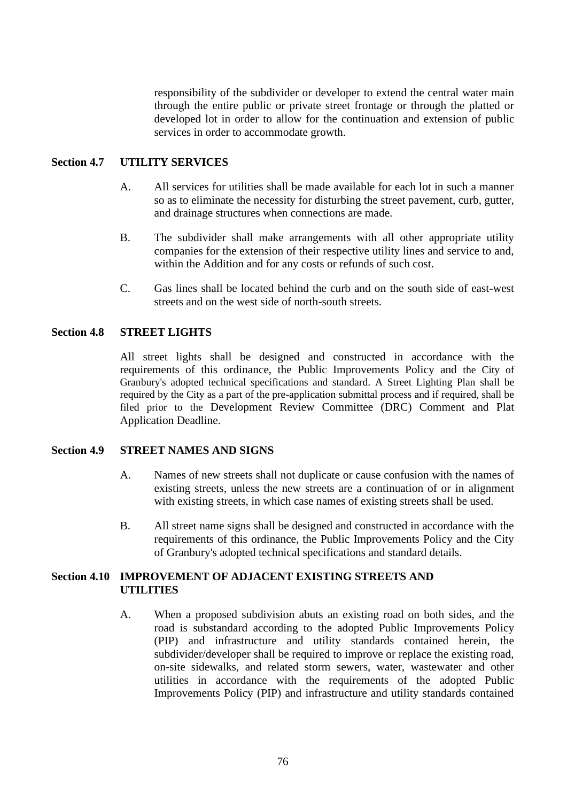responsibility of the subdivider or developer to extend the central water main through the entire public or private street frontage or through the platted or developed lot in order to allow for the continuation and extension of public services in order to accommodate growth.

## **Section 4.7 UTILITY SERVICES**

- A. All services for utilities shall be made available for each lot in such a manner so as to eliminate the necessity for disturbing the street pavement, curb, gutter, and drainage structures when connections are made.
- B. The subdivider shall make arrangements with all other appropriate utility companies for the extension of their respective utility lines and service to and, within the Addition and for any costs or refunds of such cost.
- C. Gas lines shall be located behind the curb and on the south side of east-west streets and on the west side of north-south streets.

### **Section 4.8 STREET LIGHTS**

All street lights shall be designed and constructed in accordance with the requirements of this ordinance, the Public Improvements Policy and the City of Granbury's adopted technical specifications and standard. A Street Lighting Plan shall be required by the City as a part of the pre-application submittal process and if required, shall be filed prior to the Development Review Committee (DRC) Comment and Plat Application Deadline.

#### **Section 4.9 STREET NAMES AND SIGNS**

- A. Names of new streets shall not duplicate or cause confusion with the names of existing streets, unless the new streets are a continuation of or in alignment with existing streets, in which case names of existing streets shall be used.
- B. All street name signs shall be designed and constructed in accordance with the requirements of this ordinance, the Public Improvements Policy and the City of Granbury's adopted technical specifications and standard details.

### **Section 4.10 IMPROVEMENT OF ADJACENT EXISTING STREETS AND UTILITIES**

A. When a proposed subdivision abuts an existing road on both sides, and the road is substandard according to the adopted Public Improvements Policy (PIP) and infrastructure and utility standards contained herein, the subdivider/developer shall be required to improve or replace the existing road, on-site sidewalks, and related storm sewers, water, wastewater and other utilities in accordance with the requirements of the adopted Public Improvements Policy (PIP) and infrastructure and utility standards contained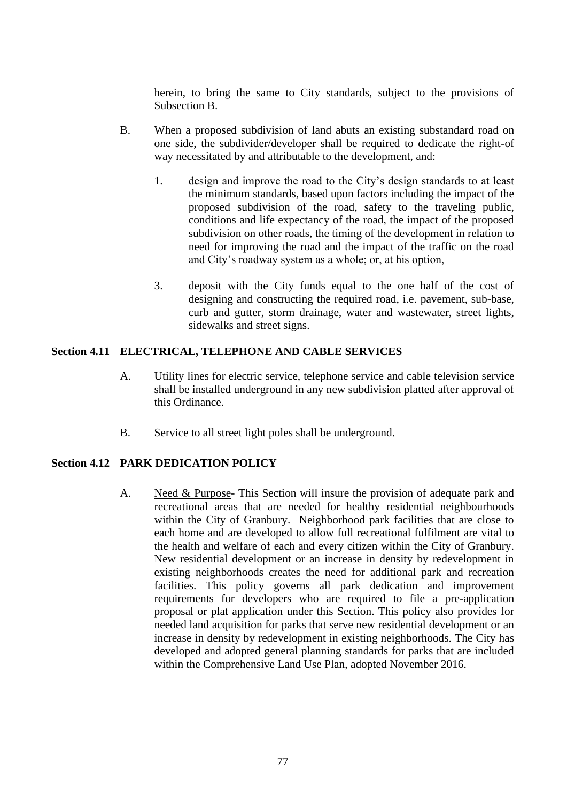herein, to bring the same to City standards, subject to the provisions of Subsection B.

- B. When a proposed subdivision of land abuts an existing substandard road on one side, the subdivider/developer shall be required to dedicate the right-of way necessitated by and attributable to the development, and:
	- 1. design and improve the road to the City's design standards to at least the minimum standards, based upon factors including the impact of the proposed subdivision of the road, safety to the traveling public, conditions and life expectancy of the road, the impact of the proposed subdivision on other roads, the timing of the development in relation to need for improving the road and the impact of the traffic on the road and City's roadway system as a whole; or, at his option,
	- 3. deposit with the City funds equal to the one half of the cost of designing and constructing the required road, i.e. pavement, sub-base, curb and gutter, storm drainage, water and wastewater, street lights, sidewalks and street signs.

## **Section 4.11 ELECTRICAL, TELEPHONE AND CABLE SERVICES**

- A. Utility lines for electric service, telephone service and cable television service shall be installed underground in any new subdivision platted after approval of this Ordinance.
- B. Service to all street light poles shall be underground.

### **Section 4.12 PARK DEDICATION POLICY**

A. Need & Purpose- This Section will insure the provision of adequate park and recreational areas that are needed for healthy residential neighbourhoods within the City of Granbury. Neighborhood park facilities that are close to each home and are developed to allow full recreational fulfilment are vital to the health and welfare of each and every citizen within the City of Granbury. New residential development or an increase in density by redevelopment in existing neighborhoods creates the need for additional park and recreation facilities. This policy governs all park dedication and improvement requirements for developers who are required to file a pre-application proposal or plat application under this Section. This policy also provides for needed land acquisition for parks that serve new residential development or an increase in density by redevelopment in existing neighborhoods. The City has developed and adopted general planning standards for parks that are included within the Comprehensive Land Use Plan, adopted November 2016.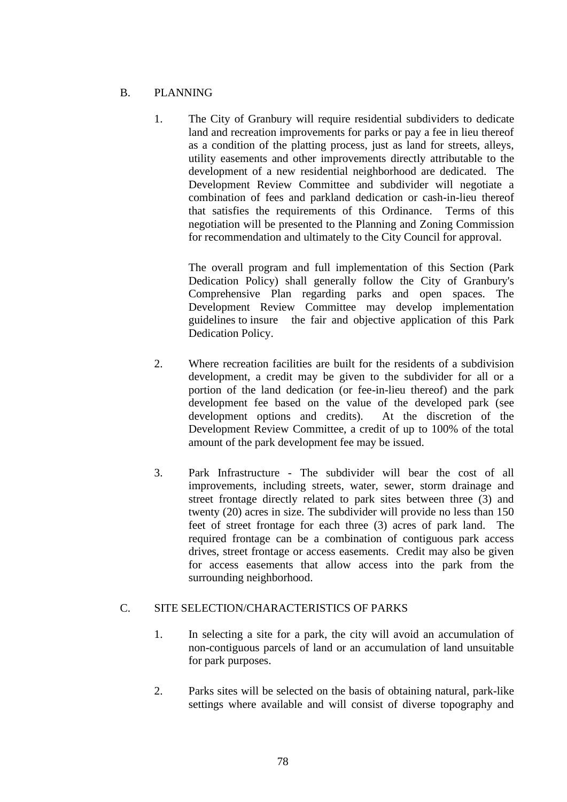# B. PLANNING

1. The City of Granbury will require residential subdividers to dedicate land and recreation improvements for parks or pay a fee in lieu thereof as a condition of the platting process, just as land for streets, alleys, utility easements and other improvements directly attributable to the development of a new residential neighborhood are dedicated. The Development Review Committee and subdivider will negotiate a combination of fees and parkland dedication or cash-in-lieu thereof that satisfies the requirements of this Ordinance. Terms of this negotiation will be presented to the Planning and Zoning Commission for recommendation and ultimately to the City Council for approval.

The overall program and full implementation of this Section (Park Dedication Policy) shall generally follow the City of Granbury's Comprehensive Plan regarding parks and open spaces. The Development Review Committee may develop implementation guidelines to insure the fair and objective application of this Park Dedication Policy.

- 2. Where recreation facilities are built for the residents of a subdivision development, a credit may be given to the subdivider for all or a portion of the land dedication (or fee-in-lieu thereof) and the park development fee based on the value of the developed park (see development options and credits). At the discretion of the Development Review Committee, a credit of up to 100% of the total amount of the park development fee may be issued.
- 3. Park Infrastructure The subdivider will bear the cost of all improvements, including streets, water, sewer, storm drainage and street frontage directly related to park sites between three (3) and twenty (20) acres in size. The subdivider will provide no less than 150 feet of street frontage for each three (3) acres of park land. The required frontage can be a combination of contiguous park access drives, street frontage or access easements. Credit may also be given for access easements that allow access into the park from the surrounding neighborhood.

## C. SITE SELECTION/CHARACTERISTICS OF PARKS

- 1. In selecting a site for a park, the city will avoid an accumulation of non-contiguous parcels of land or an accumulation of land unsuitable for park purposes.
- 2. Parks sites will be selected on the basis of obtaining natural, park-like settings where available and will consist of diverse topography and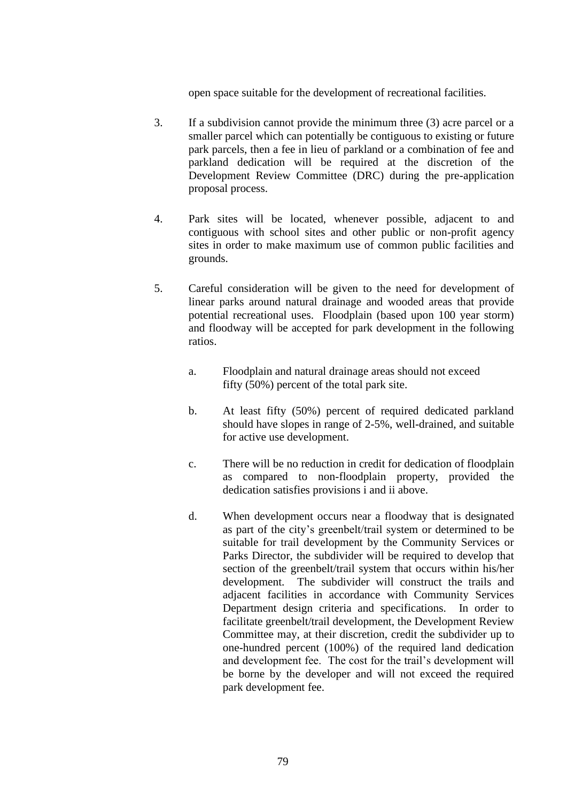open space suitable for the development of recreational facilities.

- 3. If a subdivision cannot provide the minimum three (3) acre parcel or a smaller parcel which can potentially be contiguous to existing or future park parcels, then a fee in lieu of parkland or a combination of fee and parkland dedication will be required at the discretion of the Development Review Committee (DRC) during the pre-application proposal process.
- 4. Park sites will be located, whenever possible, adjacent to and contiguous with school sites and other public or non-profit agency sites in order to make maximum use of common public facilities and grounds.
- 5. Careful consideration will be given to the need for development of linear parks around natural drainage and wooded areas that provide potential recreational uses. Floodplain (based upon 100 year storm) and floodway will be accepted for park development in the following ratios.
	- a. Floodplain and natural drainage areas should not exceed fifty (50%) percent of the total park site.
	- b. At least fifty (50%) percent of required dedicated parkland should have slopes in range of 2-5%, well-drained, and suitable for active use development.
	- c. There will be no reduction in credit for dedication of floodplain as compared to non-floodplain property, provided the dedication satisfies provisions i and ii above.
	- d. When development occurs near a floodway that is designated as part of the city's greenbelt/trail system or determined to be suitable for trail development by the Community Services or Parks Director, the subdivider will be required to develop that section of the greenbelt/trail system that occurs within his/her development. The subdivider will construct the trails and adjacent facilities in accordance with Community Services Department design criteria and specifications. In order to facilitate greenbelt/trail development, the Development Review Committee may, at their discretion, credit the subdivider up to one-hundred percent (100%) of the required land dedication and development fee. The cost for the trail's development will be borne by the developer and will not exceed the required park development fee.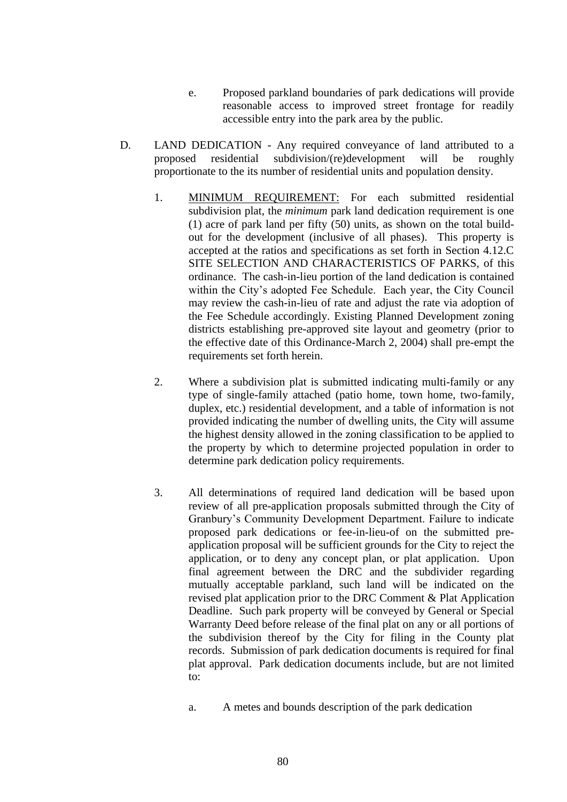- e. Proposed parkland boundaries of park dedications will provide reasonable access to improved street frontage for readily accessible entry into the park area by the public.
- D. LAND DEDICATION Any required conveyance of land attributed to a proposed residential subdivision/(re)development will be roughly proportionate to the its number of residential units and population density.
	- 1. MINIMUM REQUIREMENT: For each submitted residential subdivision plat, the *minimum* park land dedication requirement is one (1) acre of park land per fifty (50) units, as shown on the total buildout for the development (inclusive of all phases). This property is accepted at the ratios and specifications as set forth in Section 4.12.C SITE SELECTION AND CHARACTERISTICS OF PARKS, of this ordinance. The cash-in-lieu portion of the land dedication is contained within the City's adopted Fee Schedule. Each year, the City Council may review the cash-in-lieu of rate and adjust the rate via adoption of the Fee Schedule accordingly. Existing Planned Development zoning districts establishing pre-approved site layout and geometry (prior to the effective date of this Ordinance-March 2, 2004) shall pre-empt the requirements set forth herein.
	- 2. Where a subdivision plat is submitted indicating multi-family or any type of single-family attached (patio home, town home, two-family, duplex, etc.) residential development, and a table of information is not provided indicating the number of dwelling units, the City will assume the highest density allowed in the zoning classification to be applied to the property by which to determine projected population in order to determine park dedication policy requirements.
	- 3. All determinations of required land dedication will be based upon review of all pre-application proposals submitted through the City of Granbury's Community Development Department. Failure to indicate proposed park dedications or fee-in-lieu-of on the submitted preapplication proposal will be sufficient grounds for the City to reject the application, or to deny any concept plan, or plat application. Upon final agreement between the DRC and the subdivider regarding mutually acceptable parkland, such land will be indicated on the revised plat application prior to the DRC Comment & Plat Application Deadline. Such park property will be conveyed by General or Special Warranty Deed before release of the final plat on any or all portions of the subdivision thereof by the City for filing in the County plat records. Submission of park dedication documents is required for final plat approval. Park dedication documents include, but are not limited to:
		- a. A metes and bounds description of the park dedication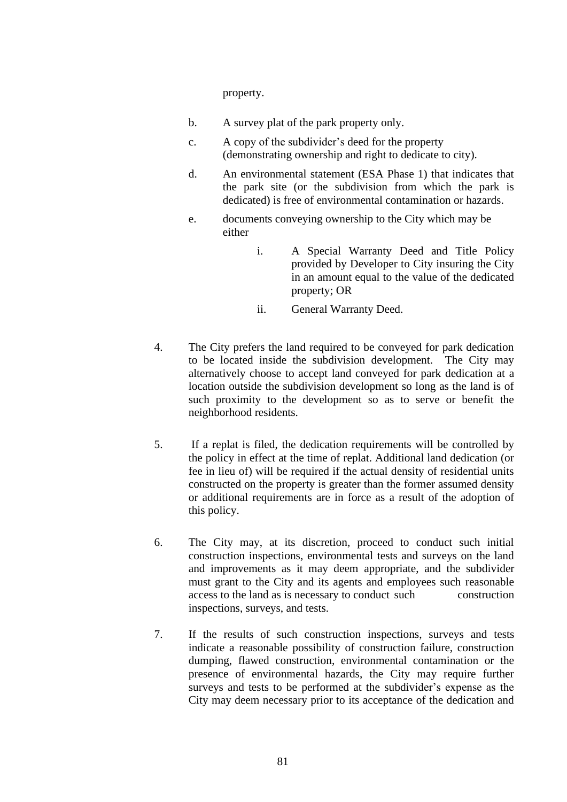property.

- b. A survey plat of the park property only.
- c. A copy of the subdivider's deed for the property (demonstrating ownership and right to dedicate to city).
- d. An environmental statement (ESA Phase 1) that indicates that the park site (or the subdivision from which the park is dedicated) is free of environmental contamination or hazards.
- e. documents conveying ownership to the City which may be either
	- i. A Special Warranty Deed and Title Policy provided by Developer to City insuring the City in an amount equal to the value of the dedicated property; OR
	- ii. General Warranty Deed.
- 4. The City prefers the land required to be conveyed for park dedication to be located inside the subdivision development. The City may alternatively choose to accept land conveyed for park dedication at a location outside the subdivision development so long as the land is of such proximity to the development so as to serve or benefit the neighborhood residents.
- 5. If a replat is filed, the dedication requirements will be controlled by the policy in effect at the time of replat. Additional land dedication (or fee in lieu of) will be required if the actual density of residential units constructed on the property is greater than the former assumed density or additional requirements are in force as a result of the adoption of this policy.
- 6. The City may, at its discretion, proceed to conduct such initial construction inspections, environmental tests and surveys on the land and improvements as it may deem appropriate, and the subdivider must grant to the City and its agents and employees such reasonable access to the land as is necessary to conduct such construction inspections, surveys, and tests.
- 7. If the results of such construction inspections, surveys and tests indicate a reasonable possibility of construction failure, construction dumping, flawed construction, environmental contamination or the presence of environmental hazards, the City may require further surveys and tests to be performed at the subdivider's expense as the City may deem necessary prior to its acceptance of the dedication and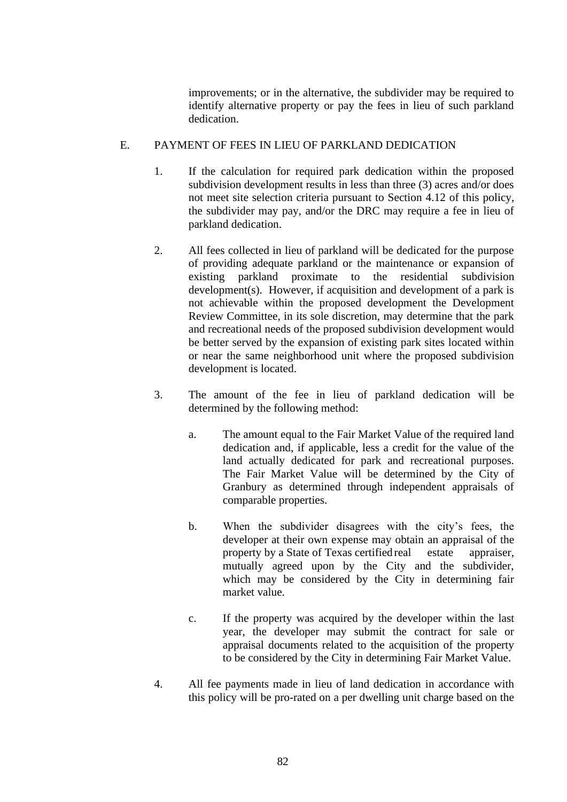improvements; or in the alternative, the subdivider may be required to identify alternative property or pay the fees in lieu of such parkland dedication.

# E. PAYMENT OF FEES IN LIEU OF PARKLAND DEDICATION

- 1. If the calculation for required park dedication within the proposed subdivision development results in less than three (3) acres and/or does not meet site selection criteria pursuant to Section 4.12 of this policy, the subdivider may pay, and/or the DRC may require a fee in lieu of parkland dedication.
- 2. All fees collected in lieu of parkland will be dedicated for the purpose of providing adequate parkland or the maintenance or expansion of existing parkland proximate to the residential subdivision development(s). However, if acquisition and development of a park is not achievable within the proposed development the Development Review Committee, in its sole discretion, may determine that the park and recreational needs of the proposed subdivision development would be better served by the expansion of existing park sites located within or near the same neighborhood unit where the proposed subdivision development is located.
- 3. The amount of the fee in lieu of parkland dedication will be determined by the following method:
	- a. The amount equal to the Fair Market Value of the required land dedication and, if applicable, less a credit for the value of the land actually dedicated for park and recreational purposes. The Fair Market Value will be determined by the City of Granbury as determined through independent appraisals of comparable properties.
	- b. When the subdivider disagrees with the city's fees, the developer at their own expense may obtain an appraisal of the property by a State of Texas certified real estate appraiser, mutually agreed upon by the City and the subdivider, which may be considered by the City in determining fair market value.
	- c. If the property was acquired by the developer within the last year, the developer may submit the contract for sale or appraisal documents related to the acquisition of the property to be considered by the City in determining Fair Market Value.
- 4. All fee payments made in lieu of land dedication in accordance with this policy will be pro-rated on a per dwelling unit charge based on the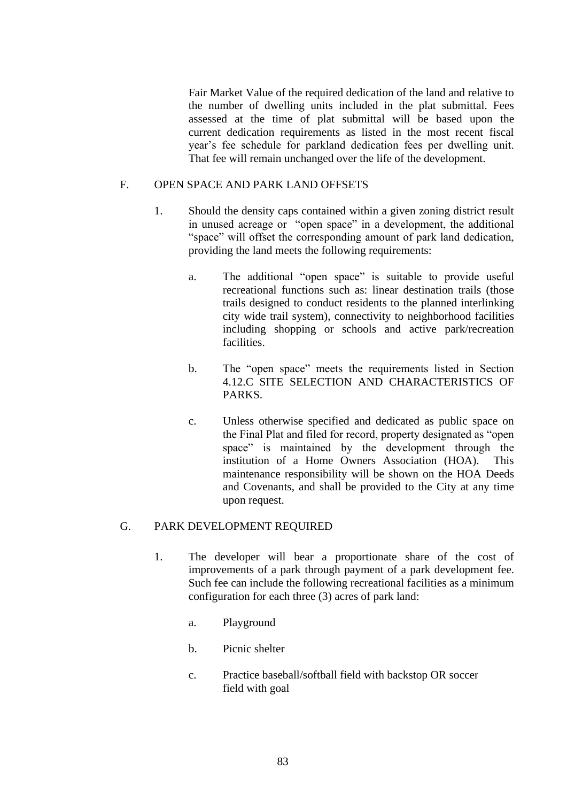Fair Market Value of the required dedication of the land and relative to the number of dwelling units included in the plat submittal. Fees assessed at the time of plat submittal will be based upon the current dedication requirements as listed in the most recent fiscal year's fee schedule for parkland dedication fees per dwelling unit. That fee will remain unchanged over the life of the development.

## F. OPEN SPACE AND PARK LAND OFFSETS

- 1. Should the density caps contained within a given zoning district result in unused acreage or "open space" in a development, the additional "space" will offset the corresponding amount of park land dedication, providing the land meets the following requirements:
	- a. The additional "open space" is suitable to provide useful recreational functions such as: linear destination trails (those trails designed to conduct residents to the planned interlinking city wide trail system), connectivity to neighborhood facilities including shopping or schools and active park/recreation facilities.
	- b. The "open space" meets the requirements listed in Section 4.12.C SITE SELECTION AND CHARACTERISTICS OF PARKS.
	- c. Unless otherwise specified and dedicated as public space on the Final Plat and filed for record, property designated as "open space" is maintained by the development through the institution of a Home Owners Association (HOA). This maintenance responsibility will be shown on the HOA Deeds and Covenants, and shall be provided to the City at any time upon request.

### G. PARK DEVELOPMENT REQUIRED

- 1. The developer will bear a proportionate share of the cost of improvements of a park through payment of a park development fee. Such fee can include the following recreational facilities as a minimum configuration for each three (3) acres of park land:
	- a. Playground
	- b. Picnic shelter
	- c. Practice baseball/softball field with backstop OR soccer field with goal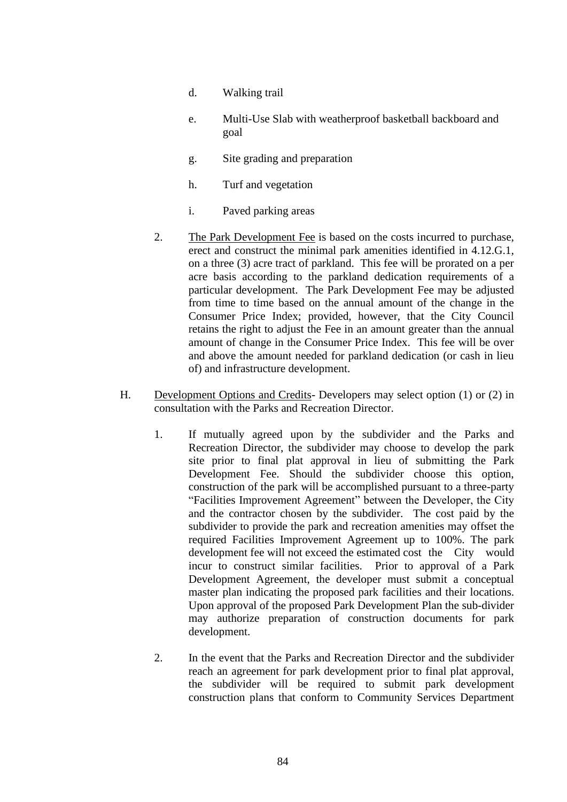- d. Walking trail
- e. Multi-Use Slab with weatherproof basketball backboard and goal
- g. Site grading and preparation
- h. Turf and vegetation
- i. Paved parking areas
- 2. The Park Development Fee is based on the costs incurred to purchase, erect and construct the minimal park amenities identified in 4.12.G.1, on a three (3) acre tract of parkland. This fee will be prorated on a per acre basis according to the parkland dedication requirements of a particular development. The Park Development Fee may be adjusted from time to time based on the annual amount of the change in the Consumer Price Index; provided, however, that the City Council retains the right to adjust the Fee in an amount greater than the annual amount of change in the Consumer Price Index. This fee will be over and above the amount needed for parkland dedication (or cash in lieu of) and infrastructure development.
- H. Development Options and Credits- Developers may select option (1) or (2) in consultation with the Parks and Recreation Director.
	- 1. If mutually agreed upon by the subdivider and the Parks and Recreation Director, the subdivider may choose to develop the park site prior to final plat approval in lieu of submitting the Park Development Fee. Should the subdivider choose this option, construction of the park will be accomplished pursuant to a three-party "Facilities Improvement Agreement" between the Developer, the City and the contractor chosen by the subdivider. The cost paid by the subdivider to provide the park and recreation amenities may offset the required Facilities Improvement Agreement up to 100%. The park development fee will not exceed the estimated cost the City would incur to construct similar facilities. Prior to approval of a Park Development Agreement, the developer must submit a conceptual master plan indicating the proposed park facilities and their locations. Upon approval of the proposed Park Development Plan the sub-divider may authorize preparation of construction documents for park development.
	- 2. In the event that the Parks and Recreation Director and the subdivider reach an agreement for park development prior to final plat approval, the subdivider will be required to submit park development construction plans that conform to Community Services Department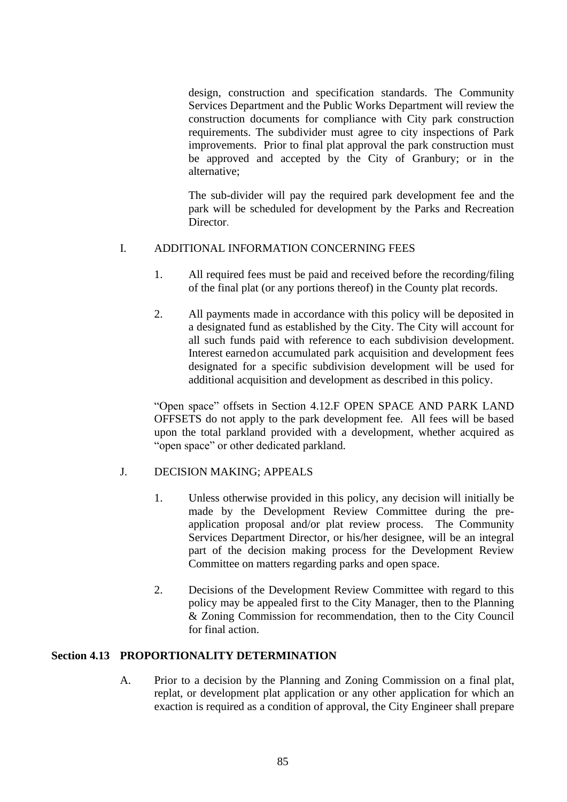design, construction and specification standards. The Community Services Department and the Public Works Department will review the construction documents for compliance with City park construction requirements. The subdivider must agree to city inspections of Park improvements. Prior to final plat approval the park construction must be approved and accepted by the City of Granbury; or in the alternative;

The sub-divider will pay the required park development fee and the park will be scheduled for development by the Parks and Recreation Director.

## I. ADDITIONAL INFORMATION CONCERNING FEES

- 1. All required fees must be paid and received before the recording/filing of the final plat (or any portions thereof) in the County plat records.
- 2. All payments made in accordance with this policy will be deposited in a designated fund as established by the City. The City will account for all such funds paid with reference to each subdivision development. Interest earnedon accumulated park acquisition and development fees designated for a specific subdivision development will be used for additional acquisition and development as described in this policy.

"Open space" offsets in Section 4.12.F OPEN SPACE AND PARK LAND OFFSETS do not apply to the park development fee. All fees will be based upon the total parkland provided with a development, whether acquired as "open space" or other dedicated parkland.

### J. DECISION MAKING; APPEALS

- 1. Unless otherwise provided in this policy, any decision will initially be made by the Development Review Committee during the preapplication proposal and/or plat review process. The Community Services Department Director, or his/her designee, will be an integral part of the decision making process for the Development Review Committee on matters regarding parks and open space.
- 2. Decisions of the Development Review Committee with regard to this policy may be appealed first to the City Manager, then to the Planning & Zoning Commission for recommendation, then to the City Council for final action.

### **Section 4.13 PROPORTIONALITY DETERMINATION**

A. Prior to a decision by the Planning and Zoning Commission on a final plat, replat, or development plat application or any other application for which an exaction is required as a condition of approval, the City Engineer shall prepare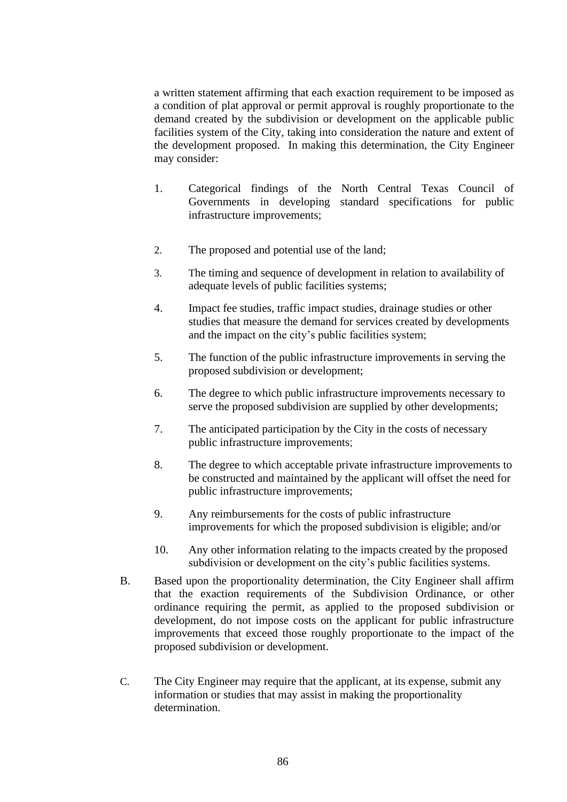a written statement affirming that each exaction requirement to be imposed as a condition of plat approval or permit approval is roughly proportionate to the demand created by the subdivision or development on the applicable public facilities system of the City, taking into consideration the nature and extent of the development proposed. In making this determination, the City Engineer may consider:

- 1. Categorical findings of the North Central Texas Council of Governments in developing standard specifications for public infrastructure improvements;
- 2. The proposed and potential use of the land;
- 3. The timing and sequence of development in relation to availability of adequate levels of public facilities systems;
- 4. Impact fee studies, traffic impact studies, drainage studies or other studies that measure the demand for services created by developments and the impact on the city's public facilities system;
- 5. The function of the public infrastructure improvements in serving the proposed subdivision or development;
- 6. The degree to which public infrastructure improvements necessary to serve the proposed subdivision are supplied by other developments;
- 7. The anticipated participation by the City in the costs of necessary public infrastructure improvements;
- 8. The degree to which acceptable private infrastructure improvements to be constructed and maintained by the applicant will offset the need for public infrastructure improvements;
- 9. Any reimbursements for the costs of public infrastructure improvements for which the proposed subdivision is eligible; and/or
- 10. Any other information relating to the impacts created by the proposed subdivision or development on the city's public facilities systems.
- B. Based upon the proportionality determination, the City Engineer shall affirm that the exaction requirements of the Subdivision Ordinance, or other ordinance requiring the permit, as applied to the proposed subdivision or development, do not impose costs on the applicant for public infrastructure improvements that exceed those roughly proportionate to the impact of the proposed subdivision or development.
- C. The City Engineer may require that the applicant, at its expense, submit any information or studies that may assist in making the proportionality determination.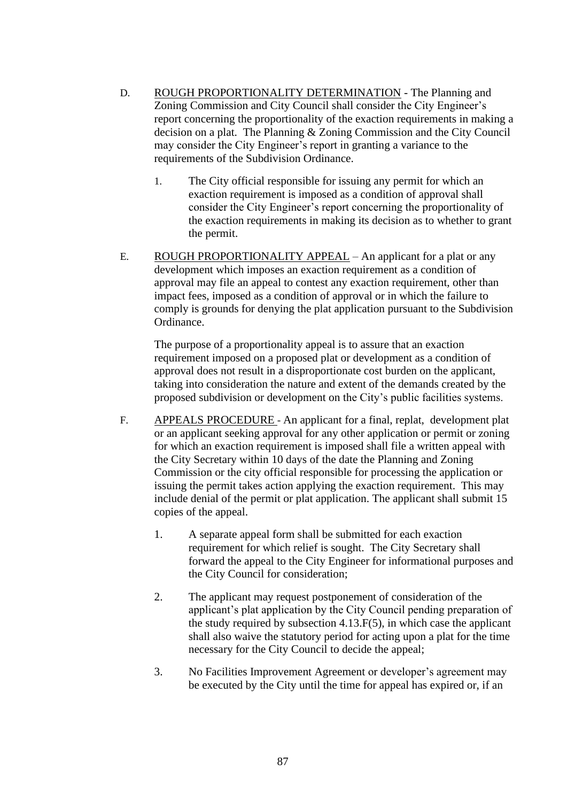- D. ROUGH PROPORTIONALITY DETERMINATION The Planning and Zoning Commission and City Council shall consider the City Engineer's report concerning the proportionality of the exaction requirements in making a decision on a plat. The Planning & Zoning Commission and the City Council may consider the City Engineer's report in granting a variance to the requirements of the Subdivision Ordinance.
	- 1. The City official responsible for issuing any permit for which an exaction requirement is imposed as a condition of approval shall consider the City Engineer's report concerning the proportionality of the exaction requirements in making its decision as to whether to grant the permit.
- E. ROUGH PROPORTIONALITY APPEAL An applicant for a plat or any development which imposes an exaction requirement as a condition of approval may file an appeal to contest any exaction requirement, other than impact fees, imposed as a condition of approval or in which the failure to comply is grounds for denying the plat application pursuant to the Subdivision Ordinance.

The purpose of a proportionality appeal is to assure that an exaction requirement imposed on a proposed plat or development as a condition of approval does not result in a disproportionate cost burden on the applicant, taking into consideration the nature and extent of the demands created by the proposed subdivision or development on the City's public facilities systems.

- F. APPEALS PROCEDURE An applicant for a final, replat, development plat or an applicant seeking approval for any other application or permit or zoning for which an exaction requirement is imposed shall file a written appeal with the City Secretary within 10 days of the date the Planning and Zoning Commission or the city official responsible for processing the application or issuing the permit takes action applying the exaction requirement. This may include denial of the permit or plat application. The applicant shall submit 15 copies of the appeal.
	- 1. A separate appeal form shall be submitted for each exaction requirement for which relief is sought. The City Secretary shall forward the appeal to the City Engineer for informational purposes and the City Council for consideration;
	- 2. The applicant may request postponement of consideration of the applicant's plat application by the City Council pending preparation of the study required by subsection 4.13.F(5), in which case the applicant shall also waive the statutory period for acting upon a plat for the time necessary for the City Council to decide the appeal;
	- 3. No Facilities Improvement Agreement or developer's agreement may be executed by the City until the time for appeal has expired or, if an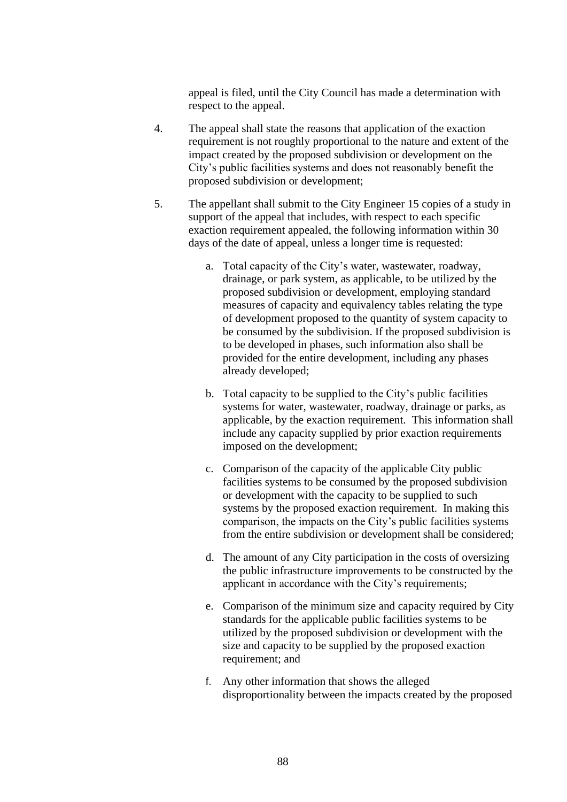appeal is filed, until the City Council has made a determination with respect to the appeal.

- 4. The appeal shall state the reasons that application of the exaction requirement is not roughly proportional to the nature and extent of the impact created by the proposed subdivision or development on the City's public facilities systems and does not reasonably benefit the proposed subdivision or development;
- 5. The appellant shall submit to the City Engineer 15 copies of a study in support of the appeal that includes, with respect to each specific exaction requirement appealed, the following information within 30 days of the date of appeal, unless a longer time is requested:
	- a. Total capacity of the City's water, wastewater, roadway, drainage, or park system, as applicable, to be utilized by the proposed subdivision or development, employing standard measures of capacity and equivalency tables relating the type of development proposed to the quantity of system capacity to be consumed by the subdivision. If the proposed subdivision is to be developed in phases, such information also shall be provided for the entire development, including any phases already developed;
	- b. Total capacity to be supplied to the City's public facilities systems for water, wastewater, roadway, drainage or parks, as applicable, by the exaction requirement. This information shall include any capacity supplied by prior exaction requirements imposed on the development;
	- c. Comparison of the capacity of the applicable City public facilities systems to be consumed by the proposed subdivision or development with the capacity to be supplied to such systems by the proposed exaction requirement. In making this comparison, the impacts on the City's public facilities systems from the entire subdivision or development shall be considered;
	- d. The amount of any City participation in the costs of oversizing the public infrastructure improvements to be constructed by the applicant in accordance with the City's requirements;
	- e. Comparison of the minimum size and capacity required by City standards for the applicable public facilities systems to be utilized by the proposed subdivision or development with the size and capacity to be supplied by the proposed exaction requirement; and
	- f. Any other information that shows the alleged disproportionality between the impacts created by the proposed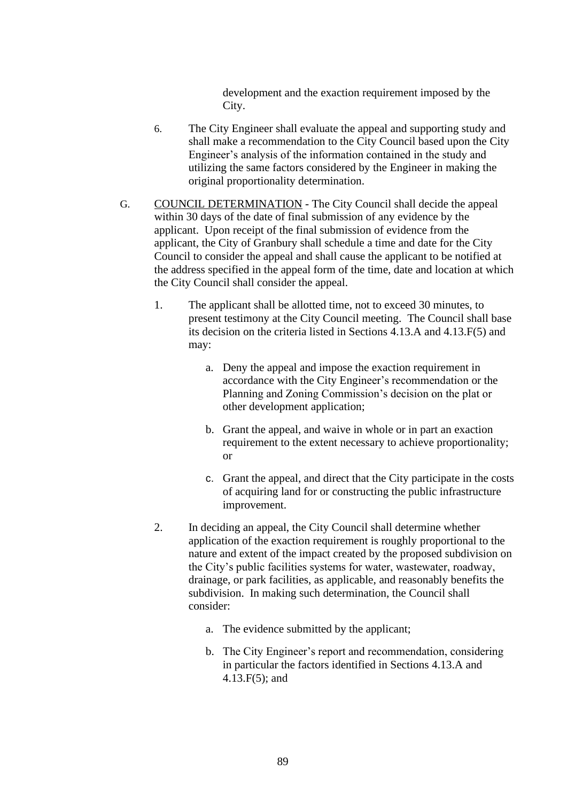development and the exaction requirement imposed by the City.

- 6. The City Engineer shall evaluate the appeal and supporting study and shall make a recommendation to the City Council based upon the City Engineer's analysis of the information contained in the study and utilizing the same factors considered by the Engineer in making the original proportionality determination.
- G. COUNCIL DETERMINATION The City Council shall decide the appeal within 30 days of the date of final submission of any evidence by the applicant. Upon receipt of the final submission of evidence from the applicant, the City of Granbury shall schedule a time and date for the City Council to consider the appeal and shall cause the applicant to be notified at the address specified in the appeal form of the time, date and location at which the City Council shall consider the appeal.
	- 1. The applicant shall be allotted time, not to exceed 30 minutes, to present testimony at the City Council meeting. The Council shall base its decision on the criteria listed in Sections 4.13.A and 4.13.F(5) and may:
		- a. Deny the appeal and impose the exaction requirement in accordance with the City Engineer's recommendation or the Planning and Zoning Commission's decision on the plat or other development application;
		- b. Grant the appeal, and waive in whole or in part an exaction requirement to the extent necessary to achieve proportionality; or
		- c. Grant the appeal, and direct that the City participate in the costs of acquiring land for or constructing the public infrastructure improvement.
	- 2. In deciding an appeal, the City Council shall determine whether application of the exaction requirement is roughly proportional to the nature and extent of the impact created by the proposed subdivision on the City's public facilities systems for water, wastewater, roadway, drainage, or park facilities, as applicable, and reasonably benefits the subdivision. In making such determination, the Council shall consider:
		- a. The evidence submitted by the applicant;
		- b. The City Engineer's report and recommendation, considering in particular the factors identified in Sections 4.13.A and 4.13.F(5); and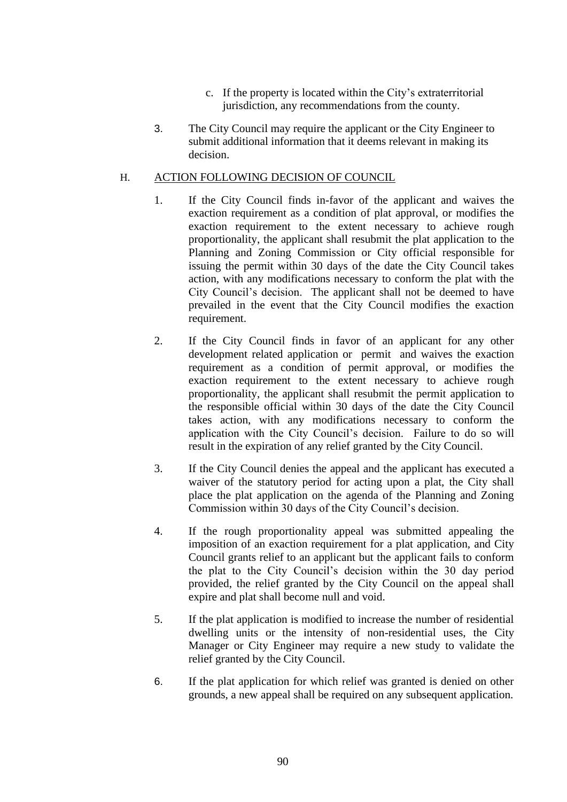- c. If the property is located within the City's extraterritorial jurisdiction, any recommendations from the county.
- 3. The City Council may require the applicant or the City Engineer to submit additional information that it deems relevant in making its decision.

### H. ACTION FOLLOWING DECISION OF COUNCIL

- 1. If the City Council finds in-favor of the applicant and waives the exaction requirement as a condition of plat approval, or modifies the exaction requirement to the extent necessary to achieve rough proportionality, the applicant shall resubmit the plat application to the Planning and Zoning Commission or City official responsible for issuing the permit within 30 days of the date the City Council takes action, with any modifications necessary to conform the plat with the City Council's decision. The applicant shall not be deemed to have prevailed in the event that the City Council modifies the exaction requirement.
- 2. If the City Council finds in favor of an applicant for any other development related application or permit and waives the exaction requirement as a condition of permit approval, or modifies the exaction requirement to the extent necessary to achieve rough proportionality, the applicant shall resubmit the permit application to the responsible official within 30 days of the date the City Council takes action, with any modifications necessary to conform the application with the City Council's decision. Failure to do so will result in the expiration of any relief granted by the City Council.
- 3. If the City Council denies the appeal and the applicant has executed a waiver of the statutory period for acting upon a plat, the City shall place the plat application on the agenda of the Planning and Zoning Commission within 30 days of the City Council's decision.
- 4. If the rough proportionality appeal was submitted appealing the imposition of an exaction requirement for a plat application, and City Council grants relief to an applicant but the applicant fails to conform the plat to the City Council's decision within the 30 day period provided, the relief granted by the City Council on the appeal shall expire and plat shall become null and void.
- 5. If the plat application is modified to increase the number of residential dwelling units or the intensity of non-residential uses, the City Manager or City Engineer may require a new study to validate the relief granted by the City Council.
- 6. If the plat application for which relief was granted is denied on other grounds, a new appeal shall be required on any subsequent application.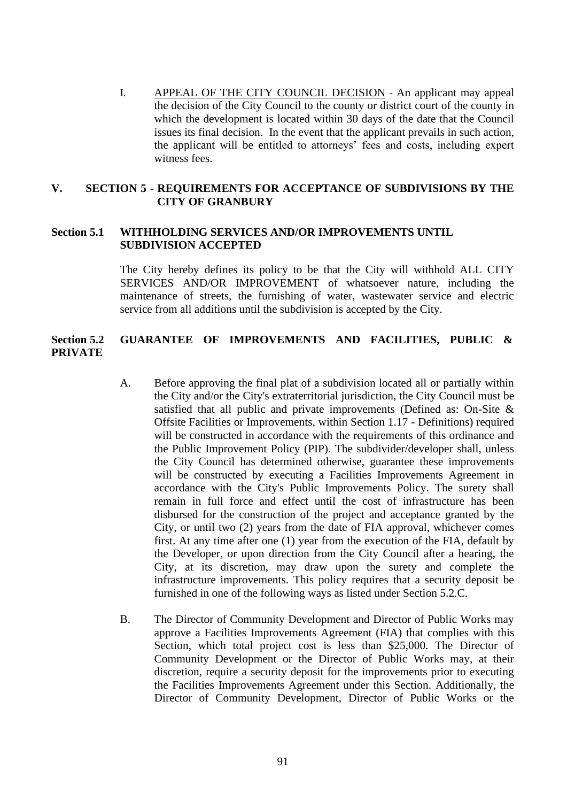I. APPEAL OF THE CITY COUNCIL DECISION - An applicant may appeal the decision of the City Council to the county or district court of the county in which the development is located within 30 days of the date that the Council issues its final decision. In the event that the applicant prevails in such action, the applicant will be entitled to attorneys' fees and costs, including expert witness fees.

## **V. SECTION 5 - REQUIREMENTS FOR ACCEPTANCE OF SUBDIVISIONS BY THE CITY OF GRANBURY**

### **Section 5.1 WITHHOLDING SERVICES AND/OR IMPROVEMENTS UNTIL SUBDIVISION ACCEPTED**

The City hereby defines its policy to be that the City will withhold ALL CITY SERVICES AND/OR IMPROVEMENT of whatsoever nature, including the maintenance of streets, the furnishing of water, wastewater service and electric service from all additions until the subdivision is accepted by the City.

## **Section 5.2 GUARANTEE OF IMPROVEMENTS AND FACILITIES, PUBLIC & PRIVATE**

- A. Before approving the final plat of a subdivision located all or partially within the City and/or the City's extraterritorial jurisdiction, the City Council must be satisfied that all public and private improvements (Defined as: On-Site & Offsite Facilities or Improvements, within Section 1.17 - Definitions) required will be constructed in accordance with the requirements of this ordinance and the Public Improvement Policy (PIP). The subdivider/developer shall, unless the City Council has determined otherwise, guarantee these improvements will be constructed by executing a Facilities Improvements Agreement in accordance with the City's Public Improvements Policy. The surety shall remain in full force and effect until the cost of infrastructure has been disbursed for the construction of the project and acceptance granted by the City, or until two (2) years from the date of FIA approval, whichever comes first. At any time after one (1) year from the execution of the FIA, default by the Developer, or upon direction from the City Council after a hearing, the City, at its discretion, may draw upon the surety and complete the infrastructure improvements. This policy requires that a security deposit be furnished in one of the following ways as listed under Section 5.2.C.
- B. The Director of Community Development and Director of Public Works may approve a Facilities Improvements Agreement (FIA) that complies with this Section, which total project cost is less than \$25,000. The Director of Community Development or the Director of Public Works may, at their discretion, require a security deposit for the improvements prior to executing the Facilities Improvements Agreement under this Section. Additionally, the Director of Community Development, Director of Public Works or the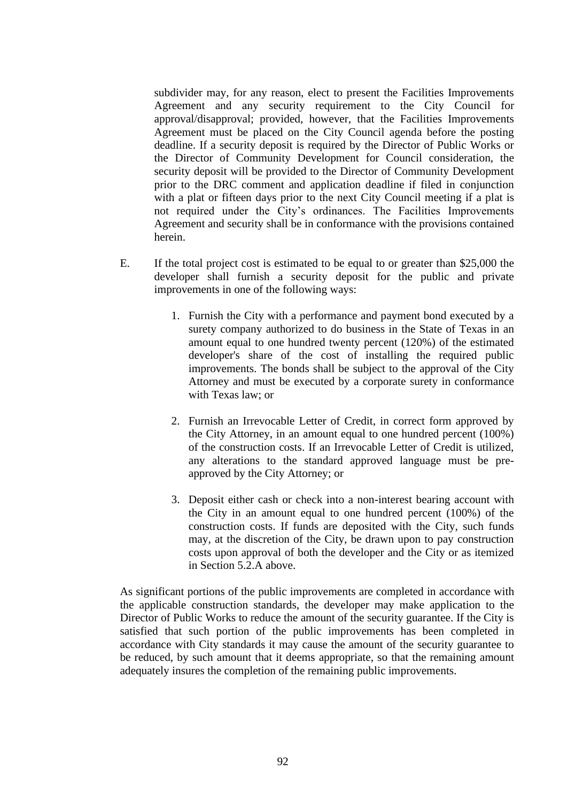subdivider may, for any reason, elect to present the Facilities Improvements Agreement and any security requirement to the City Council for approval/disapproval; provided, however, that the Facilities Improvements Agreement must be placed on the City Council agenda before the posting deadline. If a security deposit is required by the Director of Public Works or the Director of Community Development for Council consideration, the security deposit will be provided to the Director of Community Development prior to the DRC comment and application deadline if filed in conjunction with a plat or fifteen days prior to the next City Council meeting if a plat is not required under the City's ordinances. The Facilities Improvements Agreement and security shall be in conformance with the provisions contained herein.

- E. If the total project cost is estimated to be equal to or greater than \$25,000 the developer shall furnish a security deposit for the public and private improvements in one of the following ways:
	- 1. Furnish the City with a performance and payment bond executed by a surety company authorized to do business in the State of Texas in an amount equal to one hundred twenty percent (120%) of the estimated developer's share of the cost of installing the required public improvements. The bonds shall be subject to the approval of the City Attorney and must be executed by a corporate surety in conformance with Texas law; or
	- 2. Furnish an Irrevocable Letter of Credit, in correct form approved by the City Attorney, in an amount equal to one hundred percent (100%) of the construction costs. If an Irrevocable Letter of Credit is utilized, any alterations to the standard approved language must be preapproved by the City Attorney; or
	- 3. Deposit either cash or check into a non-interest bearing account with the City in an amount equal to one hundred percent (100%) of the construction costs. If funds are deposited with the City, such funds may, at the discretion of the City, be drawn upon to pay construction costs upon approval of both the developer and the City or as itemized in Section 5.2.A above.

As significant portions of the public improvements are completed in accordance with the applicable construction standards, the developer may make application to the Director of Public Works to reduce the amount of the security guarantee. If the City is satisfied that such portion of the public improvements has been completed in accordance with City standards it may cause the amount of the security guarantee to be reduced, by such amount that it deems appropriate, so that the remaining amount adequately insures the completion of the remaining public improvements.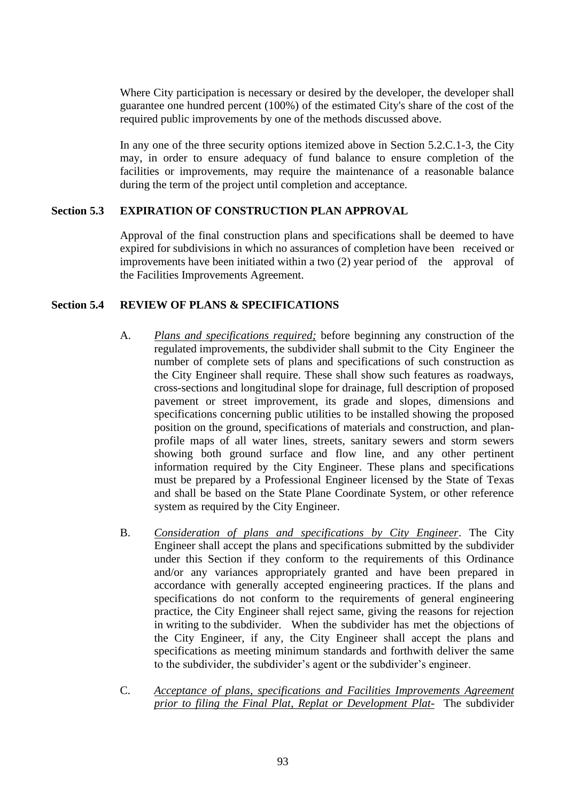Where City participation is necessary or desired by the developer, the developer shall guarantee one hundred percent (100%) of the estimated City's share of the cost of the required public improvements by one of the methods discussed above.

In any one of the three security options itemized above in Section 5.2.C.1-3, the City may, in order to ensure adequacy of fund balance to ensure completion of the facilities or improvements, may require the maintenance of a reasonable balance during the term of the project until completion and acceptance.

## **Section 5.3 EXPIRATION OF CONSTRUCTION PLAN APPROVAL**

Approval of the final construction plans and specifications shall be deemed to have expired for subdivisions in which no assurances of completion have been received or improvements have been initiated within a two (2) year period of the approval of the Facilities Improvements Agreement.

### **Section 5.4 REVIEW OF PLANS & SPECIFICATIONS**

- A. *Plans and specifications required;* before beginning any construction of the regulated improvements, the subdivider shall submit to the City Engineer the number of complete sets of plans and specifications of such construction as the City Engineer shall require. These shall show such features as roadways, cross-sections and longitudinal slope for drainage, full description of proposed pavement or street improvement, its grade and slopes, dimensions and specifications concerning public utilities to be installed showing the proposed position on the ground, specifications of materials and construction, and planprofile maps of all water lines, streets, sanitary sewers and storm sewers showing both ground surface and flow line, and any other pertinent information required by the City Engineer. These plans and specifications must be prepared by a Professional Engineer licensed by the State of Texas and shall be based on the State Plane Coordinate System, or other reference system as required by the City Engineer.
- B. *Consideration of plans and specifications by City Engineer*. The City Engineer shall accept the plans and specifications submitted by the subdivider under this Section if they conform to the requirements of this Ordinance and/or any variances appropriately granted and have been prepared in accordance with generally accepted engineering practices. If the plans and specifications do not conform to the requirements of general engineering practice, the City Engineer shall reject same, giving the reasons for rejection in writing to the subdivider. When the subdivider has met the objections of the City Engineer, if any, the City Engineer shall accept the plans and specifications as meeting minimum standards and forthwith deliver the same to the subdivider, the subdivider's agent or the subdivider's engineer.
- C. *Acceptance of plans, specifications and Facilities Improvements Agreement prior to filing the Final Plat, Replat or Development Plat-* The subdivider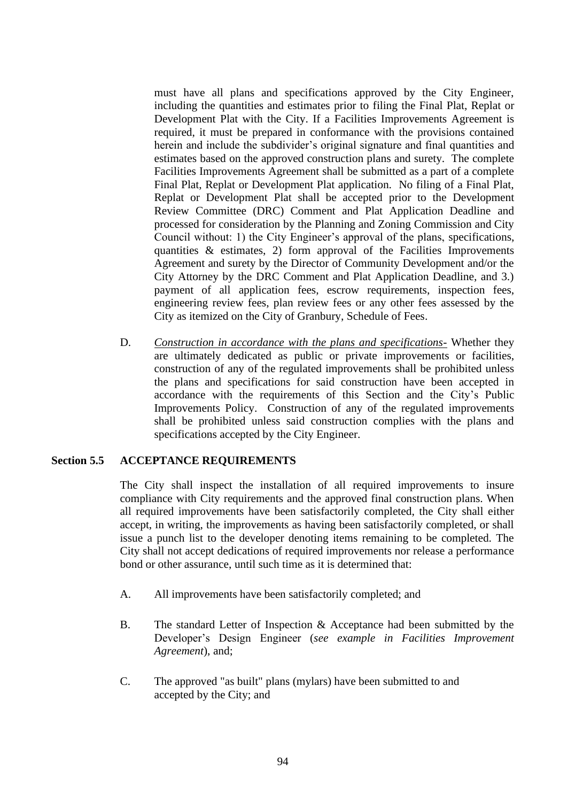must have all plans and specifications approved by the City Engineer, including the quantities and estimates prior to filing the Final Plat, Replat or Development Plat with the City. If a Facilities Improvements Agreement is required, it must be prepared in conformance with the provisions contained herein and include the subdivider's original signature and final quantities and estimates based on the approved construction plans and surety. The complete Facilities Improvements Agreement shall be submitted as a part of a complete Final Plat, Replat or Development Plat application. No filing of a Final Plat, Replat or Development Plat shall be accepted prior to the Development Review Committee (DRC) Comment and Plat Application Deadline and processed for consideration by the Planning and Zoning Commission and City Council without: 1) the City Engineer's approval of the plans, specifications, quantities  $\&$  estimates, 2) form approval of the Facilities Improvements Agreement and surety by the Director of Community Development and/or the City Attorney by the DRC Comment and Plat Application Deadline, and 3.) payment of all application fees, escrow requirements, inspection fees, engineering review fees, plan review fees or any other fees assessed by the City as itemized on the City of Granbury, Schedule of Fees.

D. *Construction in accordance with the plans and specifications-* Whether they are ultimately dedicated as public or private improvements or facilities, construction of any of the regulated improvements shall be prohibited unless the plans and specifications for said construction have been accepted in accordance with the requirements of this Section and the City's Public Improvements Policy. Construction of any of the regulated improvements shall be prohibited unless said construction complies with the plans and specifications accepted by the City Engineer.

### **Section 5.5 ACCEPTANCE REQUIREMENTS**

The City shall inspect the installation of all required improvements to insure compliance with City requirements and the approved final construction plans. When all required improvements have been satisfactorily completed, the City shall either accept, in writing, the improvements as having been satisfactorily completed, or shall issue a punch list to the developer denoting items remaining to be completed. The City shall not accept dedications of required improvements nor release a performance bond or other assurance, until such time as it is determined that:

- A. All improvements have been satisfactorily completed; and
- B. The standard Letter of Inspection & Acceptance had been submitted by the Developer's Design Engineer (*see example in Facilities Improvement Agreement*), and;
- C. The approved "as built" plans (mylars) have been submitted to and accepted by the City; and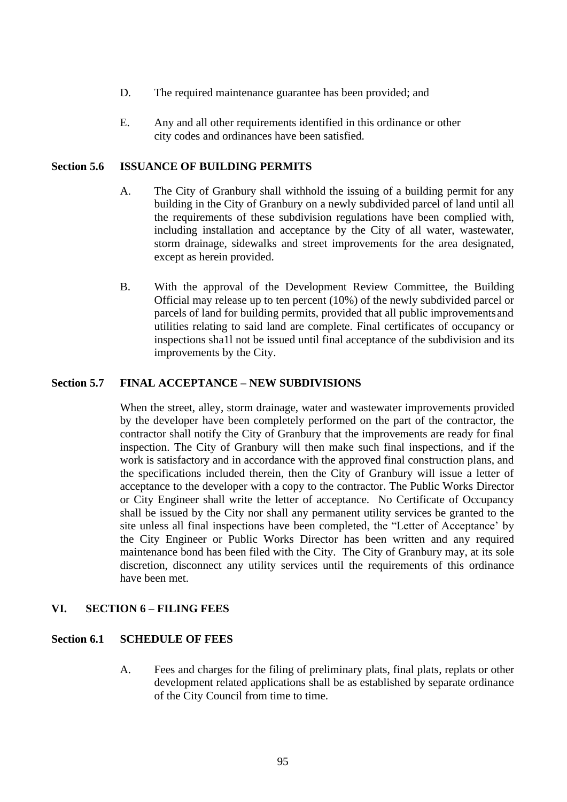- D. The required maintenance guarantee has been provided; and
- E. Any and all other requirements identified in this ordinance or other city codes and ordinances have been satisfied.

#### **Section 5.6 ISSUANCE OF BUILDING PERMITS**

- A. The City of Granbury shall withhold the issuing of a building permit for any building in the City of Granbury on a newly subdivided parcel of land until all the requirements of these subdivision regulations have been complied with, including installation and acceptance by the City of all water, wastewater, storm drainage, sidewalks and street improvements for the area designated, except as herein provided.
- B. With the approval of the Development Review Committee, the Building Official may release up to ten percent (10%) of the newly subdivided parcel or parcels of land for building permits, provided that all public improvementsand utilities relating to said land are complete. Final certificates of occupancy or inspections sha1l not be issued until final acceptance of the subdivision and its improvements by the City.

### **Section 5.7 FINAL ACCEPTANCE – NEW SUBDIVISIONS**

When the street, alley, storm drainage, water and wastewater improvements provided by the developer have been completely performed on the part of the contractor, the contractor shall notify the City of Granbury that the improvements are ready for final inspection. The City of Granbury will then make such final inspections, and if the work is satisfactory and in accordance with the approved final construction plans, and the specifications included therein, then the City of Granbury will issue a letter of acceptance to the developer with a copy to the contractor. The Public Works Director or City Engineer shall write the letter of acceptance. No Certificate of Occupancy shall be issued by the City nor shall any permanent utility services be granted to the site unless all final inspections have been completed, the "Letter of Acceptance' by the City Engineer or Public Works Director has been written and any required maintenance bond has been filed with the City. The City of Granbury may, at its sole discretion, disconnect any utility services until the requirements of this ordinance have been met.

### **VI. SECTION 6 – FILING FEES**

#### **Section 6.1 SCHEDULE OF FEES**

A. Fees and charges for the filing of preliminary plats, final plats, replats or other development related applications shall be as established by separate ordinance of the City Council from time to time.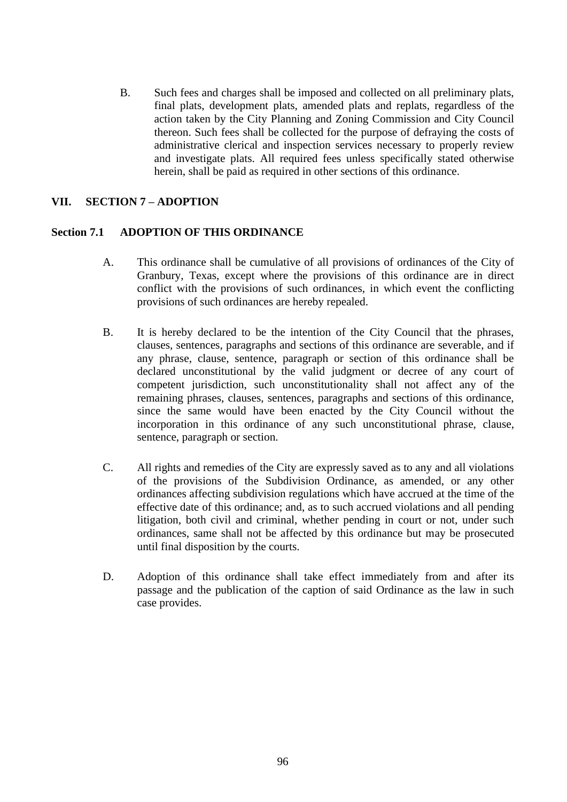B. Such fees and charges shall be imposed and collected on all preliminary plats, final plats, development plats, amended plats and replats, regardless of the action taken by the City Planning and Zoning Commission and City Council thereon. Such fees shall be collected for the purpose of defraying the costs of administrative clerical and inspection services necessary to properly review and investigate plats. All required fees unless specifically stated otherwise herein, shall be paid as required in other sections of this ordinance.

## **VII. SECTION 7 – ADOPTION**

### **Section 7.1 ADOPTION OF THIS ORDINANCE**

- A. This ordinance shall be cumulative of all provisions of ordinances of the City of Granbury, Texas, except where the provisions of this ordinance are in direct conflict with the provisions of such ordinances, in which event the conflicting provisions of such ordinances are hereby repealed.
- B. It is hereby declared to be the intention of the City Council that the phrases, clauses, sentences, paragraphs and sections of this ordinance are severable, and if any phrase, clause, sentence, paragraph or section of this ordinance shall be declared unconstitutional by the valid judgment or decree of any court of competent jurisdiction, such unconstitutionality shall not affect any of the remaining phrases, clauses, sentences, paragraphs and sections of this ordinance, since the same would have been enacted by the City Council without the incorporation in this ordinance of any such unconstitutional phrase, clause, sentence, paragraph or section.
- C. All rights and remedies of the City are expressly saved as to any and all violations of the provisions of the Subdivision Ordinance, as amended, or any other ordinances affecting subdivision regulations which have accrued at the time of the effective date of this ordinance; and, as to such accrued violations and all pending litigation, both civil and criminal, whether pending in court or not, under such ordinances, same shall not be affected by this ordinance but may be prosecuted until final disposition by the courts.
- D. Adoption of this ordinance shall take effect immediately from and after its passage and the publication of the caption of said Ordinance as the law in such case provides.